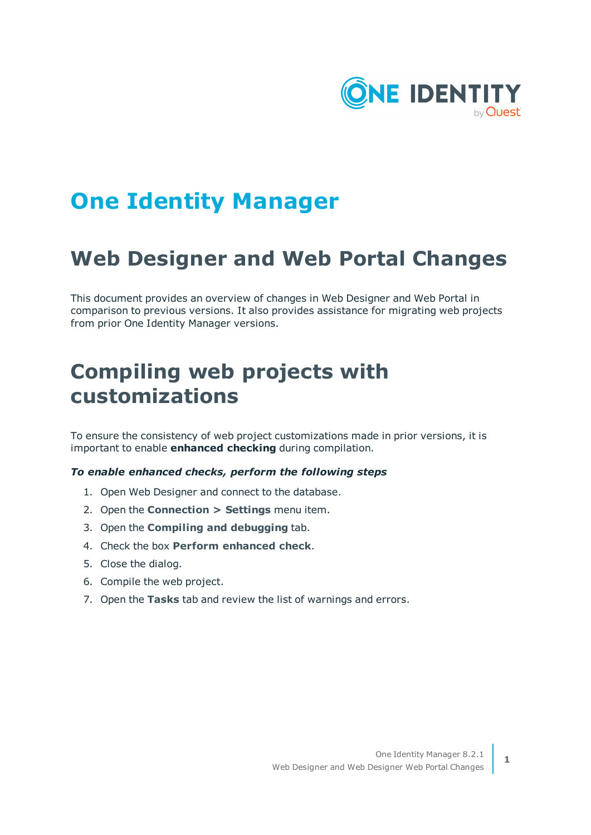

# **One Identity Manager**

# **Web Designer and Web Portal Changes**

This document provides an overview of changes in Web Designer and Web Portal in comparison to previous versions. It also provides assistance for migrating web projects from prior One Identity Manager versions.

# **Compiling web projects with customizations**

To ensure the consistency of web project customizations made in prior versions, it is important to enable **enhanced checking** during compilation.

#### *To enable enhanced checks, perform the following steps*

- 1. Open Web Designer and connect to the database.
- 2. Open the **Connection > Settings** menu item.
- 3. Open the **Compiling and debugging** tab.
- 4. Check the box **Perform enhanced check**.
- 5. Close the dialog.
- 6. Compile the web project.
- 7. Open the **Tasks** tab and review the list of warnings and errors.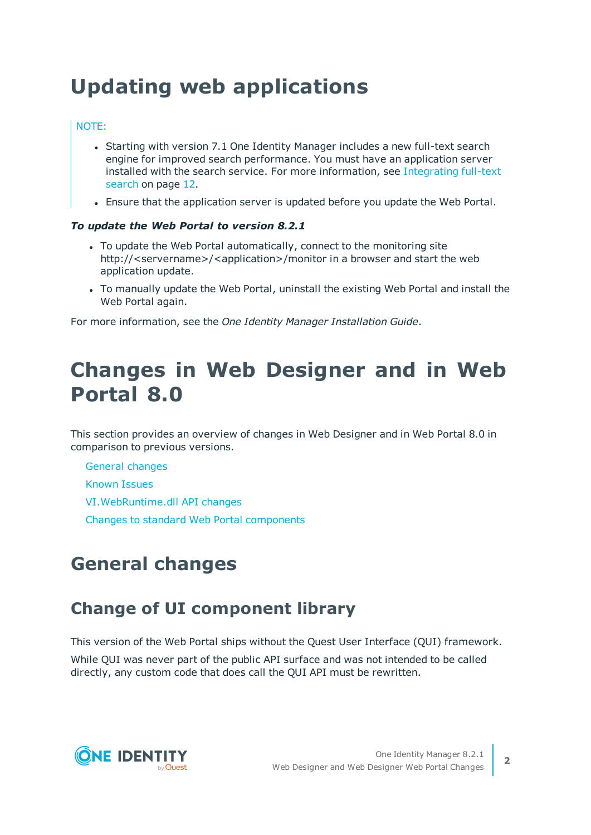# <span id="page-1-1"></span>**Updating web applications**

### NOTE:

- Starting with version 7.1 One Identity Manager includes a new full-text search engine for improved search performance. You must have an application server installed with the search service. For more [information,](#page-11-0) see Integrating full-text [search](#page-11-0) on page 12.
- <sup>l</sup> Ensure that the application server is updated before you update the Web Portal.

#### *To update the Web Portal to version 8.2.1*

- To update the Web Portal automatically, connect to the monitoring site http://<servername>/<application>/monitor in a browser and start the web application update.
- To manually update the Web Portal, uninstall the existing Web Portal and install the Web Portal again.

For more information, see the *One Identity Manager Installation Guide*.

# **Changes in Web Designer and in Web Portal 8.0**

This section provides an overview of changes in Web Designer and in Web Portal 8.0 in comparison to previous versions.

General [changes](#page-1-0)

[Known](#page-6-0) Issues

[VI.WebRuntime.dll](#page-6-1) API changes

<span id="page-1-0"></span>Changes to standard Web Portal [components](#page-6-2)

# **General changes**

# **Change of UI component library**

This version of the Web Portal ships without the Quest User Interface (QUI) framework.

While QUI was never part of the public API surface and was not intended to be called directly, any custom code that does call the QUI API must be rewritten.

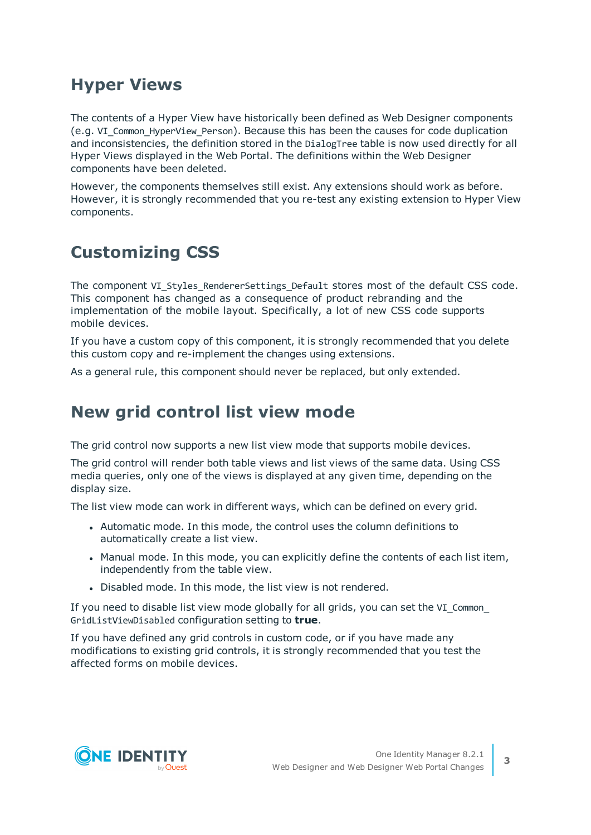# **Hyper Views**

The contents of a Hyper View have historically been defined as Web Designer components (e.g. VI\_Common\_HyperView\_Person). Because this has been the causes for code duplication and inconsistencies, the definition stored in the DialogTree table is now used directly for all Hyper Views displayed in the Web Portal. The definitions within the Web Designer components have been deleted.

However, the components themselves still exist. Any extensions should work as before. However, it is strongly recommended that you re-test any existing extension to Hyper View components.

# **Customizing CSS**

The component VI Styles RendererSettings Default stores most of the default CSS code. This component has changed as a consequence of product rebranding and the implementation of the mobile layout. Specifically, a lot of new CSS code supports mobile devices.

If you have a custom copy of this component, it is strongly recommended that you delete this custom copy and re-implement the changes using extensions.

As a general rule, this component should never be replaced, but only extended.

# **New grid control list view mode**

The grid control now supports a new list view mode that supports mobile devices.

The grid control will render both table views and list views of the same data. Using CSS media queries, only one of the views is displayed at any given time, depending on the display size.

The list view mode can work in different ways, which can be defined on every grid.

- Automatic mode. In this mode, the control uses the column definitions to automatically create a list view.
- Manual mode. In this mode, you can explicitly define the contents of each list item, independently from the table view.
- Disabled mode. In this mode, the list view is not rendered.

If you need to disable list view mode globally for all grids, you can set the VI Common GridListViewDisabled configuration setting to **true**.

If you have defined any grid controls in custom code, or if you have made any modifications to existing grid controls, it is strongly recommended that you test the affected forms on mobile devices.

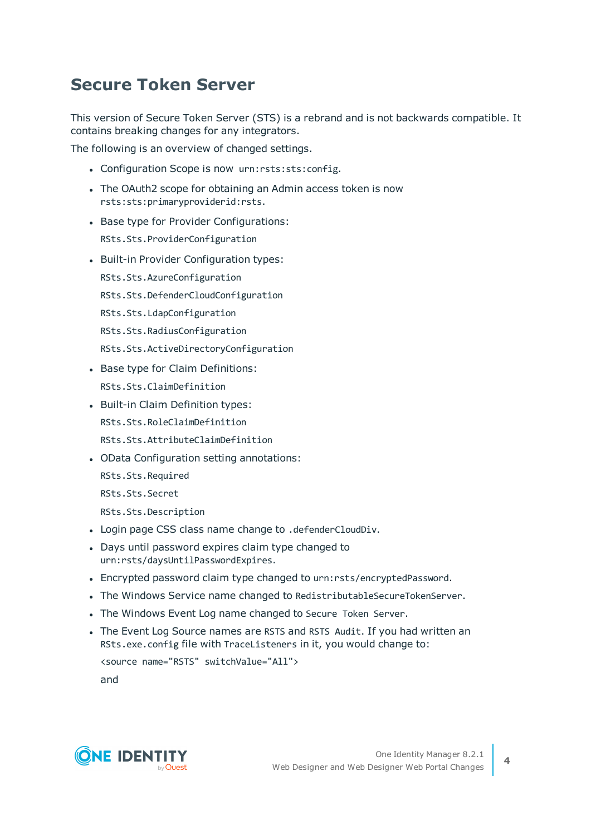# **Secure Token Server**

This version of Secure Token Server (STS) is a rebrand and is not backwards compatible. It contains breaking changes for any integrators.

The following is an overview of changed settings.

- Configuration Scope is now urn:rsts:sts:config.
- The OAuth2 scope for obtaining an Admin access token is now rsts:sts:primaryproviderid:rsts.
- Base type for Provider Configurations: RSts.Sts.ProviderConfiguration
- Built-in Provider Configuration types: RSts.Sts.AzureConfiguration RSts.Sts.DefenderCloudConfiguration RSts.Sts.LdapConfiguration RSts.Sts.RadiusConfiguration RSts.Sts.ActiveDirectoryConfiguration
- Base type for Claim Definitions: RSts.Sts.ClaimDefinition
- Built-in Claim Definition types: RSts.Sts.RoleClaimDefinition RSts.Sts.AttributeClaimDefinition
- OData Configuration setting annotations:
	- RSts.Sts.Required
	- RSts.Sts.Secret
	- RSts.Sts.Description
- . Login page CSS class name change to .defenderCloudDiv.
- Days until password expires claim type changed to urn:rsts/daysUntilPasswordExpires.
- <sup>l</sup> Encrypted password claim type changed to urn:rsts/encryptedPassword.
- . The Windows Service name changed to RedistributableSecureTokenServer.
- The Windows Event Log name changed to Secure Token Server.
- The Event Log Source names are RSTS and RSTS Audit. If you had written an RSts.exe.config file with TraceListeners in it, you would change to:

```
<source name="RSTS" switchValue="All">
and
```
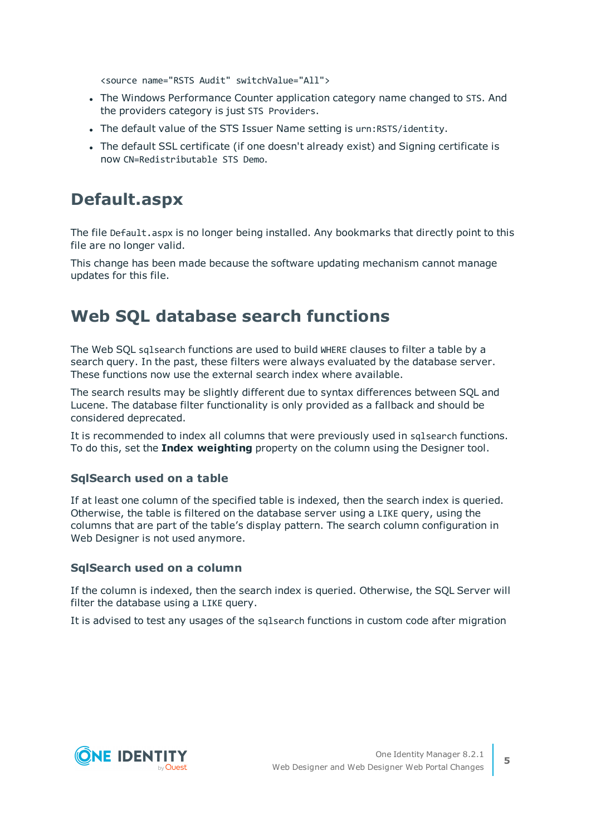<source name="RSTS Audit" switchValue="All">

- The Windows Performance Counter application category name changed to STS. And the providers category is just STS Providers.
- The default value of the STS Issuer Name setting is urn: RSTS/identity.
- The default SSL certificate (if one doesn't already exist) and Signing certificate is now CN=Redistributable STS Demo.

### **Default.aspx**

The file Default.aspx is no longer being installed. Any bookmarks that directly point to this file are no longer valid.

This change has been made because the software updating mechanism cannot manage updates for this file.

# **Web SQL database search functions**

The Web SQL sqlsearch functions are used to build WHERE clauses to filter a table by a search query. In the past, these filters were always evaluated by the database server. These functions now use the external search index where available.

The search results may be slightly different due to syntax differences between SQL and Lucene. The database filter functionality is only provided as a fallback and should be considered deprecated.

It is recommended to index all columns that were previously used in sqlsearch functions. To do this, set the **Index weighting** property on the column using the Designer tool.

### **SqlSearch used on a table**

If at least one column of the specified table is indexed, then the search index is queried. Otherwise, the table is filtered on the database server using a LIKE query, using the columns that are part of the table's display pattern. The search column configuration in Web Designer is not used anymore.

### **SqlSearch used on a column**

If the column is indexed, then the search index is queried. Otherwise, the SQL Server will filter the database using a LIKE query.

It is advised to test any usages of the sqlsearch functions in custom code after migration

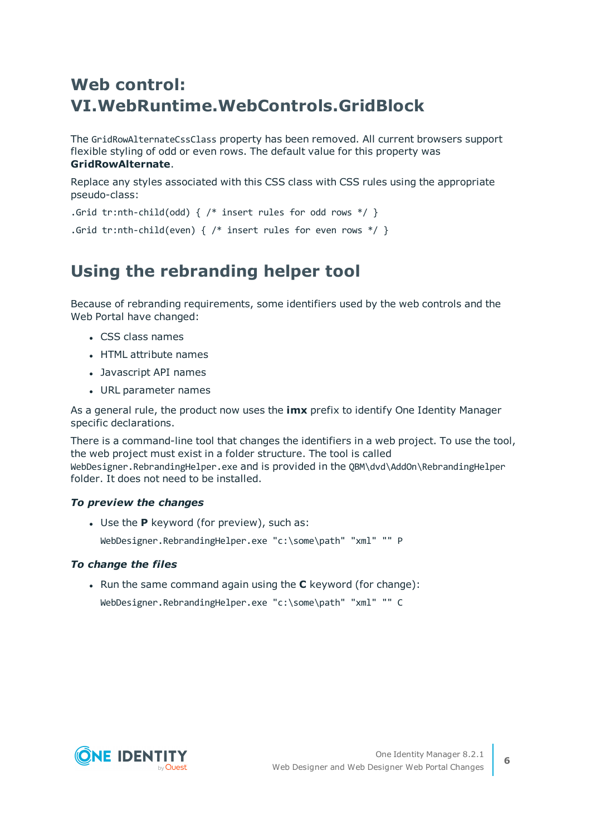# **Web control: VI.WebRuntime.WebControls.GridBlock**

The GridRowAlternateCssClass property has been removed. All current browsers support flexible styling of odd or even rows. The default value for this property was **GridRowAlternate**.

Replace any styles associated with this CSS class with CSS rules using the appropriate pseudo-class:

```
.Grid tr:nth-child(odd) { /* insert rules for odd rows */ }
```

```
.Grid tr:nth-child(even) { /* insert rules for even rows */ }
```
# **Using the rebranding helper tool**

Because of rebranding requirements, some identifiers used by the web controls and the Web Portal have changed:

- CSS class names
- HTML attribute names
- Javascript API names
- URL parameter names

As a general rule, the product now uses the **imx** prefix to identify One Identity Manager specific declarations.

There is a command-line tool that changes the identifiers in a web project. To use the tool, the web project must exist in a folder structure. The tool is called WebDesigner.RebrandingHelper.exe and is provided in the QBM\dvd\AddOn\RebrandingHelper folder. It does not need to be installed.

### *To preview the changes*

• Use the **P** keyword (for preview), such as: WebDesigner.RebrandingHelper.exe "c:\some\path" "xml" "" P

### *To change the files*

**.** Run the same command again using the **C** keyword (for change):

```
WebDesigner.RebrandingHelper.exe "c:\some\path" "xml" "" C
```
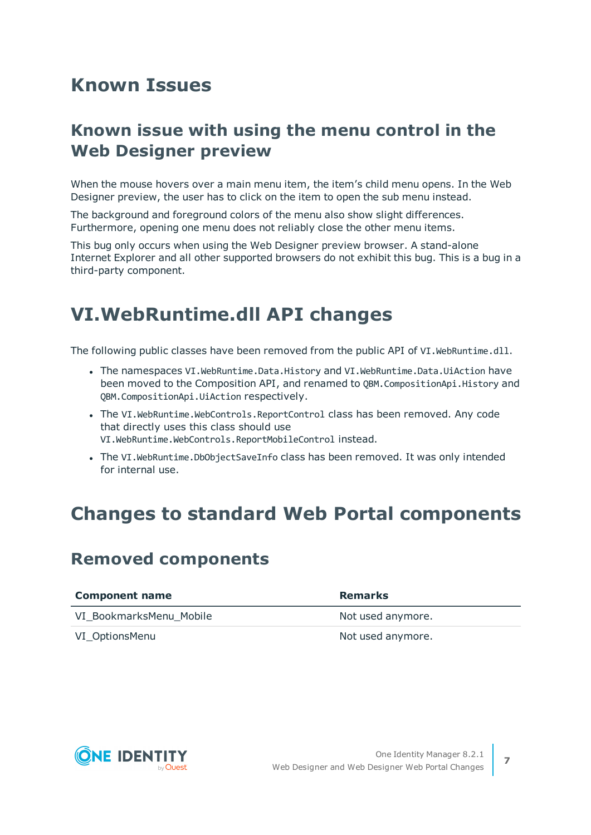# <span id="page-6-0"></span>**Known Issues**

# **Known issue with using the menu control in the Web Designer preview**

When the mouse hovers over a main menu item, the item's child menu opens. In the Web Designer preview, the user has to click on the item to open the sub menu instead.

The background and foreground colors of the menu also show slight differences. Furthermore, opening one menu does not reliably close the other menu items.

This bug only occurs when using the Web Designer preview browser. A stand-alone Internet Explorer and all other supported browsers do not exhibit this bug. This is a bug in a third-party component.

# <span id="page-6-1"></span>**VI.WebRuntime.dll API changes**

The following public classes have been removed from the public API of VI.WebRuntime.dll.

- The namespaces VI.WebRuntime.Data.History and VI.WebRuntime.Data.UiAction have been moved to the Composition API, and renamed to QBM.CompositionApi.History and QBM.CompositionApi.UiAction respectively.
- The VI.WebRuntime.WebControls.ReportControl class has been removed. Any code that directly uses this class should use VI.WebRuntime.WebControls.ReportMobileControl instead.
- The VI.WebRuntime.DbObjectSaveInfo class has been removed. It was only intended for internal use.

# <span id="page-6-2"></span>**Changes to standard Web Portal components**

### **Removed components**

| <b>Component name</b>   | <b>Remarks</b>    |
|-------------------------|-------------------|
| VI BookmarksMenu Mobile | Not used anymore. |
| VI_OptionsMenu          | Not used anymore. |

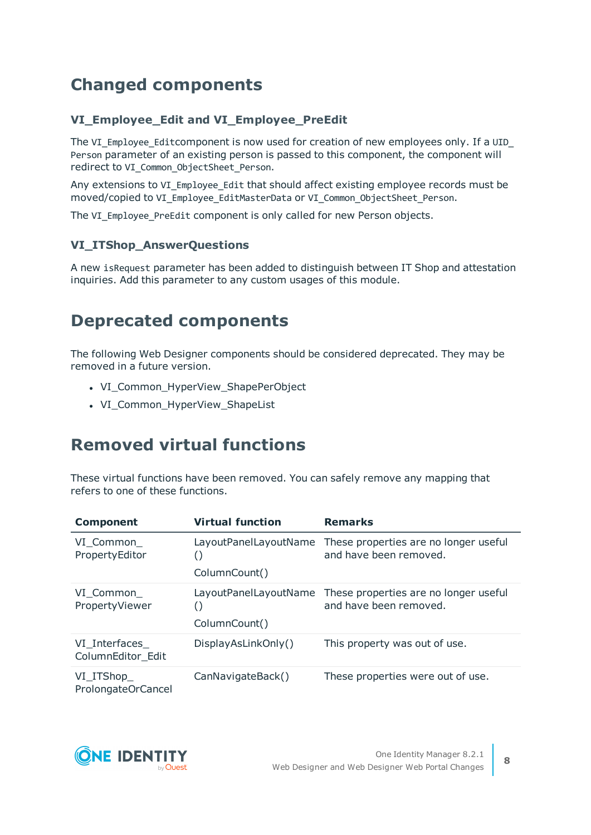# **Changed components**

### **VI\_Employee\_Edit and VI\_Employee\_PreEdit**

The VI\_Employee\_Editcomponent is now used for creation of new employees only. If a UID\_ Person parameter of an existing person is passed to this component, the component will redirect to VI\_Common\_ObjectSheet\_Person.

Any extensions to VI\_Employee\_Edit that should affect existing employee records must be moved/copied to VI\_Employee\_EditMasterData or VI\_Common\_ObjectSheet\_Person.

The VI\_Employee\_PreEdit component is only called for new Person objects.

### **VI\_ITShop\_AnswerQuestions**

A new isRequest parameter has been added to distinguish between IT Shop and attestation inquiries. Add this parameter to any custom usages of this module.

# **Deprecated components**

The following Web Designer components should be considered deprecated. They may be removed in a future version.

- VI Common HyperView ShapePerObject
- VI\_Common\_HyperView\_ShapeList

# **Removed virtual functions**

These virtual functions have been removed. You can safely remove any mapping that refers to one of these functions.

| <b>Component</b>                   | <b>Virtual function</b>                | <b>Remarks</b>                                                                        |
|------------------------------------|----------------------------------------|---------------------------------------------------------------------------------------|
| VI Common<br>PropertyEditor        | ColumnCount()                          | LayoutPanelLayoutName These properties are no longer useful<br>and have been removed. |
| VI Common<br>PropertyViewer        | LayoutPanelLayoutName<br>ColumnCount() | These properties are no longer useful<br>and have been removed.                       |
| VI Interfaces<br>ColumnEditor_Edit | DisplayAsLinkOnly()                    | This property was out of use.                                                         |
| VI_ITShop_<br>ProlongateOrCancel   | CanNavigateBack()                      | These properties were out of use.                                                     |

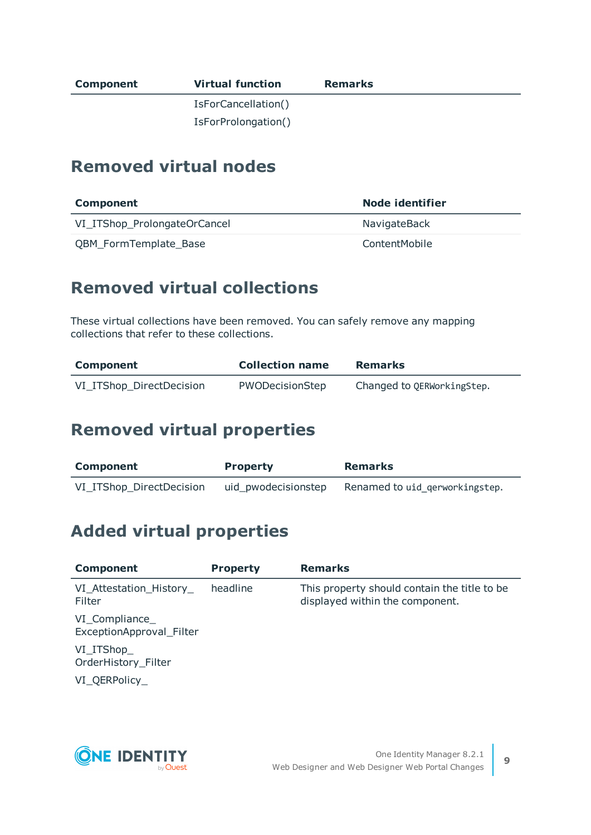| Component | <b>Virtual function</b> | <b>Remarks</b> |
|-----------|-------------------------|----------------|
|           | IsForCancellation()     |                |
|           | IsForProlongation()     |                |

### **Removed virtual nodes**

| <b>Component</b>             | <b>Node identifier</b> |
|------------------------------|------------------------|
| VI_ITShop_ProlongateOrCancel | NavigateBack           |
| QBM_FormTemplate_Base        | ContentMobile          |

# **Removed virtual collections**

These virtual collections have been removed. You can safely remove any mapping collections that refer to these collections.

| <b>Component</b>         | <b>Collection name</b> | <b>Remarks</b>             |
|--------------------------|------------------------|----------------------------|
| VI_ITShop_DirectDecision | PWODecisionStep        | Changed to QERWorkingStep. |

# **Removed virtual properties**

| <b>Component</b>         | <b>Property</b> | <b>Remarks</b>                                     |
|--------------------------|-----------------|----------------------------------------------------|
| VI_ITShop_DirectDecision |                 | uid_pwodecisionstep Renamed to uid_gerworkingstep. |

# **Added virtual properties**

| <b>Component</b>                           | <b>Property</b> | <b>Remarks</b>                                                                   |
|--------------------------------------------|-----------------|----------------------------------------------------------------------------------|
| VI_Attestation_History_<br><b>Filter</b>   | headline        | This property should contain the title to be.<br>displayed within the component. |
| VI_Compliance_<br>ExceptionApproval_Filter |                 |                                                                                  |
| VI_ITShop_<br>OrderHistory_Filter          |                 |                                                                                  |
| VI QERPolicy                               |                 |                                                                                  |

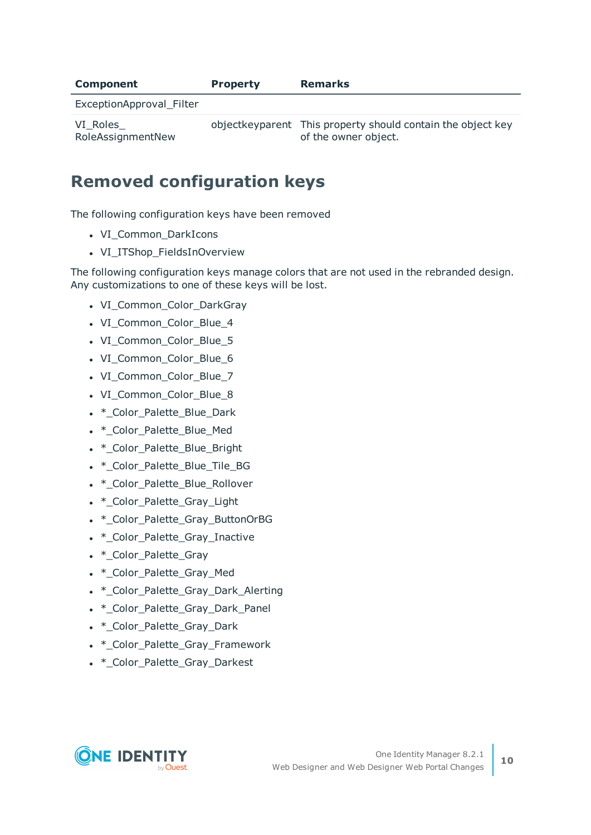| Component                     | <b>Property</b> | <b>Remarks</b>                                                                        |
|-------------------------------|-----------------|---------------------------------------------------------------------------------------|
| ExceptionApproval_Filter      |                 |                                                                                       |
| VI Roles<br>RoleAssignmentNew |                 | object key parent This property should contain the object key<br>of the owner object. |

# **Removed configuration keys**

The following configuration keys have been removed

- VI Common DarkIcons
- VI\_ITShop\_FieldsInOverview

The following configuration keys manage colors that are not used in the rebranded design. Any customizations to one of these keys will be lost.

- VI\_Common\_Color\_DarkGray
- VI Common Color Blue 4
- VI\_Common\_Color\_Blue\_5
- VI Common Color Blue 6
- VI Common Color Blue 7
- VI Common Color Blue 8
- \* Color Palette Blue Dark
- \* Color Palette Blue Med
- \* Color Palette Blue Bright
- . \* Color Palette Blue Tile BG
- \* Color Palette Blue Rollover
- \* Color Palette Gray Light
- \* Color\_Palette\_Gray\_ButtonOrBG
- \* Color Palette Gray Inactive
- \* Color Palette Gray
- \* Color Palette Gray Med
- \*\_Color\_Palette\_Gray\_Dark\_Alerting
- \* Color Palette Gray Dark Panel
- \* Color Palette Gray Dark
- \* Color Palette Gray Framework
- \*\_Color\_Palette\_Gray\_Darkest

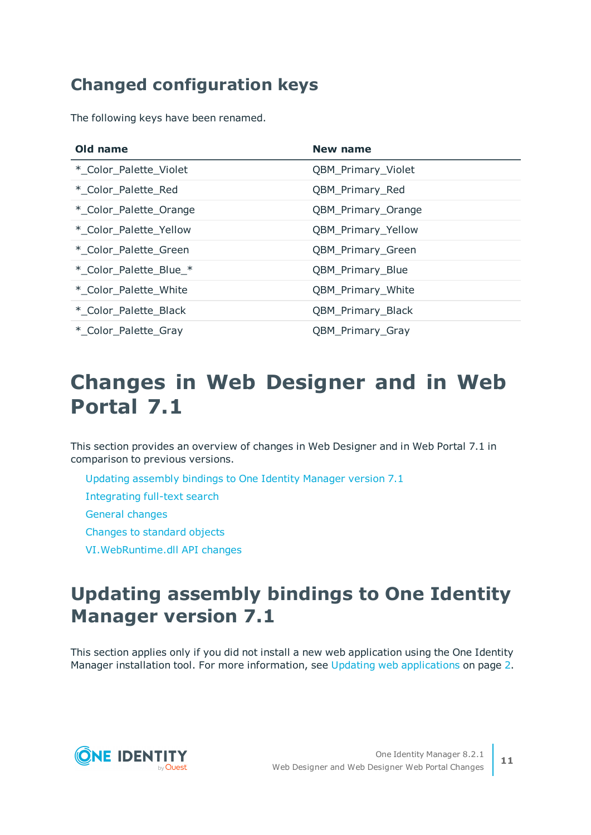# **Changed configuration keys**

The following keys have been renamed.

| Old name               | New name           |
|------------------------|--------------------|
| * Color Palette Violet | QBM_Primary_Violet |
| * Color Palette Red    | QBM_Primary_Red    |
| * Color Palette Orange | QBM_Primary_Orange |
| * Color Palette Yellow | QBM_Primary_Yellow |
| * Color Palette Green  | QBM_Primary_Green  |
| * Color Palette Blue_* | QBM_Primary_Blue   |
| * Color Palette White  | QBM_Primary_White  |
| * Color Palette Black  | QBM_Primary_Black  |
| * Color Palette Gray   | QBM_Primary_Gray   |

# **Changes in Web Designer and in Web Portal 7.1**

This section provides an overview of changes in Web Designer and in Web Portal 7.1 in comparison to previous versions.

- Updating [assembly](#page-10-0) bindings to One Identity Manager version 7.1
- [Integrating](#page-11-0) full-text search
- General [changes](#page-12-0)
- Changes to [standard](#page-14-0) objects
- <span id="page-10-0"></span>[VI.WebRuntime.dll](#page-17-0) API changes

# **Updating assembly bindings to One Identity Manager version 7.1**

This section applies only if you did not install a new web application using the One Identity Manager installation tool. For more [information,](#page-1-1) see Updating web applications on page 2.

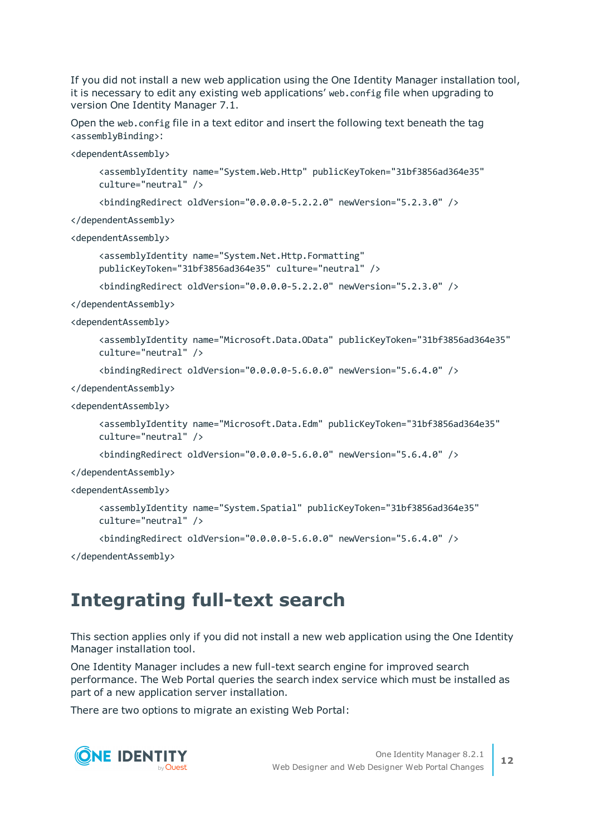If you did not install a new web application using the One Identity Manager installation tool, it is necessary to edit any existing web applications' web.config file when upgrading to version One Identity Manager 7.1.

Open the web.config file in a text editor and insert the following text beneath the tag <assemblyBinding>:

<dependentAssembly>

<assemblyIdentity name="System.Web.Http" publicKeyToken="31bf3856ad364e35" culture="neutral" />

 $\phi$  <br/>bindingRedirect oldVersion="0.0.0.0-5.2.2.0" newVersion="5.2.3.0" />

</dependentAssembly>

<dependentAssembly>

```
<assemblyIdentity name="System.Net.Http.Formatting"
publicKeyToken="31bf3856ad364e35" culture="neutral" />
```
<bindingRedirect oldVersion="0.0.0.0-5.2.2.0" newVersion="5.2.3.0" />

</dependentAssembly>

<dependentAssembly>

<assemblyIdentity name="Microsoft.Data.OData" publicKeyToken="31bf3856ad364e35" culture="neutral" />

```
<bindingRedirect oldVersion="0.0.0.0-5.6.0.0" newVersion="5.6.4.0" />
```
</dependentAssembly>

```
<dependentAssembly>
```

```
<assemblyIdentity name="Microsoft.Data.Edm" publicKeyToken="31bf3856ad364e35"
culture="neutral" />
```
 $\check{\phi}$  <br/>bindingRedirect oldVersion="0.0.0.0-5.6.0.0" newVersion="5.6.4.0" />

</dependentAssembly>

<dependentAssembly>

```
<assemblyIdentity name="System.Spatial" publicKeyToken="31bf3856ad364e35"
culture="neutral" />
```
<bindingRedirect oldVersion="0.0.0.0-5.6.0.0" newVersion="5.6.4.0" />

<span id="page-11-0"></span></dependentAssembly>

# **Integrating full-text search**

This section applies only if you did not install a new web application using the One Identity Manager installation tool.

One Identity Manager includes a new full-text search engine for improved search performance. The Web Portal queries the search index service which must be installed as part of a new application server installation.

There are two options to migrate an existing Web Portal:

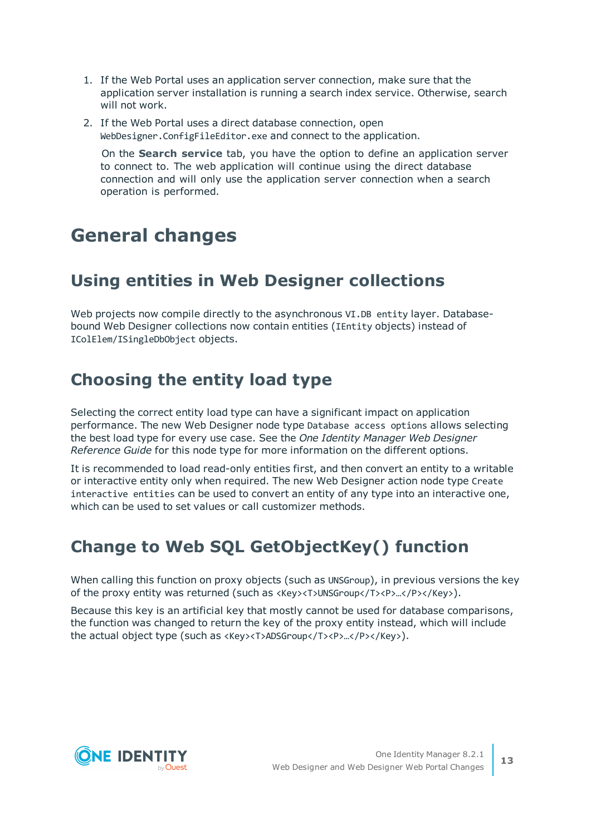- 1. If the Web Portal uses an application server connection, make sure that the application server installation is running a search index service. Otherwise, search will not work.
- 2. If the Web Portal uses a direct database connection, open WebDesigner.ConfigFileEditor.exe and connect to the application.

On the **Search service** tab, you have the option to define an application server to connect to. The web application will continue using the direct database connection and will only use the application server connection when a search operation is performed.

# <span id="page-12-0"></span>**General changes**

# **Using entities in Web Designer collections**

Web projects now compile directly to the asynchronous VI.DB entity layer. Databasebound Web Designer collections now contain entities (IEntity objects) instead of IColElem/ISingleDbObject objects.

# **Choosing the entity load type**

Selecting the correct entity load type can have a significant impact on application performance. The new Web Designer node type Database access options allows selecting the best load type for every use case. See the *One Identity Manager Web Designer Reference Guide* for this node type for more information on the different options.

It is recommended to load read-only entities first, and then convert an entity to a writable or interactive entity only when required. The new Web Designer action node type Create interactive entities can be used to convert an entity of any type into an interactive one, which can be used to set values or call customizer methods.

# **Change to Web SQL GetObjectKey() function**

When calling this function on proxy objects (such as UNSGroup), in previous versions the key of the proxy entity was returned (such as <Key><T>UNSGroup</T><P>…</P></Key>).

Because this key is an artificial key that mostly cannot be used for database comparisons, the function was changed to return the key of the proxy entity instead, which will include the actual object type (such as <Key><T>ADSGroup</T><P>…</P></Key>).

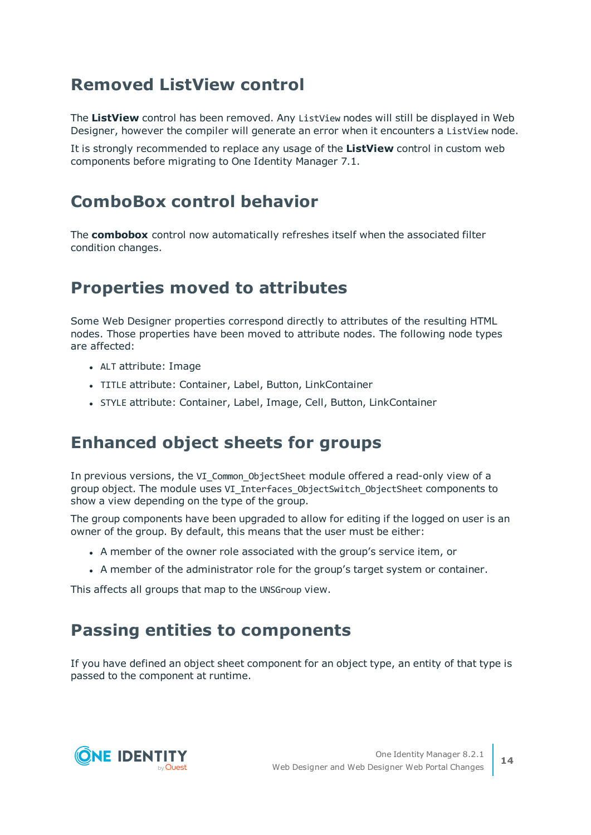# **Removed ListView control**

The **ListView** control has been removed. Any ListView nodes will still be displayed in Web Designer, however the compiler will generate an error when it encounters a ListView node.

It is strongly recommended to replace any usage of the **ListView** control in custom web components before migrating to One Identity Manager 7.1.

# **ComboBox control behavior**

The **combobox** control now automatically refreshes itself when the associated filter condition changes.

# **Properties moved to attributes**

Some Web Designer properties correspond directly to attributes of the resulting HTML nodes. Those properties have been moved to attribute nodes. The following node types are affected:

- ALT attribute: Image
- TITLE attribute: Container, Label, Button, LinkContainer
- STYLE attribute: Container, Label, Image, Cell, Button, LinkContainer

### **Enhanced object sheets for groups**

In previous versions, the VI Common ObjectSheet module offered a read-only view of a group object. The module uses VI\_Interfaces\_ObjectSwitch\_ObjectSheet components to show a view depending on the type of the group.

The group components have been upgraded to allow for editing if the logged on user is an owner of the group. By default, this means that the user must be either:

- A member of the owner role associated with the group's service item, or
- A member of the administrator role for the group's target system or container.

This affects all groups that map to the UNSGroup view.

# **Passing entities to components**

If you have defined an object sheet component for an object type, an entity of that type is passed to the component at runtime.

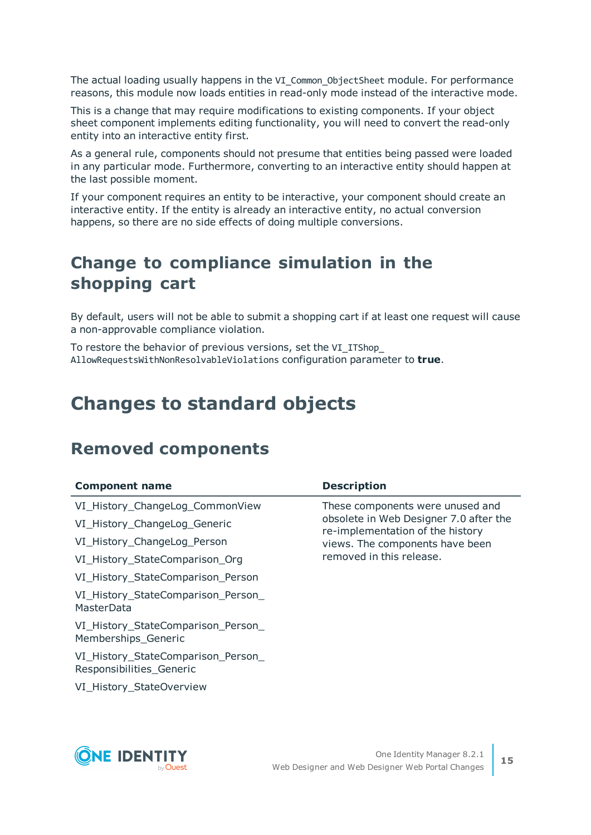The actual loading usually happens in the VI\_Common\_ObjectSheet module. For performance reasons, this module now loads entities in read-only mode instead of the interactive mode.

This is a change that may require modifications to existing components. If your object sheet component implements editing functionality, you will need to convert the read-only entity into an interactive entity first.

As a general rule, components should not presume that entities being passed were loaded in any particular mode. Furthermore, converting to an interactive entity should happen at the last possible moment.

If your component requires an entity to be interactive, your component should create an interactive entity. If the entity is already an interactive entity, no actual conversion happens, so there are no side effects of doing multiple conversions.

# **Change to compliance simulation in the shopping cart**

By default, users will not be able to submit a shopping cart if at least one request will cause a non-approvable compliance violation.

To restore the behavior of previous versions, set the VI\_ITShop\_ AllowRequestsWithNonResolvableViolations configuration parameter to **true**.

# <span id="page-14-0"></span>**Changes to standard objects**

# **Removed components**

| <b>Component name</b>                                          | <b>Description</b>                                                         |
|----------------------------------------------------------------|----------------------------------------------------------------------------|
| VI_History_ChangeLog_CommonView                                | These components were unused and                                           |
| VI_History_ChangeLog_Generic                                   | obsolete in Web Designer 7.0 after the<br>re-implementation of the history |
| VI_History_ChangeLog_Person                                    | views. The components have been                                            |
| VI_History_StateComparison_Org                                 | removed in this release.                                                   |
| VI_History_StateComparison_Person                              |                                                                            |
| VI_History_StateComparison_Person_<br>MasterData               |                                                                            |
| VI_History_StateComparison_Person_<br>Memberships_Generic      |                                                                            |
| VI_History_StateComparison_Person_<br>Responsibilities Generic |                                                                            |
| VI_History_StateOverview                                       |                                                                            |

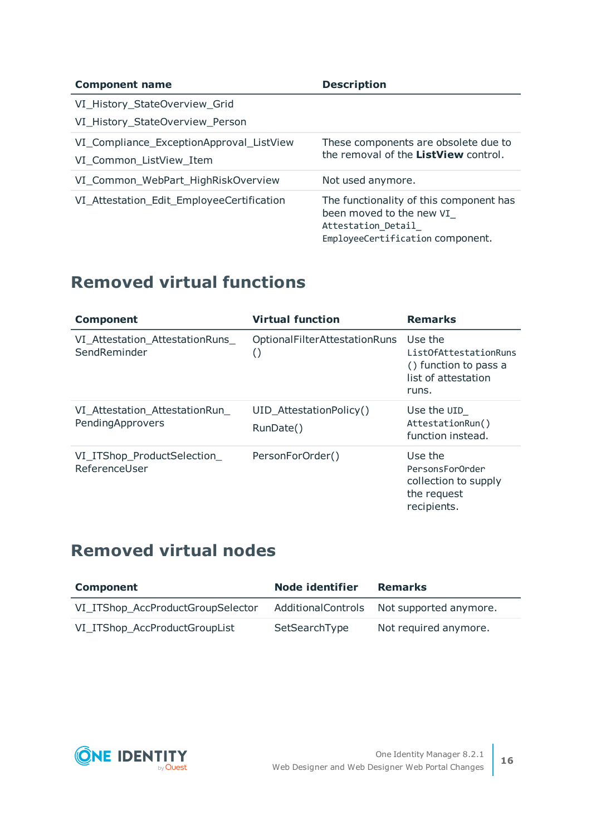| <b>Component name</b>                                               | <b>Description</b>                                                                                                            |
|---------------------------------------------------------------------|-------------------------------------------------------------------------------------------------------------------------------|
| VI_History_StateOverview_Grid                                       |                                                                                                                               |
| VI_History_StateOverview_Person                                     |                                                                                                                               |
| VI_Compliance_ExceptionApproval_ListView<br>VI_Common_ListView_Item | These components are obsolete due to<br>the removal of the ListView control.                                                  |
| VI_Common_WebPart_HighRiskOverview                                  | Not used anymore.                                                                                                             |
| VI_Attestation_Edit_EmployeeCertification                           | The functionality of this component has<br>been moved to the new VI<br>Attestation Detail<br>EmployeeCertification component. |

# **Removed virtual functions**

| <b>Component</b>                                   | <b>Virtual function</b>                                 | <b>Remarks</b>                                                                            |
|----------------------------------------------------|---------------------------------------------------------|-------------------------------------------------------------------------------------------|
| VI_Attestation_AttestationRuns<br>SendReminder     | <b>OptionalFilterAttestationRuns</b><br>$\left(\right)$ | Use the<br>ListOfAttestationRuns<br>() function to pass a<br>list of attestation<br>runs. |
| VI_Attestation_AttestationRun_<br>PendingApprovers | UID AttestationPolicy()<br>RunDate()                    | Use the UID<br>AttestationRun()<br>function instead.                                      |
| VI_ITShop_ProductSelection_<br>ReferenceUser       | PersonForOrder()                                        | Use the<br>PersonsFor0rder<br>collection to supply<br>the request<br>recipients.          |

# **Removed virtual nodes**

| <b>Component</b>                  | Node identifier | <b>Remarks</b>                            |
|-----------------------------------|-----------------|-------------------------------------------|
| VI_ITShop_AccProductGroupSelector |                 | AdditionalControls Not supported anymore. |
| VI_ITShop_AccProductGroupList     | SetSearchType   | Not required anymore.                     |

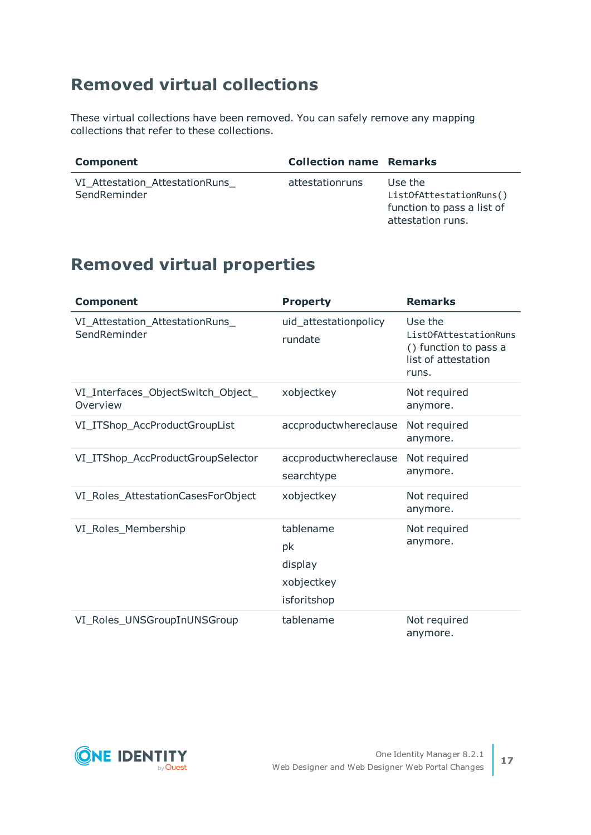# **Removed virtual collections**

These virtual collections have been removed. You can safely remove any mapping collections that refer to these collections.

| Component                                      | <b>Collection name Remarks</b> |                                                                                       |
|------------------------------------------------|--------------------------------|---------------------------------------------------------------------------------------|
| VI Attestation AttestationRuns<br>SendReminder | attestationruns                | Use the<br>ListOfAttestationRuns()<br>function to pass a list of<br>attestation runs. |

# **Removed virtual properties**

| <b>Component</b>                                | <b>Property</b>                                         | <b>Remarks</b>                                                                            |
|-------------------------------------------------|---------------------------------------------------------|-------------------------------------------------------------------------------------------|
| VI_Attestation_AttestationRuns_<br>SendReminder | uid_attestationpolicy<br>rundate                        | Use the<br>ListOfAttestationRuns<br>() function to pass a<br>list of attestation<br>runs. |
| VI_Interfaces_ObjectSwitch_Object_<br>Overview  | xobjectkey                                              | Not required<br>anymore.                                                                  |
| VI_ITShop_AccProductGroupList                   | accproductwhereclause                                   | Not required<br>anymore.                                                                  |
| VI_ITShop_AccProductGroupSelector               | accproductwhereclause<br>searchtype                     | Not required<br>anymore.                                                                  |
| VI_Roles_AttestationCasesForObject              | xobjectkey                                              | Not required<br>anymore.                                                                  |
| VI_Roles_Membership                             | tablename<br>pk<br>display<br>xobjectkey<br>isforitshop | Not required<br>anymore.                                                                  |
| VI_Roles_UNSGroupInUNSGroup                     | tablename                                               | Not required<br>anymore.                                                                  |

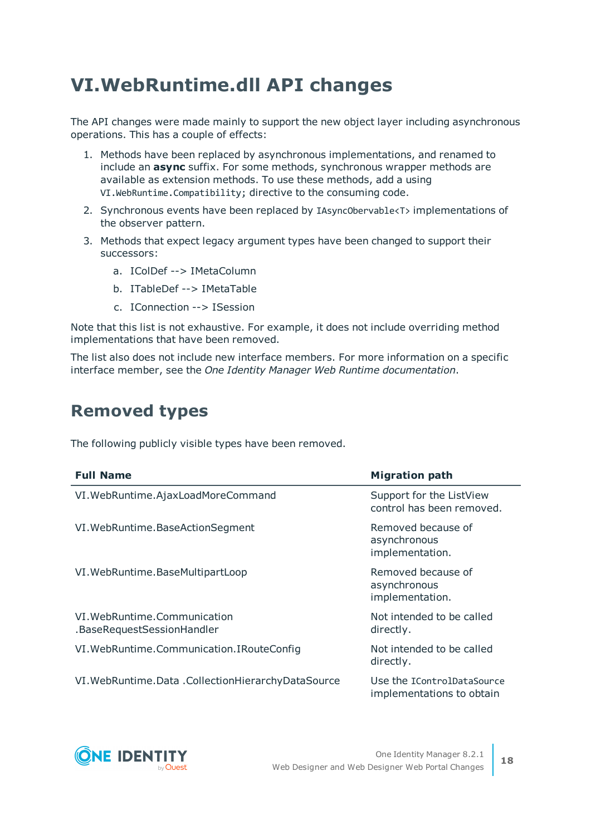# <span id="page-17-0"></span>**VI.WebRuntime.dll API changes**

The API changes were made mainly to support the new object layer including asynchronous operations. This has a couple of effects:

- 1. Methods have been replaced by asynchronous implementations, and renamed to include an **async** suffix. For some methods, synchronous wrapper methods are available as extension methods. To use these methods, add a using VI.WebRuntime.Compatibility; directive to the consuming code.
- 2. Synchronous events have been replaced by IAsyncObervable<T> implementations of the observer pattern.
- 3. Methods that expect legacy argument types have been changed to support their successors:
	- a. IColDef --> IMetaColumn
	- b. ITableDef --> IMetaTable
	- c. IConnection --> ISession

Note that this list is not exhaustive. For example, it does not include overriding method implementations that have been removed.

The list also does not include new interface members. For more information on a specific interface member, see the *One Identity Manager Web Runtime documentation*.

### **Removed types**

The following publicly visible types have been removed.

| <b>Full Name</b>                                            | <b>Migration path</b>                                   |
|-------------------------------------------------------------|---------------------------------------------------------|
| VI. WebRuntime. AjaxLoadMoreCommand                         | Support for the ListView<br>control has been removed.   |
| VI. WebRuntime. BaseActionSegment                           | Removed because of<br>asynchronous<br>implementation.   |
| VI. WebRuntime. BaseMultipartLoop                           | Removed because of<br>asynchronous<br>implementation.   |
| VI. WebRuntime. Communication<br>.BaseRequestSessionHandler | Not intended to be called<br>directly.                  |
| VI. WebRuntime. Communication. I RouteConfig                | Not intended to be called<br>directly.                  |
| VI. WebRuntime. Data. Collection Hierarchy Data Source      | Use the IControlDataSource<br>implementations to obtain |

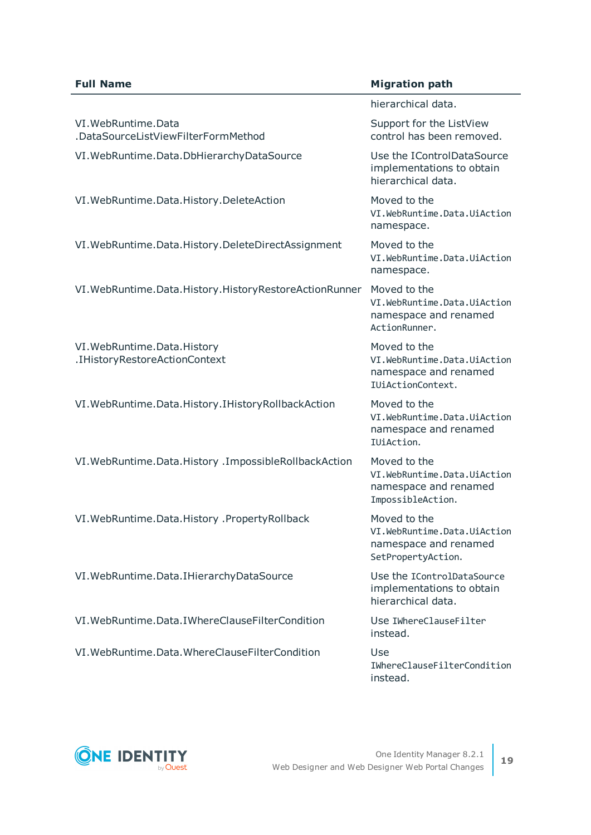#### **Full Name Migration path**

|                                                                | hierarchical data.                                                                         |
|----------------------------------------------------------------|--------------------------------------------------------------------------------------------|
| VI. WebRuntime. Data<br>.DataSourceListViewFilterFormMethod    | Support for the ListView<br>control has been removed.                                      |
| VI. WebRuntime. Data. DbHierarchy DataSource                   | Use the IControlDataSource<br>implementations to obtain<br>hierarchical data.              |
| VI. WebRuntime. Data. History. DeleteAction                    | Moved to the<br>VI.WebRuntime.Data.UiAction<br>namespace.                                  |
| VI. WebRuntime. Data. History. DeleteDirectAssignment          | Moved to the<br>VI.WebRuntime.Data.UiAction<br>namespace.                                  |
| VI. WebRuntime. Data. History. History Restore Action Runner   | Moved to the<br>VI.WebRuntime.Data.UiAction<br>namespace and renamed<br>ActionRunner.      |
| VI. WebRuntime. Data. History<br>.IHistoryRestoreActionContext | Moved to the<br>VI.WebRuntime.Data.UiAction<br>namespace and renamed<br>IUiActionContext.  |
| VI. WebRuntime. Data. History. I History Rollback Action       | Moved to the<br>VI.WebRuntime.Data.UiAction<br>namespace and renamed<br>IUiAction.         |
| VI. WebRuntime. Data. History . Impossible Rollback Action     | Moved to the<br>VI.WebRuntime.Data.UiAction<br>namespace and renamed<br>ImpossibleAction.  |
| VI. WebRuntime. Data. History . Property Rollback              | Moved to the<br>VI.WebRuntime.Data.UiAction<br>namespace and renamed<br>SetPropertyAction. |
| VI. WebRuntime. Data. I Hierarchy Data Source                  | Use the IControlDataSource<br>implementations to obtain<br>hierarchical data.              |
| VI. WebRuntime. Data. I Where Clause Filter Condition          | Use IWhereClauseFilter<br>instead.                                                         |
| VI. WebRuntime. Data. WhereClauseFilterCondition               | Use<br>IWhereClauseFilterCondition<br>instead.                                             |

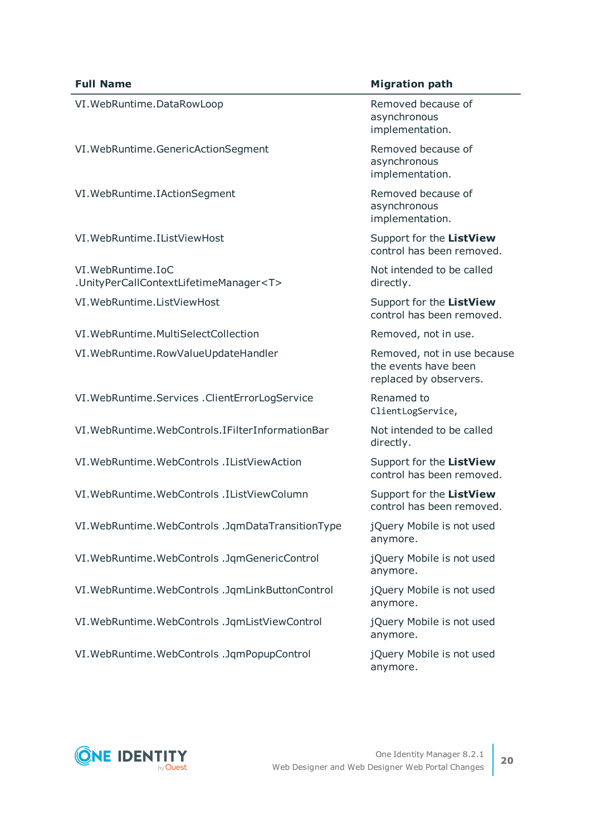VI.WebRuntime.DataRowLoop Removed because of

VI.WebRuntime.GenericActionSegment Removed because of

VI. WebRuntime. IAction Segment The Removed because of

VI.WebRuntime.IListViewHost Support for the **ListView**

VI.WebRuntime.IoC .UnityPerCallContextLifetimeManager<T> VI.WebRuntime.ListViewHost Support for the **ListView**

VI.WebRuntime.MultiSelectCollection Removed, not in use. VI.WebRuntime.RowValueUpdateHandler Removed, not in use because

VI.WebRuntime.Services .ClientErrorLogService Renamed to

VI.WebRuntime.WebControls.IFilterInformationBar Not intended to be called

VI.WebRuntime.WebControls .IListViewAction Support for the **ListView**

VI.WebRuntime.WebControls .IListViewColumn Support for the **ListView**

VI.WebRuntime.WebControls .JqmDataTransitionType jQuery Mobile is not used

VI.WebRuntime.WebControls .JqmGenericControl jQuery Mobile is not used

VI.WebRuntime.WebControls .JqmLinkButtonControl jQuery Mobile is not used

VI.WebRuntime.WebControls .JqmListViewControl jQuery Mobile is not used

VI.WebRuntime.WebControls .JqmPopupControl jQuery Mobile is not used

#### **Full Name Migration** *Migration* **path**

asynchronous implementation.

asynchronous implementation.

asynchronous implementation.

control has been removed.

Not intended to be called directly.

control has been removed.

the events have been replaced by observers.

ClientLogService,

directly.

control has been removed.

control has been removed.

anymore.

anymore.

anymore.

anymore.

anymore.

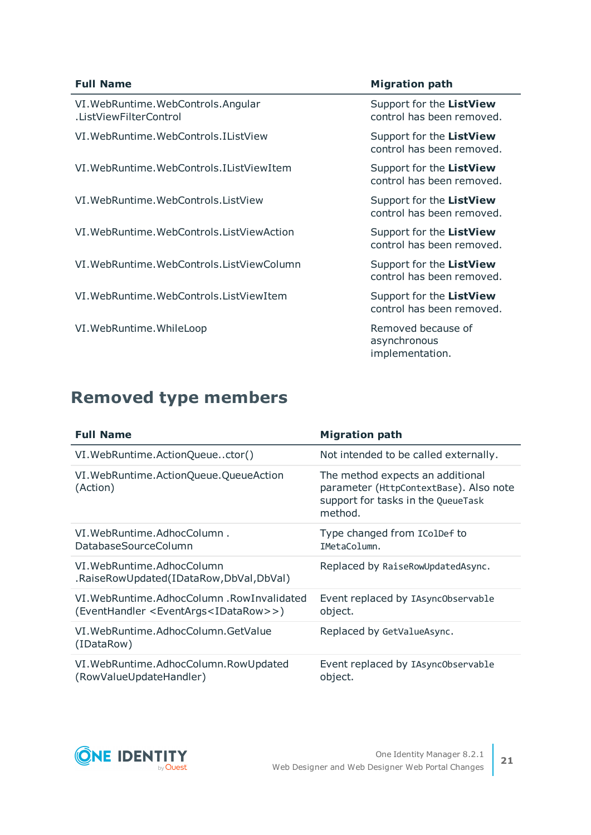#### **Full Name Migration Path**

VI.WebRuntime.WebControls.Angular .ListViewFilterControl

- VI.WebRuntime.WebControls.IListView Support for the **ListView**
- VI.WebRuntime.WebControls.IListViewItem Support for the **ListView**
- VI.WebRuntime.WebControls.ListView Support for the **ListView**
- VI.WebRuntime.WebControls.ListViewAction Support for the **ListView**
- VI.WebRuntime.WebControls.ListViewColumn Support for the **ListView**
- VI.WebRuntime.WebControls.ListViewItem Support for the **ListView**
- VI.WebRuntime.WhileLoop Number of Removed because of

Support for the **ListView** control has been removed.

control has been removed.

control has been removed.

control has been removed.

control has been removed.

control has been removed.

control has been removed.

asynchronous implementation.

### **Removed type members**

| <b>Full Name</b>                                                                                             | <b>Migration path</b>                                                                                                       |
|--------------------------------------------------------------------------------------------------------------|-----------------------------------------------------------------------------------------------------------------------------|
| VI. WebRuntime. ActionQueuector()                                                                            | Not intended to be called externally.                                                                                       |
| VI. WebRuntime. ActionQueue. QueueAction<br>(Action)                                                         | The method expects an additional<br>parameter (HttpContextBase). Also note<br>support for tasks in the QueueTask<br>method. |
| VI. WebRuntime. Adhoc Column.<br>DatabaseSourceColumn                                                        | Type changed from IColDef to<br>IMetaColumn.                                                                                |
| VI. WebRuntime. AdhocColumn<br>.RaiseRowUpdated(IDataRow,DbVal,DbVal)                                        | Replaced by RaiseRowUpdatedAsync.                                                                                           |
| VI. WebRuntime. AdhocColumn . RowInvalidated<br>(EventHandler <eventargs<idatarow>&gt;)</eventargs<idatarow> | Event replaced by IAsync0bservable<br>object.                                                                               |
| VI. WebRuntime. Adhoc Column. Get Value<br>(IDataRow)                                                        | Replaced by GetValueAsync.                                                                                                  |
| VI. WebRuntime. AdhocColumn. RowUpdated<br>(RowValueUpdateHandler)                                           | Event replaced by IAsync0bservable<br>object.                                                                               |

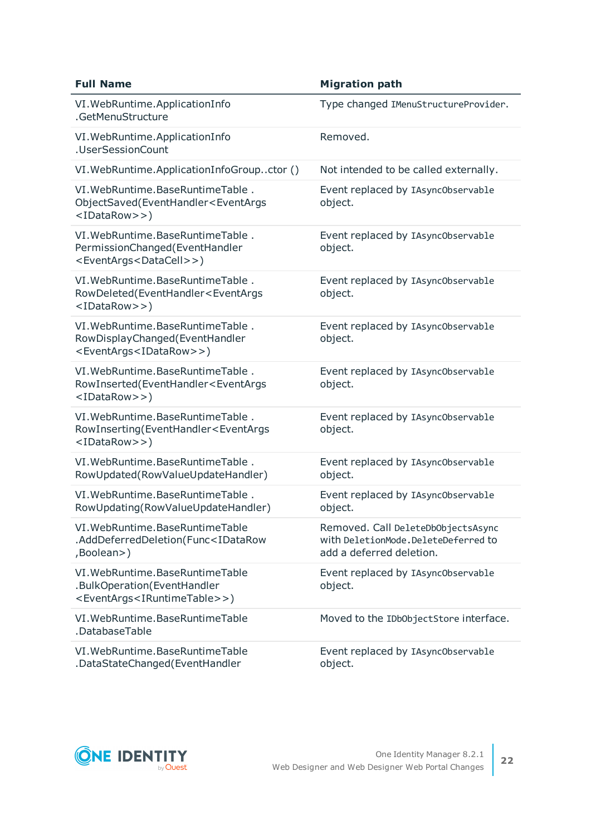| <b>Full Name</b>                                                                                                            | <b>Migration path</b>                                                                                 |
|-----------------------------------------------------------------------------------------------------------------------------|-------------------------------------------------------------------------------------------------------|
| VI. WebRuntime. ApplicationInfo<br>.GetMenuStructure                                                                        | Type changed IMenuStructureProvider.                                                                  |
| VI. WebRuntime. ApplicationInfo<br>.UserSessionCount                                                                        | Removed.                                                                                              |
| VI. WebRuntime. ApplicationInfoGroupctor ()                                                                                 | Not intended to be called externally.                                                                 |
| VI. WebRuntime. BaseRuntimeTable.<br>ObjectSaved(EventHandler <eventargs<br><idatarow>&gt;)</idatarow></eventargs<br>       | Event replaced by IAsync0bservable<br>object.                                                         |
| VI. WebRuntime. BaseRuntimeTable.<br>PermissionChanged(EventHandler<br><eventargs<datacell>&gt;)</eventargs<datacell>       | Event replaced by IAsync0bservable<br>object.                                                         |
| VI. WebRuntime. BaseRuntimeTable.<br>RowDeleted(EventHandler <eventargs<br><idatarow>&gt;)</idatarow></eventargs<br>        | Event replaced by IAsync0bservable<br>object.                                                         |
| VI. WebRuntime. BaseRuntimeTable.<br>RowDisplayChanged(EventHandler<br><eventargs<idatarow>&gt;)</eventargs<idatarow>       | Event replaced by IAsync0bservable<br>object.                                                         |
| VI. WebRuntime. BaseRuntimeTable.<br>RowInserted(EventHandler <eventargs<br><idatarow>&gt;)</idatarow></eventargs<br>       | Event replaced by IAsync0bservable<br>object.                                                         |
| VI. WebRuntime. BaseRuntimeTable.<br>RowInserting(EventHandler <eventargs<br><idatarow>&gt;)</idatarow></eventargs<br>      | Event replaced by IAsync0bservable<br>object.                                                         |
| VI. WebRuntime. BaseRuntimeTable.<br>RowUpdated(RowValueUpdateHandler)                                                      | Event replaced by IAsync0bservable<br>object.                                                         |
| VI. WebRuntime. BaseRuntimeTable.<br>RowUpdating(RowValueUpdateHandler)                                                     | Event replaced by IAsync0bservable<br>object.                                                         |
| VI. WebRuntime. BaseRuntimeTable<br>.AddDeferredDeletion(Func <idatarow<br>,Boolean&gt;)</idatarow<br>                      | Removed. Call DeleteDbObjectsAsync<br>with DeletionMode.DeleteDeferred to<br>add a deferred deletion. |
| VI. WebRuntime. BaseRuntimeTable<br>.BulkOperation(EventHandler<br><eventargs<iruntimetable>&gt;)</eventargs<iruntimetable> | Event replaced by IAsync0bservable<br>object.                                                         |
| VI. WebRuntime. BaseRuntimeTable<br>.DatabaseTable                                                                          | Moved to the IDbObjectStore interface.                                                                |
| VI. WebRuntime. BaseRuntimeTable<br>.DataStateChanged(EventHandler                                                          | Event replaced by IAsync0bservable<br>object.                                                         |

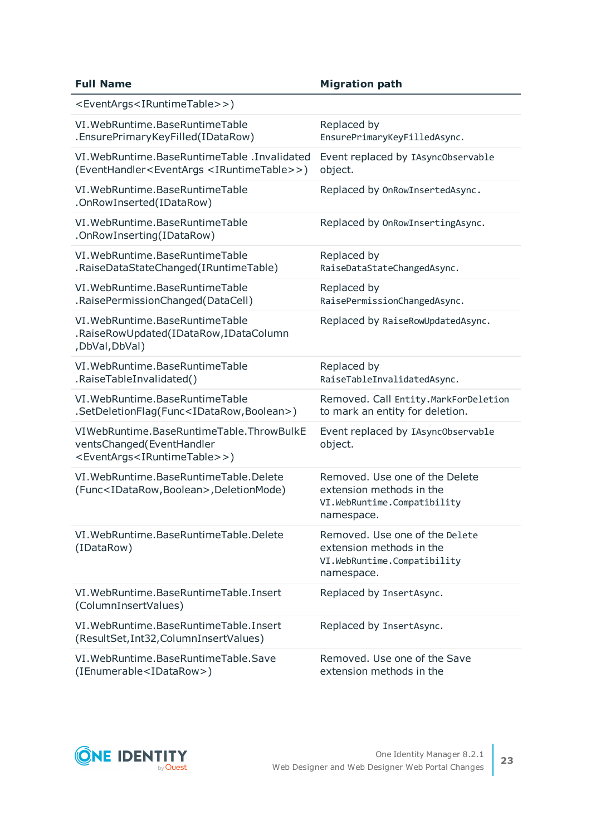| <b>Full Name</b>                                                                                                                  | <b>Migration path</b>                                                                                   |
|-----------------------------------------------------------------------------------------------------------------------------------|---------------------------------------------------------------------------------------------------------|
| <eventargs<iruntimetable>&gt;)</eventargs<iruntimetable>                                                                          |                                                                                                         |
| VI. WebRuntime. BaseRuntimeTable<br>.EnsurePrimaryKeyFilled(IDataRow)                                                             | Replaced by<br>EnsurePrimaryKeyFilledAsync.                                                             |
| VI. WebRuntime. BaseRuntimeTable . Invalidated<br>(EventHandler <eventargs <iruntimetable="">&gt;)</eventargs>                    | Event replaced by IAsync0bservable<br>object.                                                           |
| VI. WebRuntime. BaseRuntimeTable<br>.OnRowInserted(IDataRow)                                                                      | Replaced by OnRowInsertedAsync.                                                                         |
| VI. WebRuntime. BaseRuntimeTable<br>.OnRowInserting(IDataRow)                                                                     | Replaced by OnRowInsertingAsync.                                                                        |
| VI. WebRuntime. BaseRuntimeTable<br>.RaiseDataStateChanged(IRuntimeTable)                                                         | Replaced by<br>RaiseDataStateChangedAsync.                                                              |
| VI. WebRuntime. BaseRuntimeTable<br>.RaisePermissionChanged(DataCell)                                                             | Replaced by<br>RaisePermissionChangedAsync.                                                             |
| VI. WebRuntime. BaseRuntimeTable<br>.RaiseRowUpdated(IDataRow,IDataColumn<br>,DbVal,DbVal)                                        | Replaced by RaiseRowUpdatedAsync.                                                                       |
| VI. WebRuntime. BaseRuntimeTable<br>.RaiseTableInvalidated()                                                                      | Replaced by<br>RaiseTableInvalidatedAsync.                                                              |
| VI. WebRuntime. BaseRuntimeTable<br>.SetDeletionFlag(Func <idatarow,boolean>)</idatarow,boolean>                                  | Removed. Call Entity. MarkForDeletion<br>to mark an entity for deletion.                                |
| VIWebRuntime.BaseRuntimeTable.ThrowBulkE<br>ventsChanged(EventHandler<br><eventargs<iruntimetable>&gt;)</eventargs<iruntimetable> | Event replaced by IAsync0bservable<br>object.                                                           |
| VI. WebRuntime. BaseRuntimeTable. Delete<br>(Func <idatarow,boolean>,DeletionMode)</idatarow,boolean>                             | Removed. Use one of the Delete<br>extension methods in the<br>VI.WebRuntime.Compatibility<br>namespace. |
| VI. WebRuntime. BaseRuntimeTable. Delete<br>(IDataRow)                                                                            | Removed. Use one of the Delete<br>extension methods in the<br>VI.WebRuntime.Compatibility<br>namespace. |
| VI. WebRuntime. BaseRuntimeTable. Insert<br>(ColumnInsertValues)                                                                  | Replaced by InsertAsync.                                                                                |
| VI. WebRuntime. BaseRuntimeTable. Insert<br>(ResultSet, Int32, ColumnInsertValues)                                                | Replaced by InsertAsync.                                                                                |
| VI. WebRuntime. BaseRuntimeTable. Save<br>(IEnumerable <idatarow>)</idatarow>                                                     | Removed. Use one of the Save<br>extension methods in the                                                |

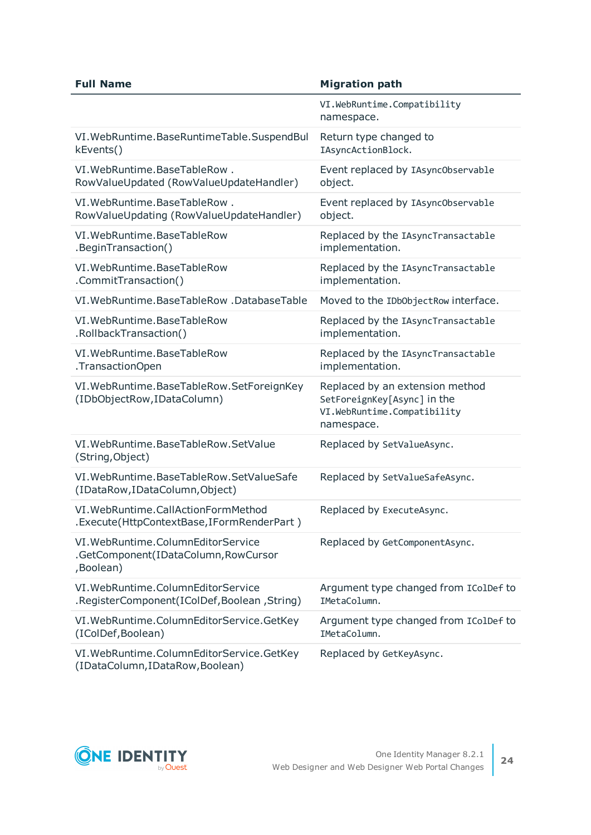| <b>Full Name</b>                                                                          | <b>Migration path</b>                                                                                       |
|-------------------------------------------------------------------------------------------|-------------------------------------------------------------------------------------------------------------|
|                                                                                           | VI.WebRuntime.Compatibility<br>namespace.                                                                   |
| VI. WebRuntime. BaseRuntimeTable. SuspendBul                                              | Return type changed to                                                                                      |
| kEvents()                                                                                 | IAsyncActionBlock.                                                                                          |
| VI. WebRuntime. BaseTableRow.                                                             | Event replaced by IAsync0bservable                                                                          |
| RowValueUpdated (RowValueUpdateHandler)                                                   | object.                                                                                                     |
| VI. WebRuntime. BaseTableRow.                                                             | Event replaced by IAsync0bservable                                                                          |
| RowValueUpdating (RowValueUpdateHandler)                                                  | object.                                                                                                     |
| VI. WebRuntime. BaseTableRow                                                              | Replaced by the IAsyncTransactable                                                                          |
| .BeginTransaction()                                                                       | implementation.                                                                                             |
| VI. WebRuntime. BaseTableRow                                                              | Replaced by the IAsyncTransactable                                                                          |
| .CommitTransaction()                                                                      | implementation.                                                                                             |
| VI. WebRuntime. BaseTableRow . DatabaseTable                                              | Moved to the IDbObjectRow interface.                                                                        |
| VI. WebRuntime. BaseTableRow                                                              | Replaced by the IAsyncTransactable                                                                          |
| .RollbackTransaction()                                                                    | implementation.                                                                                             |
| VI. WebRuntime. BaseTableRow                                                              | Replaced by the IAsyncTransactable                                                                          |
| .TransactionOpen                                                                          | implementation.                                                                                             |
| VI. WebRuntime. BaseTableRow. SetForeignKey<br>(IDbObjectRow, IDataColumn)                | Replaced by an extension method<br>SetForeignKey[Async] in the<br>VI.WebRuntime.Compatibility<br>namespace. |
| VI. WebRuntime. BaseTableRow. SetValue<br>(String, Object)                                | Replaced by SetValueAsync.                                                                                  |
| VI. WebRuntime. BaseTableRow. SetValueSafe<br>(IDataRow, IDataColumn, Object)             | Replaced by SetValueSafeAsync.                                                                              |
| VI. WebRuntime. CallActionFormMethod<br>.Execute(HttpContextBase,IFormRenderPart)         | Replaced by ExecuteAsync.                                                                                   |
| VI. WebRuntime. ColumnEditor Service<br>.GetComponent(IDataColumn, RowCursor<br>,Boolean) | Replaced by GetComponentAsync.                                                                              |
| VI. WebRuntime. ColumnEditor Service                                                      | Argument type changed from IColDef to                                                                       |
| .RegisterComponent(IColDef,Boolean,String)                                                | IMetaColumn.                                                                                                |
| VI. WebRuntime. ColumnEditorService. GetKey                                               | Argument type changed from IColDef to                                                                       |
| (IColDef, Boolean)                                                                        | IMetaColumn.                                                                                                |
| VI. WebRuntime. ColumnEditorService. GetKey<br>(IDataColumn, IDataRow, Boolean)           | Replaced by GetKeyAsync.                                                                                    |

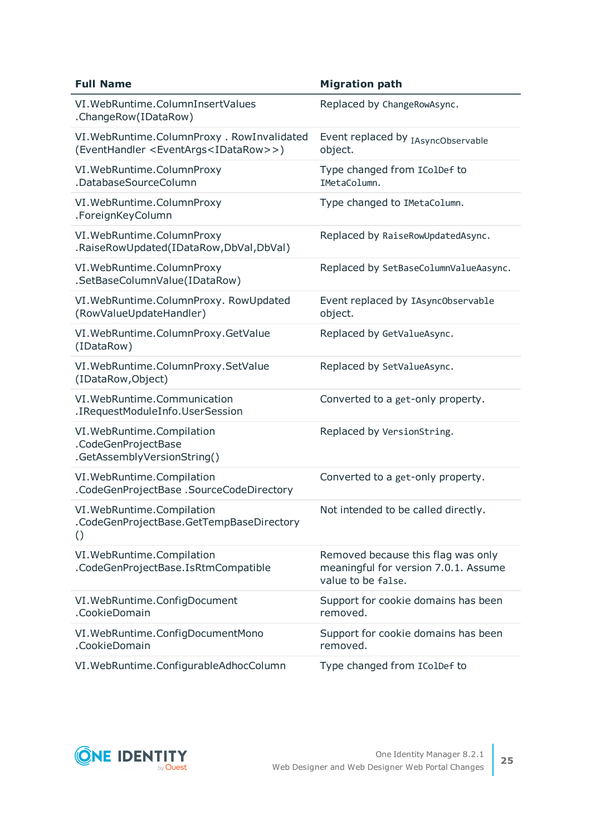| <b>Full Name</b>                                                                                             | <b>Migration path</b>                                                                            |
|--------------------------------------------------------------------------------------------------------------|--------------------------------------------------------------------------------------------------|
| VI. WebRuntime. ColumnInsertValues<br>.ChangeRow(IDataRow)                                                   | Replaced by ChangeRowAsync.                                                                      |
| VI. WebRuntime. ColumnProxy . RowInvalidated<br>(EventHandler <eventargs<idatarow>&gt;)</eventargs<idatarow> | Event replaced by IAsyncObservable<br>object.                                                    |
| VI. WebRuntime. ColumnProxy<br>.DatabaseSourceColumn                                                         | Type changed from IColDef to<br>IMetaColumn.                                                     |
| VI. WebRuntime. ColumnProxy<br>.ForeignKeyColumn                                                             | Type changed to IMetaColumn.                                                                     |
| VI. WebRuntime. ColumnProxy<br>.RaiseRowUpdated(IDataRow,DbVal,DbVal)                                        | Replaced by RaiseRowUpdatedAsync.                                                                |
| VI. WebRuntime. ColumnProxy<br>.SetBaseColumnValue(IDataRow)                                                 | Replaced by SetBaseColumnValueAasync.                                                            |
| VI. WebRuntime. ColumnProxy. RowUpdated<br>(RowValueUpdateHandler)                                           | Event replaced by IAsync0bservable<br>object.                                                    |
| VI. WebRuntime. ColumnProxy. GetValue<br>(IDataRow)                                                          | Replaced by GetValueAsync.                                                                       |
| VI. WebRuntime. ColumnProxy. SetValue<br>(IDataRow, Object)                                                  | Replaced by SetValueAsync.                                                                       |
| VI. WebRuntime. Communication<br>.IRequestModuleInfo.UserSession                                             | Converted to a get-only property.                                                                |
| VI. WebRuntime. Compilation<br>.CodeGenProjectBase<br>.GetAssemblyVersionString()                            | Replaced by VersionString.                                                                       |
| VI. WebRuntime. Compilation<br>.CodeGenProjectBase .SourceCodeDirectory                                      | Converted to a get-only property.                                                                |
| VI. WebRuntime. Compilation<br>.CodeGenProjectBase.GetTempBaseDirectory<br>$\left( \right)$                  | Not intended to be called directly.                                                              |
| VI. WebRuntime. Compilation<br>.CodeGenProjectBase.IsRtmCompatible                                           | Removed because this flag was only<br>meaningful for version 7.0.1. Assume<br>value to be false. |
| VI. WebRuntime. ConfigDocument<br>.CookieDomain                                                              | Support for cookie domains has been<br>removed.                                                  |
| VI. WebRuntime. ConfigDocumentMono<br>.CookieDomain                                                          | Support for cookie domains has been<br>removed.                                                  |
| VI. WebRuntime. ConfigurableAdhocColumn                                                                      | Type changed from IColDef to                                                                     |

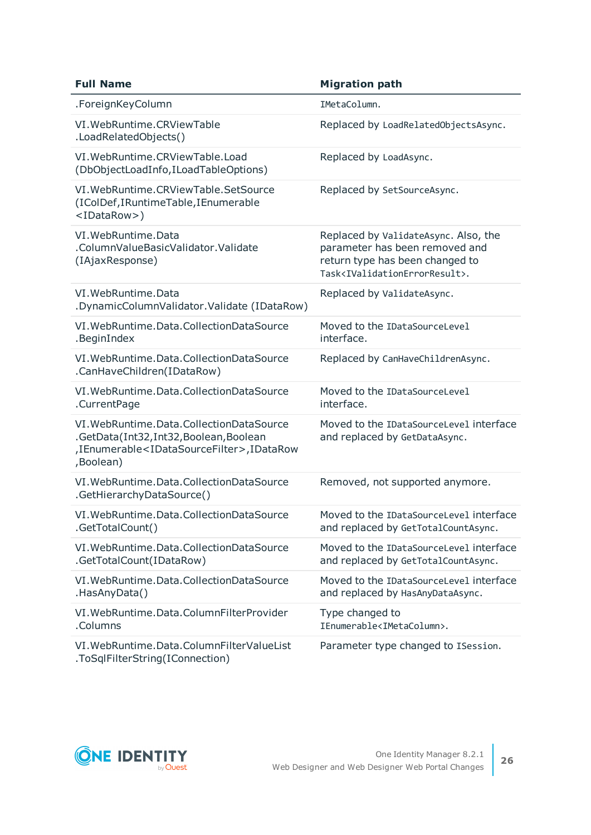| <b>Full Name</b>                                                                                                                                                    | <b>Migration path</b>                                                                                                                                                |
|---------------------------------------------------------------------------------------------------------------------------------------------------------------------|----------------------------------------------------------------------------------------------------------------------------------------------------------------------|
| .ForeignKeyColumn                                                                                                                                                   | IMetaColumn.                                                                                                                                                         |
| VI. WebRuntime. CRViewTable<br>.LoadRelatedObjects()                                                                                                                | Replaced by LoadRelatedObjectsAsync.                                                                                                                                 |
| VI. WebRuntime. CRViewTable. Load<br>(DbObjectLoadInfo,ILoadTableOptions)                                                                                           | Replaced by LoadAsync.                                                                                                                                               |
| VI. WebRuntime. CRViewTable. SetSource<br>(IColDef, IRuntime Table, IEnumerable<br><idatarow>)</idatarow>                                                           | Replaced by SetSourceAsync.                                                                                                                                          |
| VI. WebRuntime. Data<br>.ColumnValueBasicValidator.Validate<br>(IAjaxResponse)                                                                                      | Replaced by ValidateAsync. Also, the<br>parameter has been removed and<br>return type has been changed to<br>Task <ivalidationerrorresult>.</ivalidationerrorresult> |
| VI. WebRuntime. Data<br>.DynamicColumnValidator.Validate (IDataRow)                                                                                                 | Replaced by ValidateAsync.                                                                                                                                           |
| VI. WebRuntime. Data. Collection Data Source<br>.BeginIndex                                                                                                         | Moved to the IDataSourceLevel<br>interface.                                                                                                                          |
| VI. WebRuntime. Data. Collection Data Source<br>.CanHaveChildren(IDataRow)                                                                                          | Replaced by CanHaveChildrenAsync.                                                                                                                                    |
| VI. WebRuntime. Data. Collection Data Source<br>.CurrentPage                                                                                                        | Moved to the IDataSourceLevel<br>interface.                                                                                                                          |
| VI. WebRuntime. Data. Collection Data Source<br>.GetData(Int32,Int32,Boolean,Boolean<br>,IEnumerable <idatasourcefilter>,IDataRow<br/>,Boolean)</idatasourcefilter> | Moved to the IDataSourceLevel interface<br>and replaced by GetDataAsync.                                                                                             |
| VI. WebRuntime. Data. Collection Data Source<br>.GetHierarchyDataSource()                                                                                           | Removed, not supported anymore.                                                                                                                                      |
| VI. WebRuntime. Data. Collection Data Source<br>.GetTotalCount()                                                                                                    | Moved to the IDataSourceLevel interface<br>and replaced by GetTotalCountAsync.                                                                                       |
| VI. WebRuntime. Data. Collection Data Source<br>.GetTotalCount(IDataRow)                                                                                            | Moved to the IDataSourceLevel interface<br>and replaced by GetTotalCountAsync.                                                                                       |
| VI. WebRuntime. Data. Collection Data Source<br>.HasAnyData()                                                                                                       | Moved to the IDataSourceLevel interface<br>and replaced by HasAnyDataAsync.                                                                                          |
| VI. WebRuntime. Data. ColumnFilterProvider<br>.Columns                                                                                                              | Type changed to<br>IEnumerable <imetacolumn>.</imetacolumn>                                                                                                          |
| VI. WebRuntime. Data. ColumnFilter ValueList<br>.ToSqlFilterString(IConnection)                                                                                     | Parameter type changed to ISession.                                                                                                                                  |

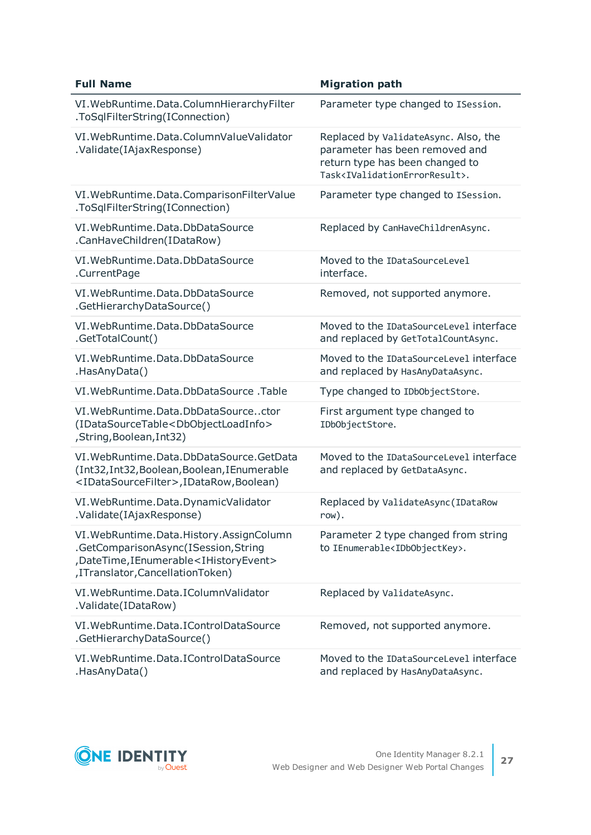| <b>Full Name</b>                                                                                                                                                                   | <b>Migration path</b>                                                                                                                                                |
|------------------------------------------------------------------------------------------------------------------------------------------------------------------------------------|----------------------------------------------------------------------------------------------------------------------------------------------------------------------|
| VI. WebRuntime. Data. ColumnHierarchyFilter<br>.ToSqlFilterString(IConnection)                                                                                                     | Parameter type changed to ISession.                                                                                                                                  |
| VI. WebRuntime. Data. ColumnValueValidator<br>.Validate(IAjaxResponse)                                                                                                             | Replaced by ValidateAsync. Also, the<br>parameter has been removed and<br>return type has been changed to<br>Task <ivalidationerrorresult>.</ivalidationerrorresult> |
| VI. WebRuntime. Data. Comparison Filter Value<br>.ToSqlFilterString(IConnection)                                                                                                   | Parameter type changed to ISession.                                                                                                                                  |
| VI. WebRuntime. Data. DbDataSource<br>.CanHaveChildren(IDataRow)                                                                                                                   | Replaced by CanHaveChildrenAsync.                                                                                                                                    |
| VI. WebRuntime. Data. DbDataSource<br>.CurrentPage                                                                                                                                 | Moved to the IDataSourceLevel<br>interface.                                                                                                                          |
| VI. WebRuntime. Data. DbDataSource<br>.GetHierarchyDataSource()                                                                                                                    | Removed, not supported anymore.                                                                                                                                      |
| VI. WebRuntime. Data. DbDataSource<br>.GetTotalCount()                                                                                                                             | Moved to the IDataSourceLevel interface<br>and replaced by GetTotalCountAsync.                                                                                       |
| VI. WebRuntime. Data. DbDataSource<br>.HasAnyData()                                                                                                                                | Moved to the IDataSourceLevel interface<br>and replaced by HasAnyDataAsync.                                                                                          |
| VI. WebRuntime. Data. DbData Source. Table                                                                                                                                         | Type changed to IDb0bjectStore.                                                                                                                                      |
| VI. WebRuntime. Data. DbDataSourcector<br>(IDataSourceTable <dbobjectloadinfo><br/>, String, Boolean, Int32)</dbobjectloadinfo>                                                    | First argument type changed to<br>IDbObjectStore.                                                                                                                    |
| VI. WebRuntime. Data. DbDataSource. GetData<br>(Int32, Int32, Boolean, Boolean, IEnumerable<br><idatasourcefilter>,IDataRow,Boolean)</idatasourcefilter>                           | Moved to the IDataSourceLevel interface<br>and replaced by GetDataAsync.                                                                                             |
| VI. WebRuntime. Data. Dynamic Validator<br>.Validate(IAjaxResponse)                                                                                                                | Replaced by ValidateAsync (IDataRow<br>row).                                                                                                                         |
| VI. WebRuntime. Data. History. AssignColumn<br>.GetComparisonAsync(ISession,String<br>,DateTime,IEnumerable <ihistoryevent><br/>, ITranslator, Cancellation Token)</ihistoryevent> | Parameter 2 type changed from string<br>to IEnumerable <idbobjectkey>.</idbobjectkey>                                                                                |
| VI. WebRuntime. Data. I Column Validator<br>.Validate(IDataRow)                                                                                                                    | Replaced by ValidateAsync.                                                                                                                                           |
| VI. WebRuntime. Data. I Control Data Source<br>.GetHierarchyDataSource()                                                                                                           | Removed, not supported anymore.                                                                                                                                      |
| VI. WebRuntime. Data. I Control Data Source<br>.HasAnyData()                                                                                                                       | Moved to the IDataSourceLevel interface<br>and replaced by HasAnyDataAsync.                                                                                          |

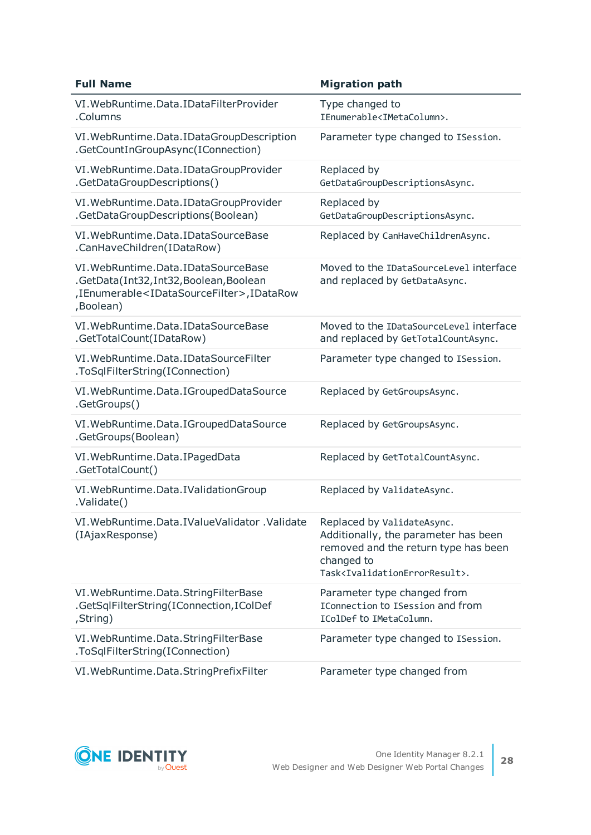| <b>Full Name</b>                                                                                                                                             | <b>Migration path</b>                                                                                                                                                               |
|--------------------------------------------------------------------------------------------------------------------------------------------------------------|-------------------------------------------------------------------------------------------------------------------------------------------------------------------------------------|
| VI. WebRuntime. Data. IDataFilterProvider<br>.Columns                                                                                                        | Type changed to<br>IEnumerable <imetacolumn>.</imetacolumn>                                                                                                                         |
| VI. WebRuntime. Data. IDataGroupDescription<br>.GetCountInGroupAsync(IConnection)                                                                            | Parameter type changed to ISession.                                                                                                                                                 |
| VI. WebRuntime. Data. IDataGroupProvider<br>.GetDataGroupDescriptions()                                                                                      | Replaced by<br>GetDataGroupDescriptionsAsync.                                                                                                                                       |
| VI. WebRuntime. Data. IDataGroupProvider<br>.GetDataGroupDescriptions(Boolean)                                                                               | Replaced by<br>GetDataGroupDescriptionsAsync.                                                                                                                                       |
| VI. WebRuntime. Data. IDataSourceBase<br>.CanHaveChildren(IDataRow)                                                                                          | Replaced by CanHaveChildrenAsync.                                                                                                                                                   |
| VI. WebRuntime. Data. IDataSourceBase<br>.GetData(Int32,Int32,Boolean,Boolean<br>,IEnumerable <idatasourcefilter>,IDataRow<br/>,Boolean)</idatasourcefilter> | Moved to the IDataSourceLevel interface<br>and replaced by GetDataAsync.                                                                                                            |
| VI. WebRuntime. Data. IDataSourceBase<br>.GetTotalCount(IDataRow)                                                                                            | Moved to the IDataSourceLevel interface<br>and replaced by GetTotalCountAsync.                                                                                                      |
| VI. WebRuntime. Data. IDataSourceFilter<br>.ToSqlFilterString(IConnection)                                                                                   | Parameter type changed to ISession.                                                                                                                                                 |
| VI. WebRuntime. Data. I Grouped Data Source<br>.GetGroups()                                                                                                  | Replaced by GetGroupsAsync.                                                                                                                                                         |
| VI. WebRuntime. Data. I Grouped Data Source<br>.GetGroups(Boolean)                                                                                           | Replaced by GetGroupsAsync.                                                                                                                                                         |
| VI. WebRuntime. Data. IPagedData<br>.GetTotalCount()                                                                                                         | Replaced by GetTotalCountAsync.                                                                                                                                                     |
| VI. WebRuntime. Data. IValidation Group<br>.Validate()                                                                                                       | Replaced by ValidateAsync.                                                                                                                                                          |
| VI. WebRuntime. Data. IValue Validator . Validate<br>(IAjaxResponse)                                                                                         | Replaced by ValidateAsync.<br>Additionally, the parameter has been<br>removed and the return type has been<br>changed to<br>Task <ivalidationerrorresult>.</ivalidationerrorresult> |
| VI. WebRuntime. Data. String Filter Base<br>.GetSqlFilterString(IConnection,IColDef<br>,String)                                                              | Parameter type changed from<br>IConnection to ISession and from<br>IColDef to IMetaColumn.                                                                                          |
| VI. WebRuntime. Data. String Filter Base<br>.ToSqlFilterString(IConnection)                                                                                  | Parameter type changed to ISession.                                                                                                                                                 |
| VI. WebRuntime. Data. String Prefix Filter                                                                                                                   | Parameter type changed from                                                                                                                                                         |

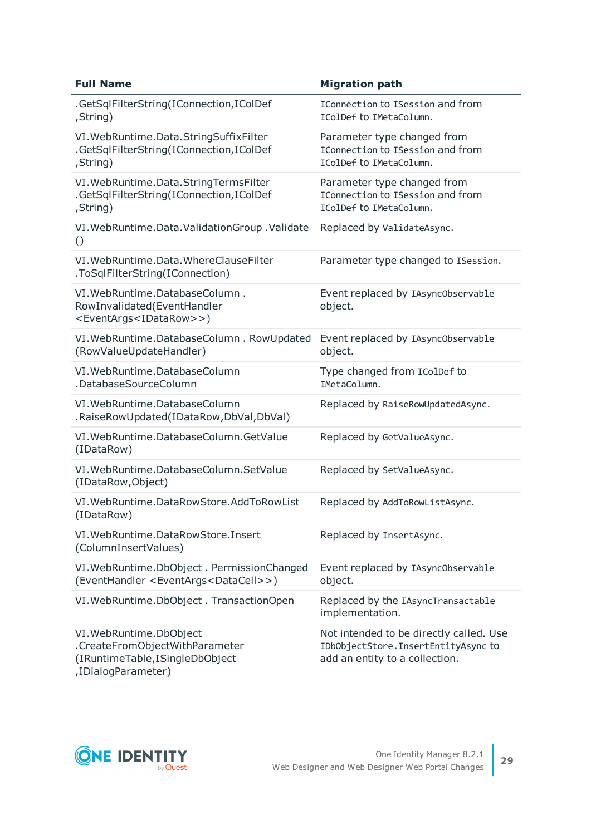| <b>Full Name</b>                                                                                                   | <b>Migration path</b>                                                                                            |
|--------------------------------------------------------------------------------------------------------------------|------------------------------------------------------------------------------------------------------------------|
| .GetSqlFilterString(IConnection,IColDef<br>,String)                                                                | IConnection to ISession and from<br>IColDef to IMetaColumn.                                                      |
| VI. WebRuntime. Data. StringSuffixFilter<br>.GetSqlFilterString(IConnection,IColDef<br>,String)                    | Parameter type changed from<br>IConnection to ISession and from<br>IColDef to IMetaColumn.                       |
| VI. WebRuntime. Data. StringTermsFilter<br>.GetSqlFilterString(IConnection,IColDef<br>,String)                     | Parameter type changed from<br>IConnection to ISession and from<br>IColDef to IMetaColumn.                       |
| VI. WebRuntime. Data. Validation Group . Validate<br>$\left( \right)$                                              | Replaced by ValidateAsync.                                                                                       |
| VI. WebRuntime. Data. WhereClauseFilter<br>.ToSqlFilterString(IConnection)                                         | Parameter type changed to ISession.                                                                              |
| VI. WebRuntime. Database Column.<br>RowInvalidated(EventHandler<br><eventargs<idatarow>&gt;)</eventargs<idatarow>  | Event replaced by IAsync0bservable<br>object.                                                                    |
| VI. WebRuntime. DatabaseColumn. RowUpdated<br>(RowValueUpdateHandler)                                              | Event replaced by IAsync0bservable<br>object.                                                                    |
| VI. WebRuntime. DatabaseColumn<br>.DatabaseSourceColumn                                                            | Type changed from IColDef to<br>IMetaColumn.                                                                     |
| VI. WebRuntime. DatabaseColumn<br>.RaiseRowUpdated(IDataRow,DbVal,DbVal)                                           | Replaced by RaiseRowUpdatedAsync.                                                                                |
| VI. WebRuntime. DatabaseColumn. GetValue<br>(IDataRow)                                                             | Replaced by GetValueAsync.                                                                                       |
| VI. WebRuntime. DatabaseColumn. SetValue<br>(IDataRow, Object)                                                     | Replaced by SetValueAsync.                                                                                       |
| VI. WebRuntime. DataRowStore. AddToRowList<br>(IDataRow)                                                           | Replaced by AddToRowListAsync.                                                                                   |
| VI. WebRuntime. DataRowStore. Insert<br>(ColumnInsertValues)                                                       | Replaced by InsertAsync.                                                                                         |
| VI. WebRuntime. DbObject. PermissionChanged<br>(EventHandler <eventargs<datacell>&gt;)</eventargs<datacell>        | Event replaced by IAsync0bservable<br>object.                                                                    |
| VI. WebRuntime. DbObject. TransactionOpen                                                                          | Replaced by the IAsyncTransactable<br>implementation.                                                            |
| VI. WebRuntime. DbObject<br>.CreateFromObjectWithParameter<br>(IRuntimeTable,ISingleDbObject<br>,IDialogParameter) | Not intended to be directly called. Use<br>IDbObjectStore. InsertEntityAsyncto<br>add an entity to a collection. |

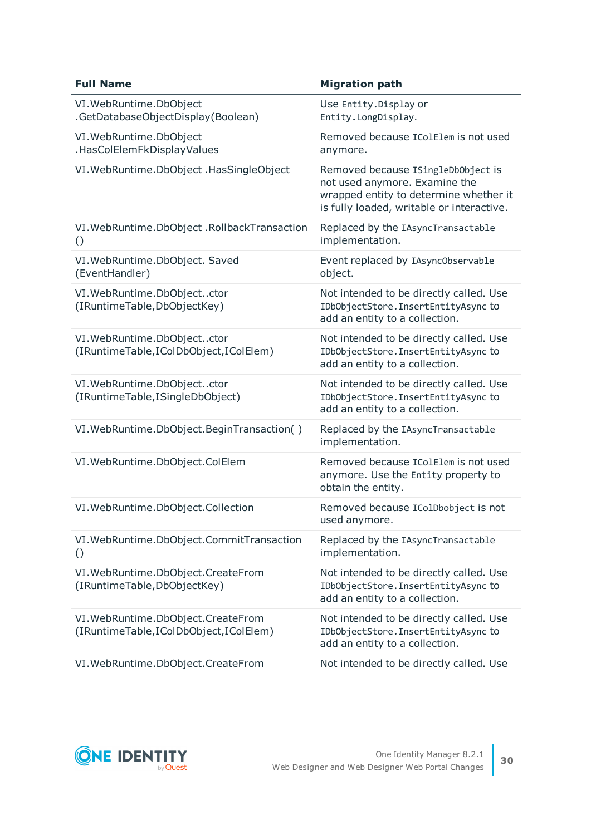| <b>Full Name</b>                                                              | <b>Migration path</b>                                                                                                                                      |
|-------------------------------------------------------------------------------|------------------------------------------------------------------------------------------------------------------------------------------------------------|
| VI. WebRuntime. DbObject<br>.GetDatabaseObjectDisplay(Boolean)                | Use Entity. Display or<br>Entity.LongDisplay.                                                                                                              |
| VI. WebRuntime. DbObject<br>.HasColElemFkDisplayValues                        | Removed because IColElem is not used<br>anymore.                                                                                                           |
| VI. WebRuntime. DbObject. HasSingleObject                                     | Removed because ISingleDbObject is<br>not used anymore. Examine the<br>wrapped entity to determine whether it<br>is fully loaded, writable or interactive. |
| VI. WebRuntime. DbObject. RollbackTransaction<br>$\left( \right)$             | Replaced by the IAsyncTransactable<br>implementation.                                                                                                      |
| VI. WebRuntime. DbObject. Saved<br>(EventHandler)                             | Event replaced by IAsync0bservable<br>object.                                                                                                              |
| VI. WebRuntime. DbObjectctor<br>(IRuntimeTable,DbObjectKey)                   | Not intended to be directly called. Use<br>IDbObjectStore. InsertEntityAsyncto<br>add an entity to a collection.                                           |
| VI. WebRuntime. DbObjectctor<br>(IRuntimeTable,IColDbObject,IColElem)         | Not intended to be directly called. Use<br>IDbObjectStore. InsertEntityAsyncto<br>add an entity to a collection.                                           |
| VI. WebRuntime. DbObjectctor<br>(IRuntimeTable,ISingleDbObject)               | Not intended to be directly called. Use<br>IDbObjectStore. InsertEntityAsyncto<br>add an entity to a collection.                                           |
| VI. WebRuntime. DbObject. BeginTransaction()                                  | Replaced by the IAsyncTransactable<br>implementation.                                                                                                      |
| VI. WebRuntime. DbObject. ColElem                                             | Removed because IColElem is not used<br>anymore. Use the Entity property to<br>obtain the entity.                                                          |
| VI. WebRuntime. DbObject. Collection                                          | Removed because IColDbobject is not<br>used anymore.                                                                                                       |
| VI. WebRuntime. DbObject. CommitTransaction<br>$\left( \right)$               | Replaced by the IAsyncTransactable<br>implementation.                                                                                                      |
| VI. WebRuntime. DbObject. CreateFrom<br>(IRuntimeTable,DbObjectKey)           | Not intended to be directly called. Use<br>IDbObjectStore. InsertEntityAsyncto<br>add an entity to a collection.                                           |
| VI. WebRuntime. DbObject. CreateFrom<br>(IRuntimeTable,IColDbObject,IColElem) | Not intended to be directly called. Use<br>IDbObjectStore. InsertEntityAsyncto<br>add an entity to a collection.                                           |
| VI. WebRuntime. DbObject. CreateFrom                                          | Not intended to be directly called. Use                                                                                                                    |

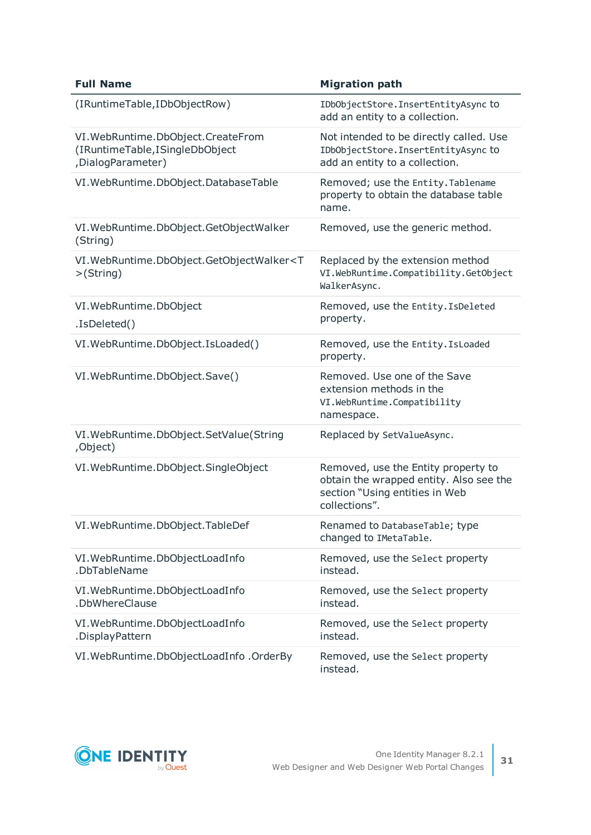| <b>Full Name</b>                                                                            | <b>Migration path</b>                                                                                                             |
|---------------------------------------------------------------------------------------------|-----------------------------------------------------------------------------------------------------------------------------------|
| (IRuntimeTable,IDbObjectRow)                                                                | IDbObjectStore. InsertEntityAsyncto<br>add an entity to a collection.                                                             |
| VI. WebRuntime. DbObject. CreateFrom<br>(IRuntimeTable,ISingleDbObject<br>,DialogParameter) | Not intended to be directly called. Use<br>IDbObjectStore. InsertEntityAsyncto<br>add an entity to a collection.                  |
| VI. WebRuntime. DbObject. DatabaseTable                                                     | Removed; use the Entity. Tablename<br>property to obtain the database table<br>name.                                              |
| VI. WebRuntime. DbObject. GetObjectWalker<br>(String)                                       | Removed, use the generic method.                                                                                                  |
| VI. WebRuntime. DbObject. GetObjectWalker <t<br>&gt;(String)</t<br>                         | Replaced by the extension method<br>VI.WebRuntime.Compatibility.GetObject<br>WalkerAsync.                                         |
| VI. WebRuntime. DbObject<br>.IsDeleted()                                                    | Removed, use the Entity. IsDeleted<br>property.                                                                                   |
| VI. WebRuntime. DbObject. Is Loaded()                                                       | Removed, use the Entity. Is Loaded<br>property.                                                                                   |
| VI. WebRuntime. DbObject. Save()                                                            | Removed. Use one of the Save<br>extension methods in the<br>VI.WebRuntime.Compatibility<br>namespace.                             |
| VI. WebRuntime. DbObject. SetValue (String<br>,Object)                                      | Replaced by SetValueAsync.                                                                                                        |
| VI. WebRuntime. DbObject. SingleObject                                                      | Removed, use the Entity property to<br>obtain the wrapped entity. Also see the<br>section "Using entities in Web<br>collections". |
| VI. WebRuntime. DbObject. TableDef                                                          | Renamed to DatabaseTable; type<br>changed to IMetaTable.                                                                          |
| VI. WebRuntime. DbObjectLoadInfo<br>.DbTableName                                            | Removed, use the Select property<br>instead.                                                                                      |
| VI. WebRuntime. DbObjectLoadInfo<br>.DbWhereClause                                          | Removed, use the Select property<br>instead.                                                                                      |
| VI. WebRuntime. DbObjectLoadInfo<br>.DisplayPattern                                         | Removed, use the Select property<br>instead.                                                                                      |
| VI. WebRuntime. DbObjectLoadInfo. OrderBy                                                   | Removed, use the Select property<br>instead.                                                                                      |

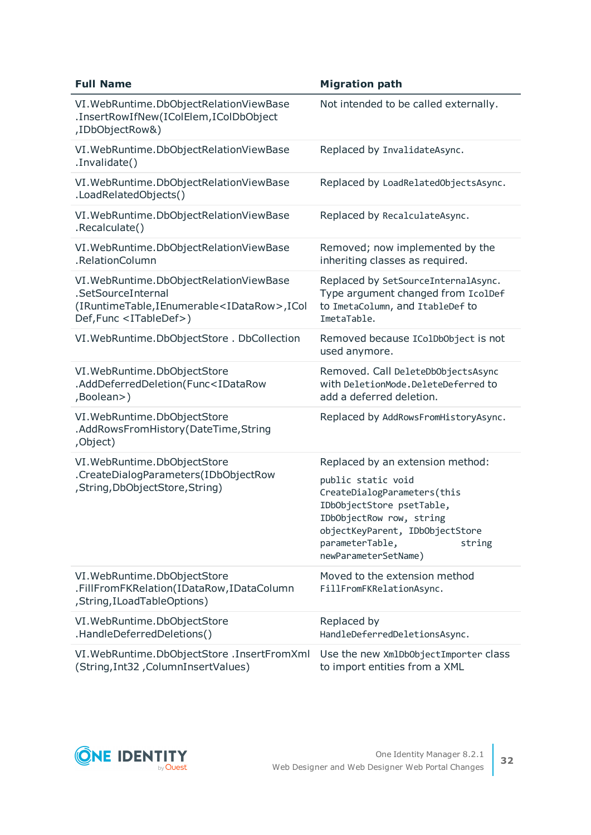| <b>Full Name</b>                                                                                                                                               | <b>Migration path</b>                                                                                                                                                                                                                  |
|----------------------------------------------------------------------------------------------------------------------------------------------------------------|----------------------------------------------------------------------------------------------------------------------------------------------------------------------------------------------------------------------------------------|
| VI. WebRuntime. DbObjectRelationViewBase<br>.InsertRowIfNew(IColElem,IColDbObject<br>,IDbObjectRow&)                                                           | Not intended to be called externally.                                                                                                                                                                                                  |
| VI. WebRuntime. DbObjectRelationViewBase<br>.Invalidate()                                                                                                      | Replaced by InvalidateAsync.                                                                                                                                                                                                           |
| VI. WebRuntime. DbObjectRelationViewBase<br>.LoadRelatedObjects()                                                                                              | Replaced by LoadRelatedObjectsAsync.                                                                                                                                                                                                   |
| VI. WebRuntime. DbObjectRelationViewBase<br>.Recalculate()                                                                                                     | Replaced by RecalculateAsync.                                                                                                                                                                                                          |
| VI. WebRuntime. DbObjectRelationViewBase<br>.RelationColumn                                                                                                    | Removed; now implemented by the<br>inheriting classes as required.                                                                                                                                                                     |
| VI. WebRuntime. DbObjectRelationViewBase<br>.SetSourceInternal<br>(IRuntimeTable,IEnumerable <idatarow>,ICol<br/>Def, Func <itabledef>)</itabledef></idatarow> | Replaced by SetSourceInternalAsync.<br>Type argument changed from IcolDef<br>to ImetaColumn, and ItableDef to<br>ImetaTable.                                                                                                           |
| VI. WebRuntime. DbObjectStore. DbCollection                                                                                                                    | Removed because IColDbObject is not<br>used anymore.                                                                                                                                                                                   |
| VI. WebRuntime. DbObjectStore<br>.AddDeferredDeletion(Func <idatarow<br>,Boolean&gt;)</idatarow<br>                                                            | Removed. Call DeleteDbObjectsAsync<br>with DeletionMode.DeleteDeferred to<br>add a deferred deletion.                                                                                                                                  |
| VI. WebRuntime. DbObjectStore<br>.AddRowsFromHistory(DateTime,String<br>,Object)                                                                               | Replaced by AddRowsFromHistoryAsync.                                                                                                                                                                                                   |
| VI. WebRuntime. DbObjectStore<br>.CreateDialogParameters(IDbObjectRow<br>, String, DbObject Store, String)                                                     | Replaced by an extension method:<br>public static void<br>CreateDialogParameters(this<br>IDbObjectStore psetTable,<br>IDbObjectRow row, string<br>objectKeyParent, IDbObjectStore<br>parameterTable,<br>string<br>newParameterSetName) |
| VI. WebRuntime. DbObjectStore<br>.FillFromFKRelation(IDataRow,IDataColumn<br>, String, I Load Table Options)                                                   | Moved to the extension method<br>FillFromFKRelationAsync.                                                                                                                                                                              |
| VI. WebRuntime. DbObjectStore<br>.HandleDeferredDeletions()                                                                                                    | Replaced by<br>HandleDeferredDeletionsAsync.                                                                                                                                                                                           |
| VI. WebRuntime. DbObjectStore . InsertFromXml<br>(String, Int32, ColumnInsertValues)                                                                           | Use the new XmlDbObjectImporter class<br>to import entities from a XML                                                                                                                                                                 |

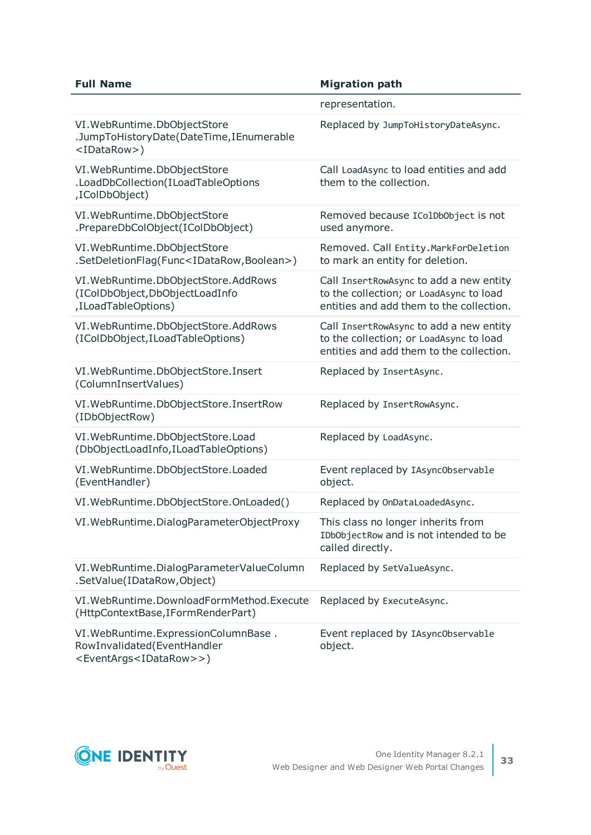| <b>Full Name</b>                                                                                                       | <b>Migration path</b>                                                                                                          |
|------------------------------------------------------------------------------------------------------------------------|--------------------------------------------------------------------------------------------------------------------------------|
|                                                                                                                        | representation.                                                                                                                |
| VI. WebRuntime. DbObjectStore<br>.JumpToHistoryDate(DateTime,IEnumerable<br><idatarow>)</idatarow>                     | Replaced by JumpToHistoryDateAsync.                                                                                            |
| VI. WebRuntime. DbObjectStore<br>.LoadDbCollection(ILoadTableOptions<br>,IColDbObject)                                 | Call LoadAsync to load entities and add<br>them to the collection.                                                             |
| VI. WebRuntime. DbObjectStore<br>.PrepareDbColObject(IColDbObject)                                                     | Removed because IColDbObject is not<br>used anymore.                                                                           |
| VI. WebRuntime. DbObjectStore<br>.SetDeletionFlag(Func <idatarow,boolean>)</idatarow,boolean>                          | Removed. Call Entity. MarkForDeletion<br>to mark an entity for deletion.                                                       |
| VI. WebRuntime. DbObjectStore. AddRows<br>(IColDbObject,DbObjectLoadInfo<br>,ILoadTableOptions)                        | Call InsertRowAsync to add a new entity<br>to the collection; or LoadAsync to load<br>entities and add them to the collection. |
| VI. WebRuntime. DbObjectStore. AddRows<br>(IColDbObject, ILoadTableOptions)                                            | Call InsertRowAsync to add a new entity<br>to the collection; or LoadAsync to load<br>entities and add them to the collection. |
| VI. WebRuntime. DbObjectStore. Insert<br>(ColumnInsertValues)                                                          | Replaced by InsertAsync.                                                                                                       |
| VI. WebRuntime. DbObjectStore. InsertRow<br>(IDbObjectRow)                                                             | Replaced by InsertRowAsync.                                                                                                    |
| VI. WebRuntime. DbObjectStore. Load<br>(DbObjectLoadInfo,ILoadTableOptions)                                            | Replaced by LoadAsync.                                                                                                         |
| VI. WebRuntime. DbObjectStore. Loaded<br>(EventHandler)                                                                | Event replaced by IAsync0bservable<br>object.                                                                                  |
| VI. WebRuntime. DbObjectStore. OnLoaded()                                                                              | Replaced by OnDataLoadedAsync.                                                                                                 |
| VI. WebRuntime. DialogParameterObjectProxy                                                                             | This class no longer inherits from<br>IDbObjectRow and is not intended to be<br>called directly.                               |
| VI. WebRuntime. DialogParameterValueColumn<br>.SetValue(IDataRow,Object)                                               | Replaced by SetValueAsync.                                                                                                     |
| VI. WebRuntime. DownloadFormMethod. Execute<br>(HttpContextBase, IFormRenderPart)                                      | Replaced by ExecuteAsync.                                                                                                      |
| VI. WebRuntime. ExpressionColumnBase.<br>RowInvalidated(EventHandler<br><eventargs<idatarow>&gt;)</eventargs<idatarow> | Event replaced by IAsync0bservable<br>object.                                                                                  |

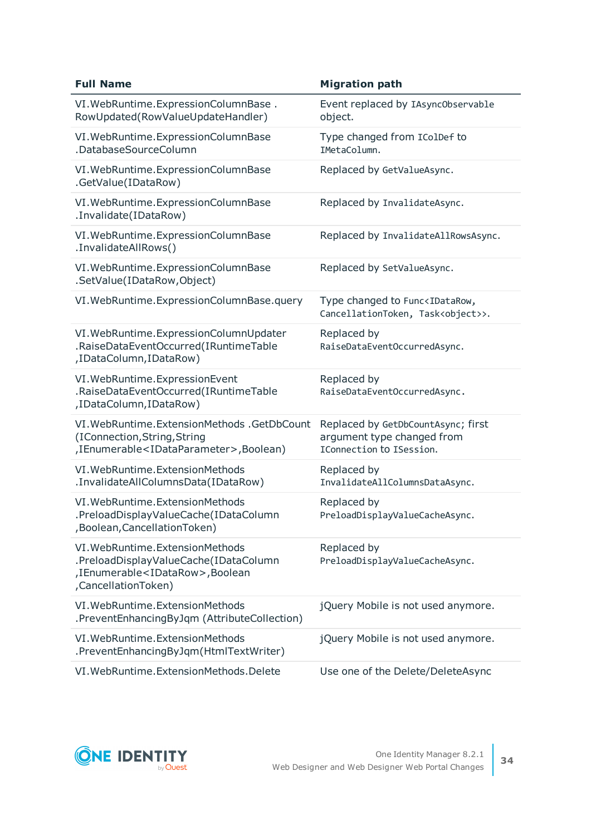| <b>Full Name</b>                                                                                                                                | <b>Migration path</b>                                                                           |
|-------------------------------------------------------------------------------------------------------------------------------------------------|-------------------------------------------------------------------------------------------------|
| VI. WebRuntime. ExpressionColumnBase.<br>RowUpdated(RowValueUpdateHandler)                                                                      | Event replaced by IAsync0bservable<br>object.                                                   |
| VI. WebRuntime. ExpressionColumnBase<br>.DatabaseSourceColumn                                                                                   | Type changed from IColDef to<br>IMetaColumn.                                                    |
| VI. WebRuntime. ExpressionColumnBase<br>.GetValue(IDataRow)                                                                                     | Replaced by GetValueAsync.                                                                      |
| VI. WebRuntime. ExpressionColumnBase<br>.Invalidate(IDataRow)                                                                                   | Replaced by InvalidateAsync.                                                                    |
| VI. WebRuntime. ExpressionColumnBase<br>.InvalidateAllRows()                                                                                    | Replaced by InvalidateAllRowsAsync.                                                             |
| VI. WebRuntime. ExpressionColumnBase<br>.SetValue(IDataRow,Object)                                                                              | Replaced by SetValueAsync.                                                                      |
| VI. WebRuntime. ExpressionColumnBase.query                                                                                                      | Type changed to Func <idatarow,<br>CancellationToken, Task<object>&gt;.</object></idatarow,<br> |
| VI. WebRuntime. ExpressionColumnUpdater<br>.RaiseDataEventOccurred(IRuntimeTable<br>,IDataColumn,IDataRow)                                      | Replaced by<br>RaiseDataEventOccurredAsync.                                                     |
| VI. WebRuntime. ExpressionEvent<br>.RaiseDataEventOccurred(IRuntimeTable<br>,IDataColumn,IDataRow)                                              | Replaced by<br>RaiseDataEventOccurredAsync.                                                     |
| VI. WebRuntime. Extension Methods . Get Db Count<br>(IConnection, String, String<br>,IEnumerable <idataparameter>,Boolean)</idataparameter>     | Replaced by GetDbCountAsync; first<br>argument type changed from<br>IConnection to ISession.    |
| VI. WebRuntime. ExtensionMethods<br>.InvalidateAllColumnsData(IDataRow)                                                                         | Replaced by<br>InvalidateAllColumnsDataAsync.                                                   |
| VI. WebRuntime. ExtensionMethods<br>.PreloadDisplayValueCache(IDataColumn<br>, Boolean, Cancellation Token)                                     | Replaced by<br>PreloadDisplayValueCacheAsync.                                                   |
| VI. WebRuntime. ExtensionMethods<br>.PreloadDisplayValueCache(IDataColumn<br>,IEnumerable <idatarow>,Boolean<br/>,CancellationToken)</idatarow> | Replaced by<br>PreloadDisplayValueCacheAsync.                                                   |
| VI. WebRuntime. ExtensionMethods<br>.PreventEnhancingByJqm (AttributeCollection)                                                                | jQuery Mobile is not used anymore.                                                              |
| VI. WebRuntime. ExtensionMethods<br>.PreventEnhancingByJqm(HtmlTextWriter)                                                                      | jQuery Mobile is not used anymore.                                                              |
| VI. WebRuntime. ExtensionMethods. Delete                                                                                                        | Use one of the Delete/DeleteAsync                                                               |

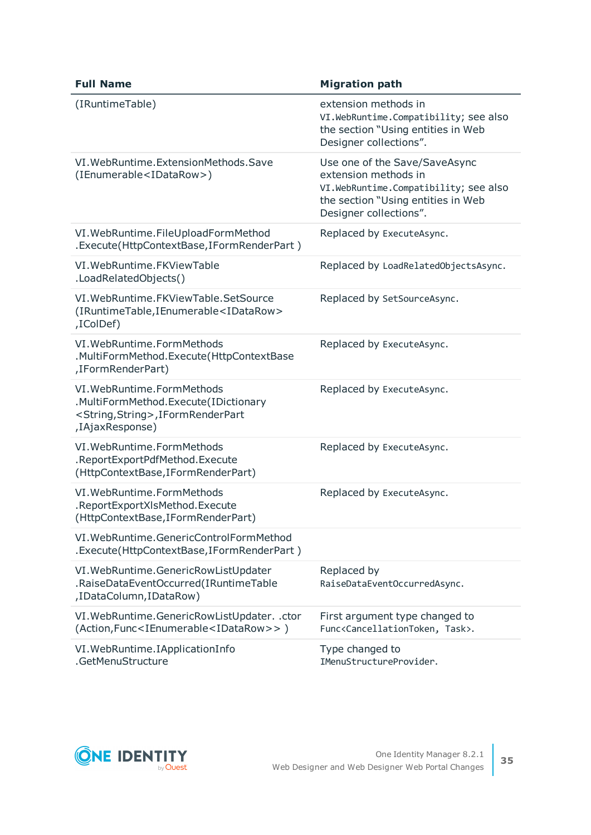| <b>Full Name</b>                                                                                                                          | <b>Migration path</b>                                                                                                                                          |
|-------------------------------------------------------------------------------------------------------------------------------------------|----------------------------------------------------------------------------------------------------------------------------------------------------------------|
| (IRuntimeTable)                                                                                                                           | extension methods in<br>VI.WebRuntime.Compatibility; see also<br>the section "Using entities in Web<br>Designer collections".                                  |
| VI. WebRuntime. ExtensionMethods. Save<br>(IEnumerable <idatarow>)</idatarow>                                                             | Use one of the Save/SaveAsync<br>extension methods in<br>VI.WebRuntime.Compatibility; see also<br>the section "Using entities in Web<br>Designer collections". |
| VI. WebRuntime. FileUploadFormMethod<br>.Execute(HttpContextBase,IFormRenderPart)                                                         | Replaced by ExecuteAsync.                                                                                                                                      |
| VI. WebRuntime. FKViewTable<br>.LoadRelatedObjects()                                                                                      | Replaced by LoadRelatedObjectsAsync.                                                                                                                           |
| VI. WebRuntime. FKViewTable. SetSource<br>(IRuntimeTable,IEnumerable <idatarow><br/>,IColDef)</idatarow>                                  | Replaced by SetSourceAsync.                                                                                                                                    |
| VI. WebRuntime. FormMethods<br>.MultiFormMethod.Execute(HttpContextBase<br>,IFormRenderPart)                                              | Replaced by ExecuteAsync.                                                                                                                                      |
| VI. WebRuntime. FormMethods<br>.MultiFormMethod.Execute(IDictionary<br><string, string="">, IFormRenderPart<br/>,IAjaxResponse)</string,> | Replaced by ExecuteAsync.                                                                                                                                      |
| VI. WebRuntime. FormMethods<br>.ReportExportPdfMethod.Execute<br>(HttpContextBase, IFormRenderPart)                                       | Replaced by ExecuteAsync.                                                                                                                                      |
| VI. WebRuntime. FormMethods<br>.ReportExportXIsMethod.Execute<br>(HttpContextBase, IFormRenderPart)                                       | Replaced by ExecuteAsync.                                                                                                                                      |
| VI. WebRuntime. GenericControl Form Method<br>. Execute(HttpContextBase, IFormRenderPart)                                                 |                                                                                                                                                                |
| VI. WebRuntime. GenericRowListUpdater<br>.RaiseDataEventOccurred(IRuntimeTable<br>,IDataColumn,IDataRow)                                  | Replaced by<br>RaiseDataEventOccurredAsync.                                                                                                                    |
| VI. WebRuntime. Generic Row List Updater. . ctor<br>(Action, Func <ienumerable<idatarow>&gt;)</ienumerable<idatarow>                      | First argument type changed to<br>Func <cancellationtoken, task="">.</cancellationtoken,>                                                                      |
| VI. WebRuntime. IApplicationInfo<br>.GetMenuStructure                                                                                     | Type changed to<br>IMenuStructureProvider.                                                                                                                     |

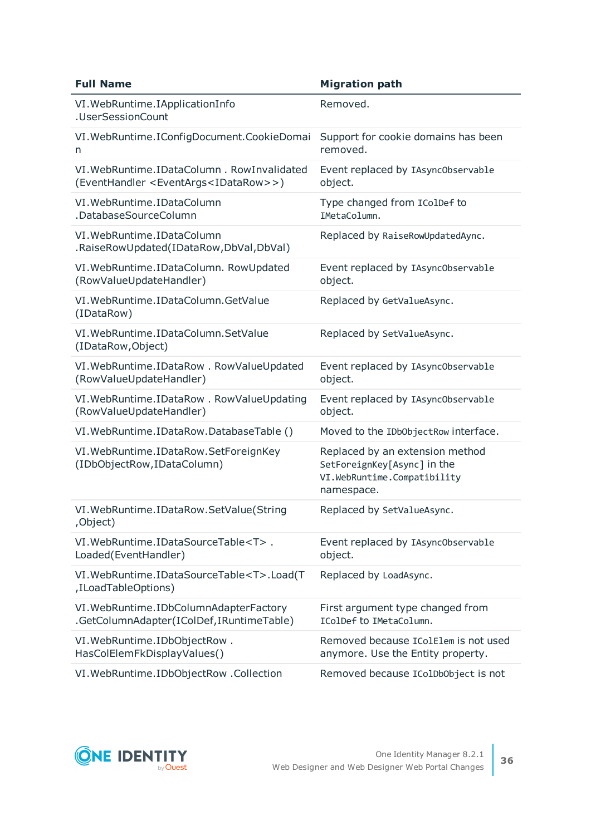| <b>Full Name</b>                                                                                            | <b>Migration path</b>                                                                                       |
|-------------------------------------------------------------------------------------------------------------|-------------------------------------------------------------------------------------------------------------|
| VI. WebRuntime. IApplicationInfo<br>.UserSessionCount                                                       | Removed.                                                                                                    |
| VI. WebRuntime. I ConfigDocument. CookieDomai<br>n                                                          | Support for cookie domains has been<br>removed.                                                             |
| VI. WebRuntime. IDataColumn. RowInvalidated<br>(EventHandler <eventargs<idatarow>&gt;)</eventargs<idatarow> | Event replaced by IAsync0bservable<br>object.                                                               |
| VI. WebRuntime. IDataColumn<br>.DatabaseSourceColumn                                                        | Type changed from IColDef to<br>IMetaColumn.                                                                |
| VI. WebRuntime. IDataColumn<br>.RaiseRowUpdated(IDataRow,DbVal,DbVal)                                       | Replaced by RaiseRowUpdatedAync.                                                                            |
| VI. WebRuntime. IDataColumn. RowUpdated<br>(RowValueUpdateHandler)                                          | Event replaced by IAsync0bservable<br>object.                                                               |
| VI. WebRuntime. IDataColumn. GetValue<br>(IDataRow)                                                         | Replaced by GetValueAsync.                                                                                  |
| VI. WebRuntime. IDataColumn. SetValue<br>(IDataRow, Object)                                                 | Replaced by SetValueAsync.                                                                                  |
| VI. WebRuntime. IDataRow. RowValueUpdated<br>(RowValueUpdateHandler)                                        | Event replaced by IAsync0bservable<br>object.                                                               |
| VI. WebRuntime. IDataRow. RowValueUpdating<br>(RowValueUpdateHandler)                                       | Event replaced by IAsync0bservable<br>object.                                                               |
| VI. WebRuntime. IDataRow. DatabaseTable ()                                                                  | Moved to the IDbObjectRow interface.                                                                        |
| VI. WebRuntime. IDataRow. SetForeignKey<br>(IDbObjectRow, IDataColumn)                                      | Replaced by an extension method<br>SetForeignKey[Async] in the<br>VI.WebRuntime.Compatibility<br>namespace. |
| VI. WebRuntime. IDataRow. SetValue(String<br>,Object)                                                       | Replaced by SetValueAsync.                                                                                  |
| VI.WebRuntime.IDataSourceTable <t>.<br/>Loaded(EventHandler)</t>                                            | Event replaced by IAsync0bservable<br>object.                                                               |
| VI.WebRuntime.IDataSourceTable <t>.Load(T<br/>,ILoadTableOptions)</t>                                       | Replaced by LoadAsync.                                                                                      |
| VI. WebRuntime. IDbColumnAdapterFactory<br>.GetColumnAdapter(IColDef,IRuntimeTable)                         | First argument type changed from<br>IColDef to IMetaColumn.                                                 |
| VI. WebRuntime. IDbObjectRow.<br>HasColElemFkDisplayValues()                                                | Removed because IColElem is not used<br>anymore. Use the Entity property.                                   |
| VI. WebRuntime. IDbObjectRow . Collection                                                                   | Removed because IColDbObject is not                                                                         |

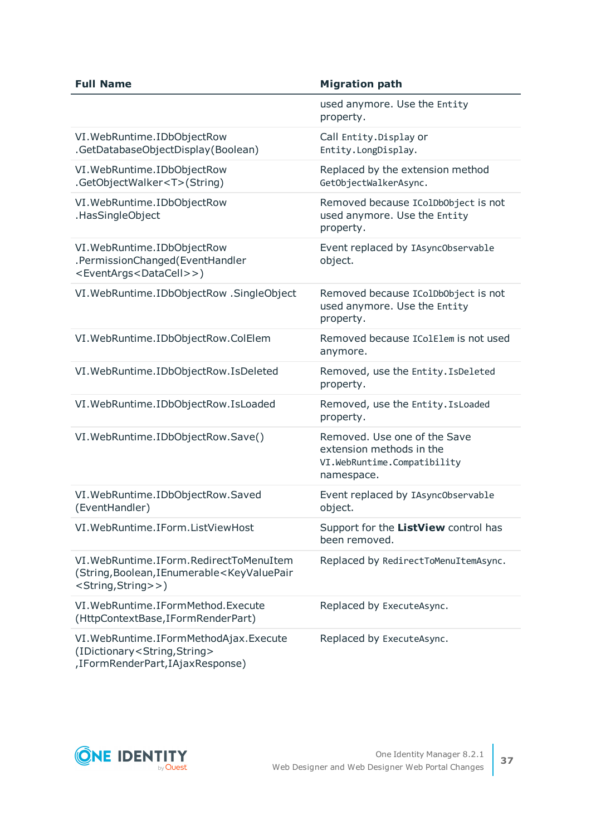| <b>Full Name</b>                                                                                                                                     | <b>Migration path</b>                                                                                 |
|------------------------------------------------------------------------------------------------------------------------------------------------------|-------------------------------------------------------------------------------------------------------|
|                                                                                                                                                      | used anymore. Use the Entity<br>property.                                                             |
| VI. WebRuntime. IDbObjectRow<br>.GetDatabaseObjectDisplay(Boolean)                                                                                   | Call Entity. Display or<br>Entity.LongDisplay.                                                        |
| VI. WebRuntime. IDbObjectRow<br>.GetObjectWalker <t>(String)</t>                                                                                     | Replaced by the extension method<br>GetObjectWalkerAsync.                                             |
| VI. WebRuntime. IDbObjectRow<br>.HasSingleObject                                                                                                     | Removed because IColDbObject is not<br>used anymore. Use the Entity<br>property.                      |
| VI. WebRuntime. IDbObjectRow<br>.PermissionChanged(EventHandler<br><eventargs<datacell>&gt;)</eventargs<datacell>                                    | Event replaced by IAsync0bservable<br>object.                                                         |
| VI. WebRuntime. IDbObjectRow . SingleObject                                                                                                          | Removed because IColDbObject is not<br>used anymore. Use the Entity<br>property.                      |
| VI. WebRuntime. IDbObjectRow. ColElem                                                                                                                | Removed because IColElem is not used<br>anymore.                                                      |
| VI. WebRuntime. IDbObjectRow. IsDeleted                                                                                                              | Removed, use the Entity. IsDeleted<br>property.                                                       |
| VI. WebRuntime. IDbObjectRow. Is Loaded                                                                                                              | Removed, use the Entity. Is Loaded<br>property.                                                       |
| VI. WebRuntime. IDbObjectRow. Save()                                                                                                                 | Removed. Use one of the Save<br>extension methods in the<br>VI.WebRuntime.Compatibility<br>namespace. |
| VI. WebRuntime. IDbObjectRow. Saved<br>(EventHandler)                                                                                                | Event replaced by IAsync0bservable<br>object.                                                         |
| VI. WebRuntime. IForm. ListViewHost                                                                                                                  | Support for the ListView control has<br>been removed.                                                 |
| VI. WebRuntime. IForm. Redirect To MenuItem<br>(String, Boolean, IEnumerable <keyvaluepair<br><string,string>&gt;)</string,string></keyvaluepair<br> | Replaced by RedirectToMenuItemAsync.                                                                  |
| VI. WebRuntime. IFormMethod. Execute<br>(HttpContextBase, IFormRenderPart)                                                                           | Replaced by ExecuteAsync.                                                                             |
| VI. WebRuntime. IFormMethodAjax. Execute<br>(IDictionary <string,string><br/>,IFormRenderPart,IAjaxResponse)</string,string>                         | Replaced by ExecuteAsync.                                                                             |

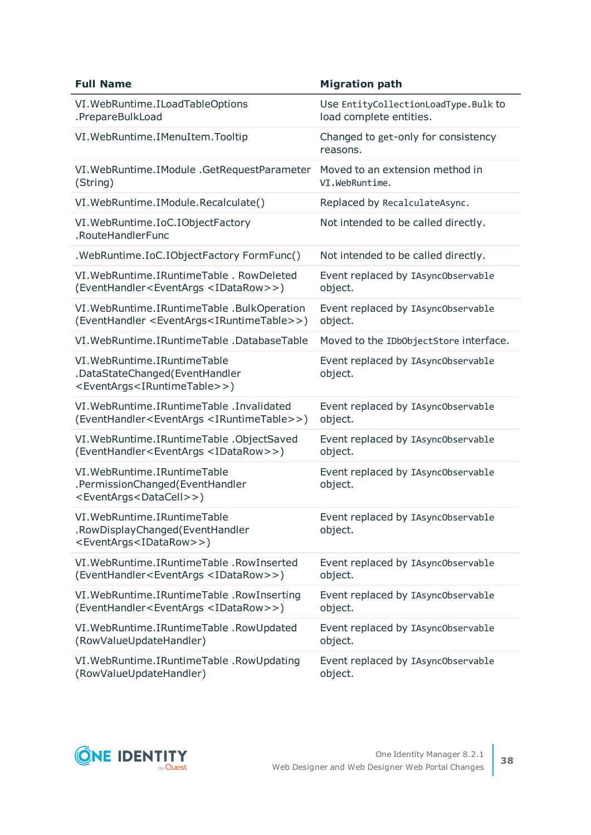| <b>Full Name</b>                                                                                                              | <b>Migration path</b>                           |
|-------------------------------------------------------------------------------------------------------------------------------|-------------------------------------------------|
| VI. WebRuntime. I Load Table Options                                                                                          | Use EntityCollectionLoadType.Bulk to            |
| .PrepareBulkLoad                                                                                                              | load complete entities.                         |
| VI. WebRuntime. IMenuItem. Tooltip                                                                                            | Changed to get-only for consistency<br>reasons. |
| VI. WebRuntime. I Module . Get Request Parameter                                                                              | Moved to an extension method in                 |
| (String)                                                                                                                      | VI.WebRuntime.                                  |
| VI. WebRuntime. I Module. Recalculate()                                                                                       | Replaced by RecalculateAsync.                   |
| VI. WebRuntime. IoC. IObjectFactory<br>.RouteHandlerFunc                                                                      | Not intended to be called directly.             |
| .WebRuntime.IoC.IObjectFactory FormFunc()                                                                                     | Not intended to be called directly.             |
| VI. WebRuntime. I Runtime Table . Row Deleted                                                                                 | Event replaced by IAsync0bservable              |
| (EventHandler <eventargs <idatarow="">&gt;)</eventargs>                                                                       | object.                                         |
| VI. WebRuntime. IRuntimeTable . BulkOperation                                                                                 | Event replaced by IAsync0bservable              |
| (EventHandler <eventargs<iruntimetable>&gt;)</eventargs<iruntimetable>                                                        | object.                                         |
| VI. WebRuntime. IRuntime Table . Database Table                                                                               | Moved to the IDbObjectStore interface.          |
| VI. WebRuntime. I Runtime Table<br>.DataStateChanged(EventHandler<br><eventargs<iruntimetable>&gt;)</eventargs<iruntimetable> | Event replaced by IAsync0bservable<br>object.   |
| VI. WebRuntime. IRuntime Table . Invalidated                                                                                  | Event replaced by IAsync0bservable              |
| (EventHandler <eventargs <iruntimetable="">&gt;)</eventargs>                                                                  | object.                                         |
| VI. WebRuntime. IRuntimeTable . ObjectSaved                                                                                   | Event replaced by IAsync0bservable              |
| (EventHandler <eventargs <idatarow="">&gt;)</eventargs>                                                                       | object.                                         |
| VI. WebRuntime. I Runtime Table<br>.PermissionChanged(EventHandler<br><eventargs<datacell>&gt;)</eventargs<datacell>          | Event replaced by IAsync0bservable<br>object.   |
| VI. WebRuntime. I Runtime Table<br>.RowDisplayChanged(EventHandler<br><eventargs<idatarow>&gt;)</eventargs<idatarow>          | Event replaced by IAsync0bservable<br>object.   |
| VI. WebRuntime. IRuntimeTable . Row Inserted                                                                                  | Event replaced by IAsync0bservable              |
| (EventHandler <eventargs <idatarow="">&gt;)</eventargs>                                                                       | object.                                         |
| VI. WebRuntime. IRuntimeTable . RowInserting                                                                                  | Event replaced by IAsync0bservable              |
| (EventHandler <eventargs <idatarow="">&gt;)</eventargs>                                                                       | object.                                         |
| VI. WebRuntime. IRuntimeTable . RowUpdated                                                                                    | Event replaced by IAsync0bservable              |
| (RowValueUpdateHandler)                                                                                                       | object.                                         |
| VI. WebRuntime. IRuntimeTable . RowUpdating                                                                                   | Event replaced by IAsync0bservable              |
| (RowValueUpdateHandler)                                                                                                       | object.                                         |

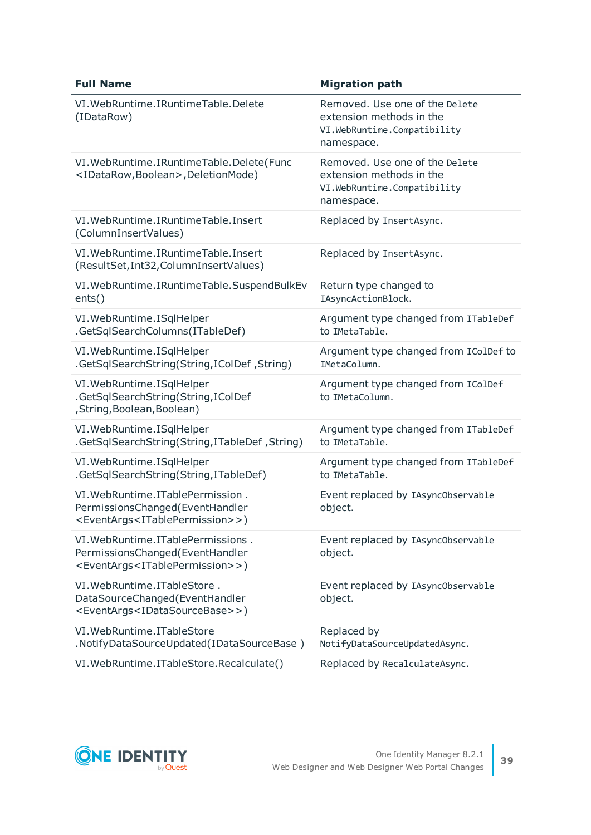| <b>Full Name</b>                                                                                                                        | <b>Migration path</b>                                                                                   |
|-----------------------------------------------------------------------------------------------------------------------------------------|---------------------------------------------------------------------------------------------------------|
| VI. WebRuntime. I Runtime Table. Delete<br>(IDataRow)                                                                                   | Removed. Use one of the Delete<br>extension methods in the<br>VI.WebRuntime.Compatibility<br>namespace. |
| VI. WebRuntime. IRuntimeTable. Delete (Func<br><idatarow,boolean>,DeletionMode)</idatarow,boolean>                                      | Removed. Use one of the Delete<br>extension methods in the<br>VI.WebRuntime.Compatibility<br>namespace. |
| VI. WebRuntime. I Runtime Table. Insert<br>(ColumnInsertValues)                                                                         | Replaced by InsertAsync.                                                                                |
| VI. WebRuntime. IRuntimeTable. Insert<br>(ResultSet, Int32, ColumnInsertValues)                                                         | Replaced by InsertAsync.                                                                                |
| VI. WebRuntime. IRuntimeTable. SuspendBulkEv<br>ents()                                                                                  | Return type changed to<br>IAsyncActionBlock.                                                            |
| VI. WebRuntime. ISqlHelper<br>.GetSqlSearchColumns(ITableDef)                                                                           | Argument type changed from ITableDef<br>to IMetaTable.                                                  |
| VI. WebRuntime. ISqlHelper<br>.GetSqlSearchString(String,IColDef, String)                                                               | Argument type changed from IColDef to<br>IMetaColumn.                                                   |
| VI. WebRuntime. ISqlHelper<br>.GetSqlSearchString(String,IColDef<br>, String, Boolean, Boolean)                                         | Argument type changed from IColDef<br>to IMetaColumn.                                                   |
| VI. WebRuntime. ISqlHelper<br>.GetSqlSearchString(String,ITableDef,String)                                                              | Argument type changed from ITableDef<br>to IMetaTable.                                                  |
| VI. WebRuntime. ISqlHelper<br>.GetSqlSearchString(String,ITableDef)                                                                     | Argument type changed from ITableDef<br>to IMetaTable.                                                  |
| VI. WebRuntime. ITablePermission.<br>PermissionsChanged(EventHandler<br><eventargs<itablepermission>&gt;)</eventargs<itablepermission>  | Event replaced by IAsync0bservable<br>object.                                                           |
| VI. WebRuntime. ITablePermissions.<br>PermissionsChanged(EventHandler<br><eventargs<itablepermission>&gt;)</eventargs<itablepermission> | Event replaced by IAsync0bservable<br>object.                                                           |
| VI. WebRuntime. ITableStore.<br>DataSourceChanged(EventHandler<br><eventargs<idatasourcebase>&gt;)</eventargs<idatasourcebase>          | Event replaced by IAsync0bservable<br>object.                                                           |
| VI. WebRuntime. ITableStore<br>.NotifyDataSourceUpdated(IDataSourceBase)                                                                | Replaced by<br>NotifyDataSourceUpdatedAsync.                                                            |
| VI. WebRuntime. ITableStore. Recalculate()                                                                                              | Replaced by RecalculateAsync.                                                                           |

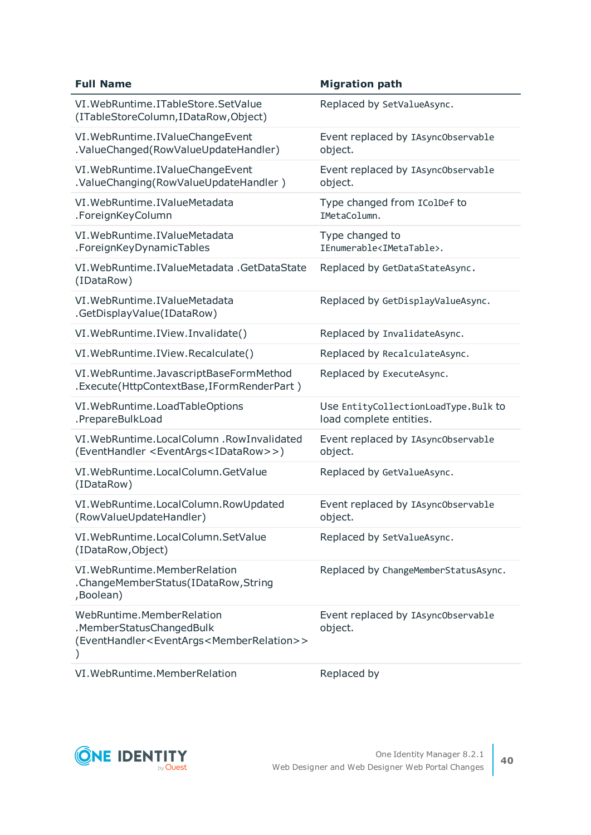| <b>Full Name</b>                                                                                                                 | <b>Migration path</b>                                           |
|----------------------------------------------------------------------------------------------------------------------------------|-----------------------------------------------------------------|
| VI. WebRuntime. ITableStore. SetValue<br>(ITableStoreColumn, IDataRow, Object)                                                   | Replaced by SetValueAsync.                                      |
| VI. WebRuntime. IValueChangeEvent<br>.ValueChanged(RowValueUpdateHandler)                                                        | Event replaced by IAsync0bservable<br>object.                   |
| VI. WebRuntime. IValueChangeEvent<br>.ValueChanging(RowValueUpdateHandler)                                                       | Event replaced by IAsync0bservable<br>object.                   |
| VI. WebRuntime. IValueMetadata<br>.ForeignKeyColumn                                                                              | Type changed from IColDef to<br>IMetaColumn.                    |
| VI. WebRuntime. IValueMetadata<br>.ForeignKeyDynamicTables                                                                       | Type changed to<br>IEnumerable <imetatable>.</imetatable>       |
| VI. WebRuntime. IValueMetadata . GetDataState<br>(IDataRow)                                                                      | Replaced by GetDataStateAsync.                                  |
| VI. WebRuntime. IValueMetadata<br>.GetDisplayValue(IDataRow)                                                                     | Replaced by GetDisplayValueAsync.                               |
| VI. WebRuntime. IView. Invalidate()                                                                                              | Replaced by InvalidateAsync.                                    |
| VI. WebRuntime. IView. Recalculate()                                                                                             | Replaced by RecalculateAsync.                                   |
| VI. WebRuntime. JavascriptBaseFormMethod<br>.Execute(HttpContextBase,IFormRenderPart)                                            | Replaced by ExecuteAsync.                                       |
| VI. WebRuntime. LoadTableOptions<br>.PrepareBulkLoad                                                                             | Use EntityCollectionLoadType.Bulk to<br>load complete entities. |
| VI. WebRuntime. Local Column . Row Invalidated<br>(EventHandler <eventargs<idatarow>&gt;)</eventargs<idatarow>                   | Event replaced by IAsync0bservable<br>object.                   |
| VI. WebRuntime. Local Column. GetValue<br>(IDataRow)                                                                             | Replaced by GetValueAsync.                                      |
| VI. WebRuntime. LocalColumn. RowUpdated<br>(RowValueUpdateHandler)                                                               | Event replaced by IAsync0bservable<br>object.                   |
| VI. WebRuntime. Local Column. Set Value<br>(IDataRow, Object)                                                                    | Replaced by SetValueAsync.                                      |
| VI. WebRuntime. Member Relation<br>.ChangeMemberStatus(IDataRow,String<br>,Boolean)                                              | Replaced by ChangeMemberStatusAsync.                            |
| WebRuntime.MemberRelation<br>.MemberStatusChangedBulk<br>(EventHandler <eventargs<memberrelation>&gt;</eventargs<memberrelation> | Event replaced by IAsync0bservable<br>object.                   |
| VI. WebRuntime. Member Relation                                                                                                  | Replaced by                                                     |

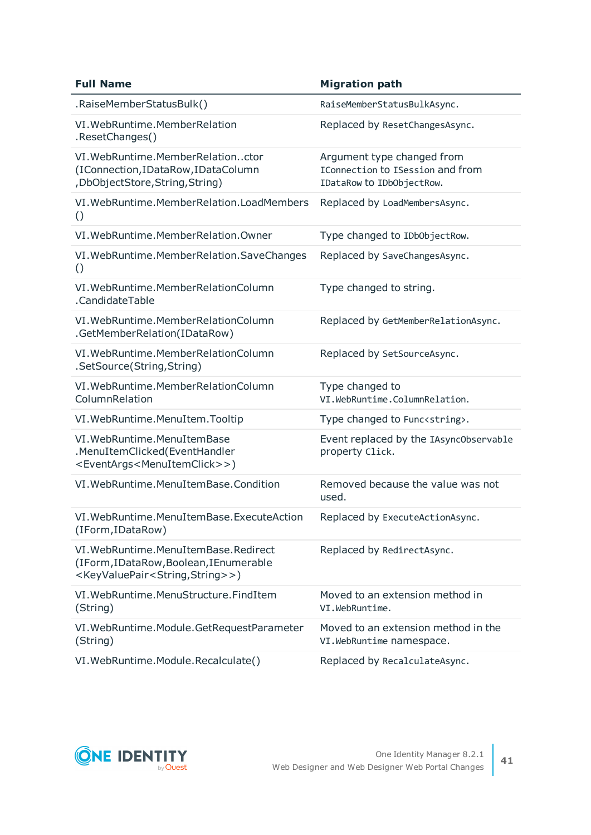| <b>Full Name</b>                                                                                                                                   | <b>Migration path</b>                                                                       |
|----------------------------------------------------------------------------------------------------------------------------------------------------|---------------------------------------------------------------------------------------------|
| .RaiseMemberStatusBulk()                                                                                                                           | RaiseMemberStatusBulkAsync.                                                                 |
| VI. WebRuntime. Member Relation<br>.ResetChanges()                                                                                                 | Replaced by ResetChangesAsync.                                                              |
| VI. WebRuntime. Member Relationctor<br>(IConnection, IDataRow, IDataColumn<br>, DbObjectStore, String, String)                                     | Argument type changed from<br>IConnection to ISession and from<br>IDataRow to IDbObjectRow. |
| VI. WebRuntime. MemberRelation. LoadMembers<br>$\left( \right)$                                                                                    | Replaced by LoadMembersAsync.                                                               |
| VI. WebRuntime. Member Relation. Owner                                                                                                             | Type changed to IDbObjectRow.                                                               |
| VI. WebRuntime. Member Relation. SaveChanges<br>$\circ$                                                                                            | Replaced by SaveChangesAsync.                                                               |
| VI. WebRuntime. Member Relation Column<br>.CandidateTable                                                                                          | Type changed to string.                                                                     |
| VI. WebRuntime. Member Relation Column<br>.GetMemberRelation(IDataRow)                                                                             | Replaced by GetMemberRelationAsync.                                                         |
| VI. WebRuntime. Member Relation Column<br>.SetSource(String,String)                                                                                | Replaced by SetSourceAsync.                                                                 |
| VI. WebRuntime. Member Relation Column<br>ColumnRelation                                                                                           | Type changed to<br>VI.WebRuntime.ColumnRelation.                                            |
| VI. WebRuntime. MenuItem. Tooltip                                                                                                                  | Type changed to Func <string>.</string>                                                     |
| VI. WebRuntime. MenuItemBase<br>.MenuItemClicked(EventHandler<br><eventargs<menuitemclick>&gt;)</eventargs<menuitemclick>                          | Event replaced by the IAsync0bservable<br>property Click.                                   |
| VI. WebRuntime. MenuItemBase. Condition                                                                                                            | Removed because the value was not<br>used.                                                  |
| VI. WebRuntime. MenuItemBase. ExecuteAction<br>(IForm, IDataRow)                                                                                   | Replaced by ExecuteActionAsync.                                                             |
| VI. WebRuntime. MenuItemBase. Redirect<br>(IForm, IDataRow, Boolean, IEnumerable<br><keyvaluepair<string,string>&gt;)</keyvaluepair<string,string> | Replaced by RedirectAsync.                                                                  |
| VI. WebRuntime. MenuStructure. FindItem<br>(String)                                                                                                | Moved to an extension method in<br>VI.WebRuntime.                                           |
| VI. WebRuntime. Module. GetRequestParameter<br>(String)                                                                                            | Moved to an extension method in the<br>VI. WebRuntime namespace.                            |
| VI. WebRuntime. Module. Recalculate()                                                                                                              | Replaced by RecalculateAsync.                                                               |

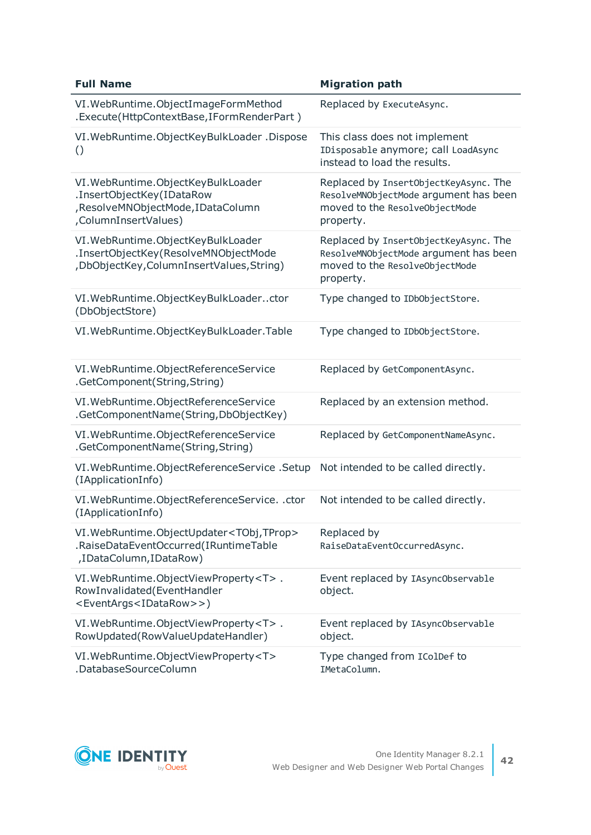| <b>Full Name</b>                                                                                                               | <b>Migration path</b>                                                                                                         |
|--------------------------------------------------------------------------------------------------------------------------------|-------------------------------------------------------------------------------------------------------------------------------|
| VI. WebRuntime. ObjectImageFormMethod<br>.Execute(HttpContextBase,IFormRenderPart)                                             | Replaced by ExecuteAsync.                                                                                                     |
| VI. WebRuntime. ObjectKeyBulkLoader. Dispose<br>$\left( \right)$                                                               | This class does not implement<br>IDisposable anymore; call LoadAsync<br>instead to load the results.                          |
| VI. WebRuntime. ObjectKeyBulkLoader<br>.InsertObjectKey(IDataRow<br>, ResolveMNObjectMode, IDataColumn<br>,ColumnInsertValues) | Replaced by InsertObjectKeyAsync. The<br>ResolveMNObjectMode argument has been<br>moved to the ResolveObjectMode<br>property. |
| VI. WebRuntime. ObjectKeyBulkLoader<br>.InsertObjectKey(ResolveMNObjectMode<br>, DbObjectKey, ColumnInsertValues, String)      | Replaced by InsertObjectKeyAsync. The<br>ResolveMNObjectMode argument has been<br>moved to the ResolveObjectMode<br>property. |
| VI. WebRuntime. ObjectKeyBulkLoaderctor<br>(DbObjectStore)                                                                     | Type changed to IDb0bjectStore.                                                                                               |
| VI. WebRuntime. ObjectKeyBulkLoader. Table                                                                                     | Type changed to IDbObjectStore.                                                                                               |
| VI. WebRuntime. ObjectReferenceService<br>.GetComponent(String,String)                                                         | Replaced by GetComponentAsync.                                                                                                |
| VI. WebRuntime. ObjectReferenceService<br>.GetComponentName(String,DbObjectKey)                                                | Replaced by an extension method.                                                                                              |
| VI. WebRuntime. ObjectReferenceService<br>.GetComponentName(String,String)                                                     | Replaced by GetComponentNameAsync.                                                                                            |
| VI. WebRuntime. Object Reference Service. Setup<br>(IApplicationInfo)                                                          | Not intended to be called directly.                                                                                           |
| VI. WebRuntime. ObjectReferenceService. . ctor<br>(IApplicationInfo)                                                           | Not intended to be called directly.                                                                                           |
| VI. WebRuntime. ObjectUpdater <tobj, tprop=""><br/>.RaiseDataEventOccurred(IRuntimeTable<br/>,IDataColumn,IDataRow)</tobj,>    | Replaced by<br>RaiseDataEventOccurredAsync.                                                                                   |
| VI. WebRuntime. ObjectViewProperty <t>.<br/>RowInvalidated(EventHandler<br/><eventargs<idatarow>&gt;)</eventargs<idatarow></t> | Event replaced by IAsync0bservable<br>object.                                                                                 |
| VI. WebRuntime. ObjectViewProperty <t>.<br/>RowUpdated(RowValueUpdateHandler)</t>                                              | Event replaced by IAsync0bservable<br>object.                                                                                 |
| VI. WebRuntime. ObjectViewProperty <t><br/>.DatabaseSourceColumn</t>                                                           | Type changed from IColDef to<br>IMetaColumn.                                                                                  |

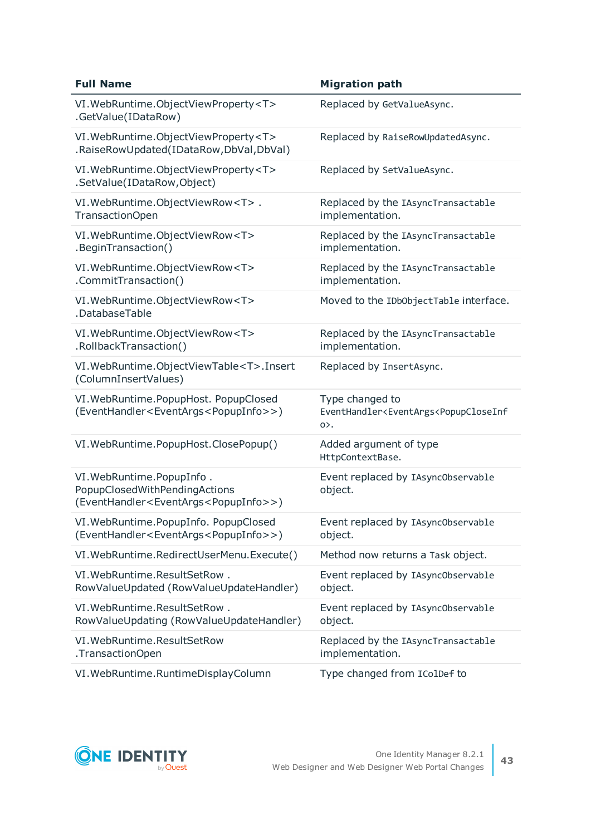| <b>Full Name</b>                                                                                                              | <b>Migration path</b>                                                                                    |
|-------------------------------------------------------------------------------------------------------------------------------|----------------------------------------------------------------------------------------------------------|
| VI. WebRuntime. ObjectViewProperty <t><br/>.GetValue(IDataRow)</t>                                                            | Replaced by GetValueAsync.                                                                               |
| VI. WebRuntime. ObjectViewProperty <t><br/>.RaiseRowUpdated(IDataRow,DbVal,DbVal)</t>                                         | Replaced by RaiseRowUpdatedAsync.                                                                        |
| VI. WebRuntime. ObjectViewProperty <t><br/>.SetValue(IDataRow,Object)</t>                                                     | Replaced by SetValueAsync.                                                                               |
| VI. WebRuntime. ObjectViewRow <t>.<br/>TransactionOpen</t>                                                                    | Replaced by the IAsyncTransactable<br>implementation.                                                    |
| VI. WebRuntime. ObjectViewRow <t><br/>.BeginTransaction()</t>                                                                 | Replaced by the IAsyncTransactable<br>implementation.                                                    |
| VI. WebRuntime. ObjectViewRow <t><br/>.CommitTransaction()</t>                                                                | Replaced by the IAsyncTransactable<br>implementation.                                                    |
| VI. WebRuntime. ObjectViewRow <t><br/>.DatabaseTable</t>                                                                      | Moved to the IDbObjectTable interface.                                                                   |
| VI. WebRuntime. ObjectViewRow <t><br/>.RollbackTransaction()</t>                                                              | Replaced by the IAsyncTransactable<br>implementation.                                                    |
| VI. WebRuntime. ObjectViewTable <t>. Insert<br/>(ColumnInsertValues)</t>                                                      | Replaced by InsertAsync.                                                                                 |
| VI. WebRuntime. PopupHost. PopupClosed<br>(EventHandler <eventargs<popupinfo>&gt;)</eventargs<popupinfo>                      | Type changed to<br>EventHandler <eventargs<popupcloseinf<br><math>0</math>.</eventargs<popupcloseinf<br> |
| VI. WebRuntime. PopupHost. ClosePopup()                                                                                       | Added argument of type<br>HttpContextBase.                                                               |
| VI. WebRuntime. PopupInfo.<br>PopupClosedWithPendingActions<br>(EventHandler <eventargs<popupinfo>&gt;)</eventargs<popupinfo> | Event replaced by IAsync0bservable<br>object.                                                            |
| VI. WebRuntime. PopupInfo. PopupClosed<br>(EventHandler <eventargs<popupinfo>&gt;)</eventargs<popupinfo>                      | Event replaced by IAsync0bservable<br>object.                                                            |
| VI. WebRuntime. RedirectUserMenu. Execute()                                                                                   | Method now returns a Task object.                                                                        |
| VI. WebRuntime. ResultSetRow.<br>RowValueUpdated (RowValueUpdateHandler)                                                      | Event replaced by IAsync0bservable<br>object.                                                            |
| VI. WebRuntime. ResultSetRow.<br>RowValueUpdating (RowValueUpdateHandler)                                                     | Event replaced by IAsync0bservable<br>object.                                                            |
| VI. WebRuntime. ResultSetRow<br>.TransactionOpen                                                                              | Replaced by the IAsyncTransactable<br>implementation.                                                    |
| VI. WebRuntime. RuntimeDisplayColumn                                                                                          | Type changed from IColDef to                                                                             |

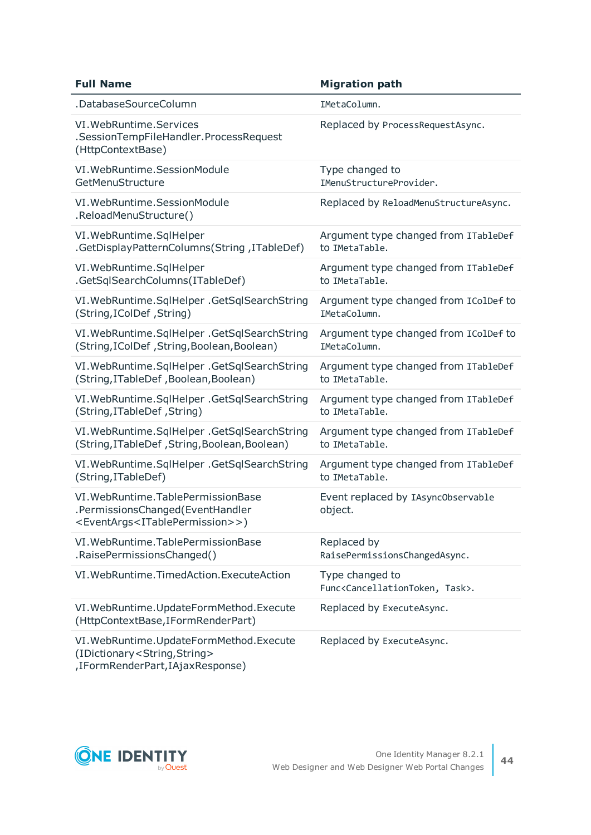| <b>Full Name</b>                                                                                                                          | <b>Migration path</b>                                                      |
|-------------------------------------------------------------------------------------------------------------------------------------------|----------------------------------------------------------------------------|
| .DatabaseSourceColumn                                                                                                                     | IMetaColumn.                                                               |
| VI. WebRuntime. Services<br>.SessionTempFileHandler.ProcessRequest<br>(HttpContextBase)                                                   | Replaced by ProcessRequestAsync.                                           |
| VI. WebRuntime. SessionModule                                                                                                             | Type changed to                                                            |
| GetMenuStructure                                                                                                                          | IMenuStructureProvider.                                                    |
| VI. WebRuntime. SessionModule<br>.ReloadMenuStructure()                                                                                   | Replaced by ReloadMenuStructureAsync.                                      |
| VI. WebRuntime. SqlHelper                                                                                                                 | Argument type changed from ITableDef                                       |
| .GetDisplayPatternColumns(String, ITableDef)                                                                                              | to IMetaTable.                                                             |
| VI. WebRuntime. SqlHelper                                                                                                                 | Argument type changed from ITableDef                                       |
| .GetSqlSearchColumns(ITableDef)                                                                                                           | to IMetaTable.                                                             |
| VI. WebRuntime. SqlHelper . GetSqlSearchString                                                                                            | Argument type changed from IColDef to                                      |
| (String, IColDef, String)                                                                                                                 | IMetaColumn.                                                               |
| VI. WebRuntime. SqlHelper . GetSqlSearchString                                                                                            | Argument type changed from IColDef to                                      |
| (String, IColDef, String, Boolean, Boolean)                                                                                               | IMetaColumn.                                                               |
| VI. WebRuntime. SqlHelper . GetSqlSearchString                                                                                            | Argument type changed from ITableDef                                       |
| (String, ITableDef, Boolean, Boolean)                                                                                                     | to IMetaTable.                                                             |
| VI. WebRuntime. SqlHelper . GetSqlSearchString                                                                                            | Argument type changed from ITableDef                                       |
| (String, ITableDef, String)                                                                                                               | to IMetaTable.                                                             |
| VI. WebRuntime. SqlHelper . GetSqlSearchString                                                                                            | Argument type changed from ITableDef                                       |
| (String, ITableDef, String, Boolean, Boolean)                                                                                             | to IMetaTable.                                                             |
| VI. WebRuntime. SqlHelper . GetSqlSearchString                                                                                            | Argument type changed from ITableDef                                       |
| (String, ITableDef)                                                                                                                       | to IMetaTable.                                                             |
| VI. WebRuntime. TablePermissionBase<br>.PermissionsChanged(EventHandler<br><eventargs<itablepermission>&gt;)</eventargs<itablepermission> | Event replaced by IAsync0bservable<br>object.                              |
| VI. WebRuntime. TablePermissionBase                                                                                                       | Replaced by                                                                |
| .RaisePermissionsChanged()                                                                                                                | RaisePermissionsChangedAsync.                                              |
| VI. WebRuntime. TimedAction. ExecuteAction                                                                                                | Type changed to<br>Func <cancellationtoken, task="">.</cancellationtoken,> |
| VI. WebRuntime. UpdateFormMethod. Execute<br>(HttpContextBase, IFormRenderPart)                                                           | Replaced by ExecuteAsync.                                                  |
| VI. WebRuntime. UpdateFormMethod. Execute<br>(IDictionary <string,string><br/>,IFormRenderPart,IAjaxResponse)</string,string>             | Replaced by ExecuteAsync.                                                  |

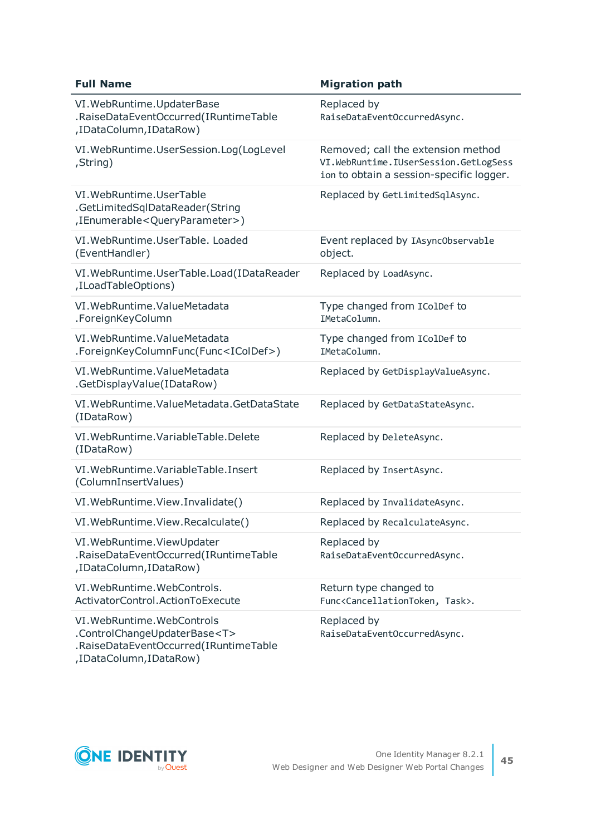| <b>Full Name</b>                                                                                                | <b>Migration path</b>                                                                                                   |
|-----------------------------------------------------------------------------------------------------------------|-------------------------------------------------------------------------------------------------------------------------|
| VI. WebRuntime. UpdaterBase<br>.RaiseDataEventOccurred(IRuntimeTable<br>,IDataColumn,IDataRow)                  | Replaced by<br>RaiseDataEventOccurredAsync.                                                                             |
| VI. WebRuntime. UserSession. Log(LogLevel<br>,String)                                                           | Removed; call the extension method<br>VI.WebRuntime.IUserSession.GetLogSess<br>ion to obtain a session-specific logger. |
| VI. WebRuntime. UserTable<br>.GetLimitedSqlDataReader(String<br>,IEnumerable <queryparameter>)</queryparameter> | Replaced by GetLimitedSqlAsync.                                                                                         |
| VI. WebRuntime. UserTable. Loaded<br>(EventHandler)                                                             | Event replaced by IAsync0bservable<br>object.                                                                           |
| VI. WebRuntime. UserTable. Load(IDataReader<br>,ILoadTableOptions)                                              | Replaced by LoadAsync.                                                                                                  |
| VI. WebRuntime. ValueMetadata<br>.ForeignKeyColumn                                                              | Type changed from IColDef to<br>IMetaColumn.                                                                            |
| VI. WebRuntime. ValueMetadata<br>.ForeignKeyColumnFunc(Func <icoldef>)</icoldef>                                | Type changed from IColDef to<br>IMetaColumn.                                                                            |
| VI. WebRuntime. ValueMetadata<br>.GetDisplayValue(IDataRow)                                                     | Replaced by GetDisplayValueAsync.                                                                                       |
| VI. WebRuntime. ValueMetadata. GetDataState<br>(IDataRow)                                                       | Replaced by GetDataStateAsync.                                                                                          |
| VI. WebRuntime. VariableTable. Delete<br>(IDataRow)                                                             | Replaced by DeleteAsync.                                                                                                |
| VI. WebRuntime. VariableTable. Insert<br>(ColumnInsertValues)                                                   | Replaced by InsertAsync.                                                                                                |
| VI. WebRuntime. View. Invalidate()                                                                              | Replaced by InvalidateAsync.                                                                                            |
| VI. WebRuntime. View. Recalculate()                                                                             | Replaced by RecalculateAsync.                                                                                           |
| VI. WebRuntime. ViewUpdater<br>.RaiseDataEventOccurred(IRuntimeTable<br>,IDataColumn,IDataRow)                  | Replaced by<br>RaiseDataEventOccurredAsync.                                                                             |
| VI. WebRuntime. WebControls.<br>ActivatorControl.ActionToExecute                                                | Return type changed to<br>Func <cancellationtoken, task="">.</cancellationtoken,>                                       |
| VI. WebRuntime. WebControls<br>.ControlChangeUpdaterBase <t><br/>.RaiseDataEventOccurred(IRuntimeTable</t>      | Replaced by<br>RaiseDataEventOccurredAsync.                                                                             |

,IDataColumn,IDataRow)

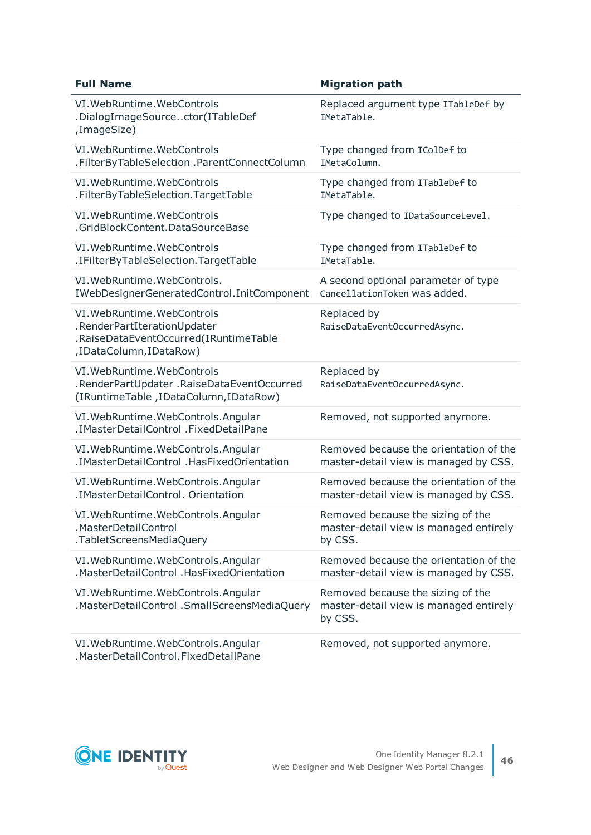| <b>Full Name</b>                                                                                                              | <b>Migration path</b>                                                                  |
|-------------------------------------------------------------------------------------------------------------------------------|----------------------------------------------------------------------------------------|
| VI. WebRuntime. WebControls<br>.DialogImageSourcector(ITableDef<br>,ImageSize)                                                | Replaced argument type ITableDef by<br>IMetaTable.                                     |
| VI. WebRuntime. WebControls                                                                                                   | Type changed from IColDef to                                                           |
| .FilterByTableSelection .ParentConnectColumn                                                                                  | IMetaColumn.                                                                           |
| VI. WebRuntime. WebControls                                                                                                   | Type changed from ITableDef to                                                         |
| .FilterByTableSelection.TargetTable                                                                                           | IMetaTable.                                                                            |
| VI. WebRuntime. WebControls<br>.GridBlockContent.DataSourceBase                                                               | Type changed to IDataSourceLevel.                                                      |
| VI. WebRuntime. WebControls                                                                                                   | Type changed from ITableDef to                                                         |
| .IFilterByTableSelection.TargetTable                                                                                          | IMetaTable.                                                                            |
| VI. WebRuntime. WebControls.                                                                                                  | A second optional parameter of type                                                    |
| IWebDesignerGeneratedControl.InitComponent                                                                                    | CancellationToken was added.                                                           |
| VI. WebRuntime. WebControls<br>.RenderPartIterationUpdater<br>.RaiseDataEventOccurred(IRuntimeTable<br>,IDataColumn,IDataRow) | Replaced by<br>RaiseDataEventOccurredAsync.                                            |
| VI. WebRuntime. WebControls<br>.RenderPartUpdater .RaiseDataEventOccurred<br>(IRuntimeTable, IDataColumn, IDataRow)           | Replaced by<br>RaiseDataEventOccurredAsync.                                            |
| VI. WebRuntime. WebControls. Angular<br>.IMasterDetailControl .FixedDetailPane                                                | Removed, not supported anymore.                                                        |
| VI. WebRuntime. WebControls. Angular                                                                                          | Removed because the orientation of the                                                 |
| .IMasterDetailControl .HasFixedOrientation                                                                                    | master-detail view is managed by CSS.                                                  |
| VI. WebRuntime. WebControls. Angular                                                                                          | Removed because the orientation of the                                                 |
| .IMasterDetailControl. Orientation                                                                                            | master-detail view is managed by CSS.                                                  |
| VI. WebRuntime. WebControls. Angular                                                                                          | Removed because the sizing of the                                                      |
| .MasterDetailControl                                                                                                          | master-detail view is managed entirely                                                 |
| .TabletScreensMediaQuery                                                                                                      | by CSS.                                                                                |
| VI. WebRuntime. WebControls. Angular                                                                                          | Removed because the orientation of the                                                 |
| .MasterDetailControl .HasFixedOrientation                                                                                     | master-detail view is managed by CSS.                                                  |
| VI. WebRuntime. WebControls. Angular<br>.MasterDetailControl .SmallScreensMediaQuery                                          | Removed because the sizing of the<br>master-detail view is managed entirely<br>by CSS. |
| VI. WebRuntime. WebControls. Angular<br>.MasterDetailControl.FixedDetailPane                                                  | Removed, not supported anymore.                                                        |

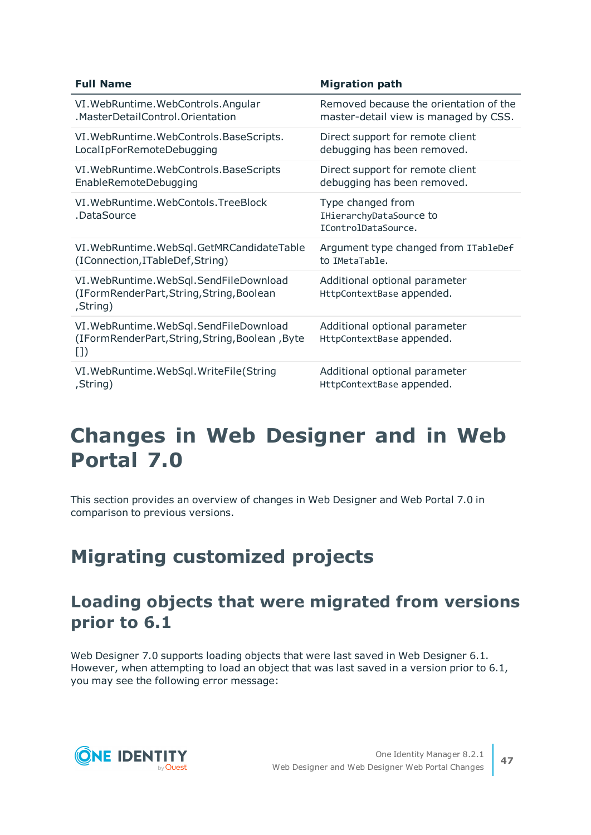| <b>Full Name</b>                                                                                  | <b>Migration path</b>                                               |
|---------------------------------------------------------------------------------------------------|---------------------------------------------------------------------|
| VI. WebRuntime. WebControls. Angular                                                              | Removed because the orientation of the                              |
| .MasterDetailControl.Orientation                                                                  | master-detail view is managed by CSS.                               |
| VI. WebRuntime. WebControls. BaseScripts.                                                         | Direct support for remote client                                    |
| LocalIpForRemoteDebugging                                                                         | debugging has been removed.                                         |
| VI. WebRuntime. WebControls. BaseScripts                                                          | Direct support for remote client                                    |
| EnableRemoteDebugging                                                                             | debugging has been removed.                                         |
| VI. WebRuntime. WebContols. TreeBlock<br>.DataSource                                              | Type changed from<br>IHierarchyDataSource to<br>IControlDataSource. |
| VI. WebRuntime. WebSql. GetMRCandidateTable                                                       | Argument type changed from ITableDef                                |
| (IConnection, ITableDef, String)                                                                  | to IMetaTable.                                                      |
| VI. WebRuntime. WebSql. SendFileDownload<br>(IFormRenderPart, String, String, Boolean<br>,String) | Additional optional parameter<br>HttpContextBase appended.          |
| VI. WebRuntime. WebSql. SendFileDownload<br>(IFormRenderPart,String,String,Boolean,Byte<br>$\Box$ | Additional optional parameter<br>HttpContextBase appended.          |
| VI. WebRuntime. WebSql. WriteFile(String                                                          | Additional optional parameter                                       |
| ,String)                                                                                          | HttpContextBase appended.                                           |

# **Changes in Web Designer and in Web Portal 7.0**

This section provides an overview of changes in Web Designer and Web Portal 7.0 in comparison to previous versions.

# **Migrating customized projects**

# **Loading objects that were migrated from versions prior to 6.1**

Web Designer 7.0 supports loading objects that were last saved in Web Designer 6.1. However, when attempting to load an object that was last saved in a version prior to 6.1, you may see the following error message:

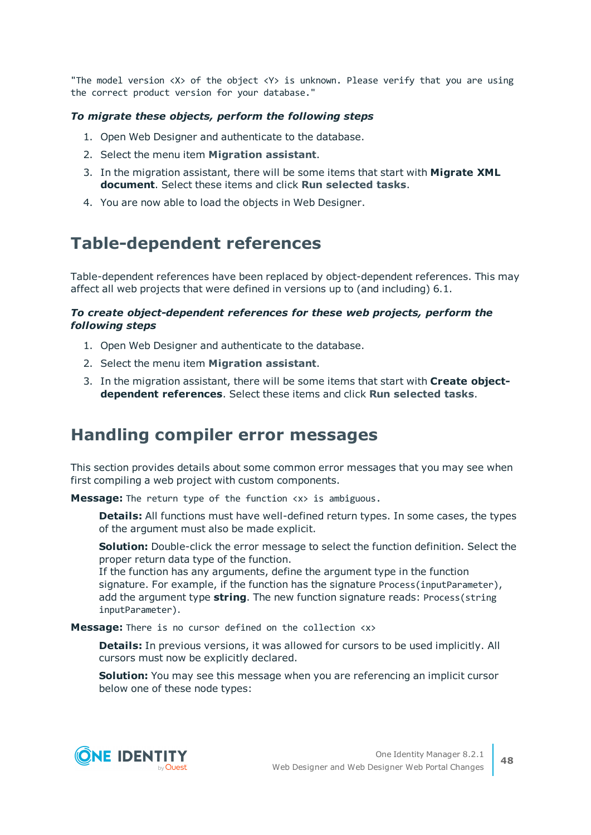"The model version  $\langle X \rangle$  of the object  $\langle Y \rangle$  is unknown. Please verify that you are using the correct product version for your database."

#### *To migrate these objects, perform the following steps*

- 1. Open Web Designer and authenticate to the database.
- 2. Select the menu item **Migration assistant**.
- 3. In the migration assistant, there will be some items that start with **Migrate XML document**. Select these items and click **Run selected tasks**.
- 4. You are now able to load the objects in Web Designer.

### **Table-dependent references**

Table-dependent references have been replaced by object-dependent references. This may affect all web projects that were defined in versions up to (and including) 6.1.

#### *To create object-dependent references for these web projects, perform the following steps*

- 1. Open Web Designer and authenticate to the database.
- 2. Select the menu item **Migration assistant**.
- 3. In the migration assistant, there will be some items that start with **Create objectdependent references**. Select these items and click **Run selected tasks**.

### **Handling compiler error messages**

This section provides details about some common error messages that you may see when first compiling a web project with custom components.

**Message:** The return type of the function  $\langle x \rangle$  is ambiguous.

**Details:** All functions must have well-defined return types. In some cases, the types of the argument must also be made explicit.

**Solution:** Double-click the error message to select the function definition. Select the proper return data type of the function.

If the function has any arguments, define the argument type in the function signature. For example, if the function has the signature Process(inputParameter), add the argument type **string**. The new function signature reads: Process(string inputParameter).

**Message:** There is no cursor defined on the collection <x>

**Details:** In previous versions, it was allowed for cursors to be used implicitly. All cursors must now be explicitly declared.

**Solution:** You may see this message when you are referencing an implicit cursor below one of these node types:

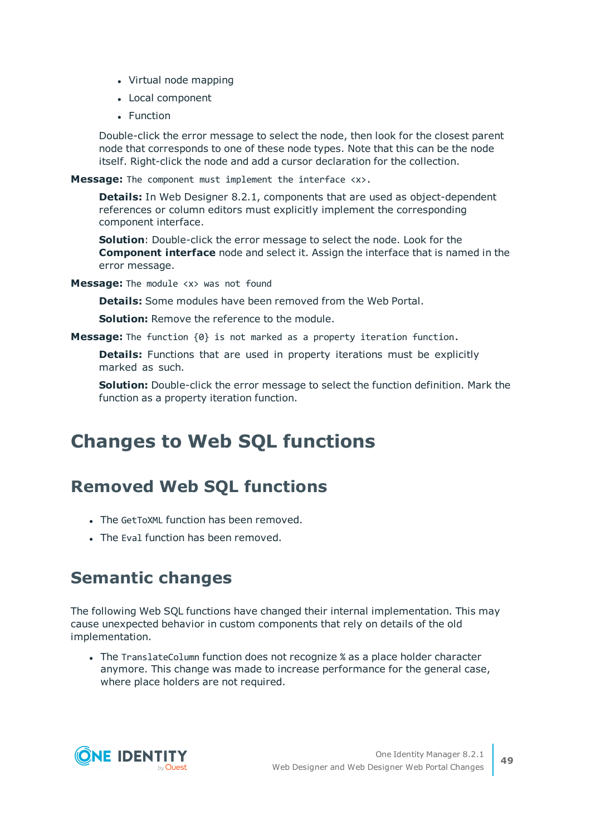- Virtual node mapping
- Local component
- Function

Double-click the error message to select the node, then look for the closest parent node that corresponds to one of these node types. Note that this can be the node itself. Right-click the node and add a cursor declaration for the collection.

**Message:** The component must implement the interface <x>.

**Details:** In Web Designer 8.2.1, components that are used as object-dependent references or column editors must explicitly implement the corresponding component interface.

**Solution**: Double-click the error message to select the node. Look for the **Component interface** node and select it. Assign the interface that is named in the error message.

**Message:** The module <x> was not found

**Details:** Some modules have been removed from the Web Portal.

**Solution:** Remove the reference to the module.

**Message:** The function {0} is not marked as a property iteration function.

**Details:** Functions that are used in property iterations must be explicitly marked as such.

**Solution:** Double-click the error message to select the function definition. Mark the function as a property iteration function.

# **Changes to Web SQL functions**

# **Removed Web SQL functions**

- The GetToXML function has been removed.
- The Eval function has been removed.

# **Semantic changes**

The following Web SQL functions have changed their internal implementation. This may cause unexpected behavior in custom components that rely on details of the old implementation.

• The TranslateColumn function does not recognize % as a place holder character anymore. This change was made to increase performance for the general case, where place holders are not required.

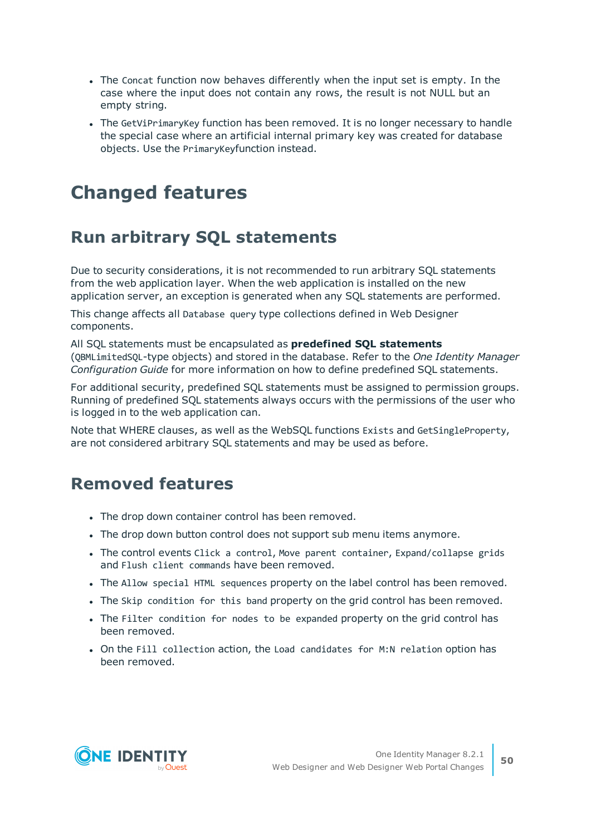- The Concat function now behaves differently when the input set is empty. In the case where the input does not contain any rows, the result is not NULL but an empty string.
- The GetViPrimaryKey function has been removed. It is no longer necessary to handle the special case where an artificial internal primary key was created for database objects. Use the PrimaryKeyfunction instead.

# **Changed features**

# **Run arbitrary SQL statements**

Due to security considerations, it is not recommended to run arbitrary SQL statements from the web application layer. When the web application is installed on the new application server, an exception is generated when any SQL statements are performed.

This change affects all Database query type collections defined in Web Designer components.

All SQL statements must be encapsulated as **predefined SQL statements** (QBMLimitedSQL-type objects) and stored in the database. Refer to the *One Identity Manager Configuration Guide* for more information on how to define predefined SQL statements.

For additional security, predefined SQL statements must be assigned to permission groups. Running of predefined SQL statements always occurs with the permissions of the user who is logged in to the web application can.

Note that WHERE clauses, as well as the WebSQL functions Exists and GetSingleProperty, are not considered arbitrary SQL statements and may be used as before.

# **Removed features**

- The drop down container control has been removed.
- . The drop down button control does not support sub menu items anymore.
- The control events Click a control, Move parent container, Expand/collapse grids and Flush client commands have been removed.
- The Allow special HTML sequences property on the label control has been removed.
- The Skip condition for this band property on the grid control has been removed.
- The Filter condition for nodes to be expanded property on the grid control has been removed.
- On the Fill collection action, the Load candidates for M:N relation option has been removed.

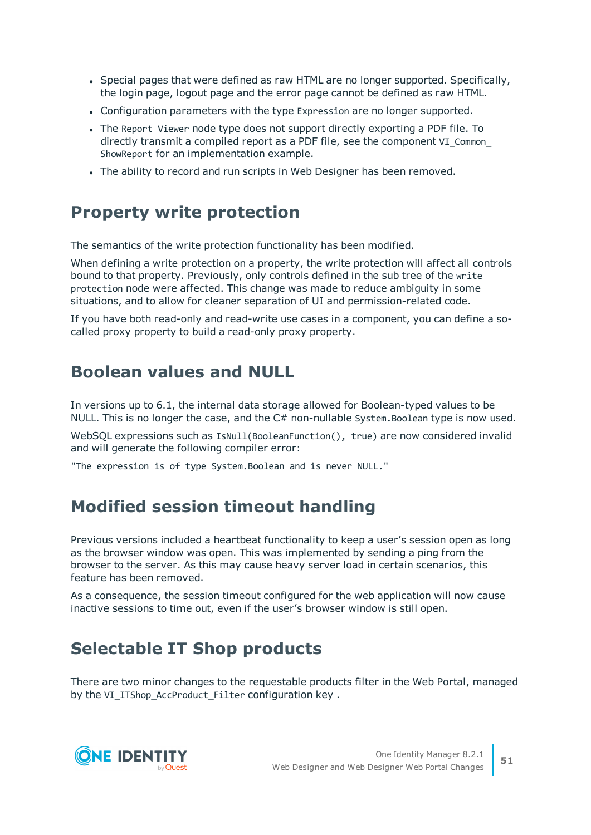- Special pages that were defined as raw HTML are no longer supported. Specifically, the login page, logout page and the error page cannot be defined as raw HTML.
- Configuration parameters with the type Expression are no longer supported.
- The Report Viewer node type does not support directly exporting a PDF file. To directly transmit a compiled report as a PDF file, see the component VI Common ShowReport for an implementation example.
- The ability to record and run scripts in Web Designer has been removed.

# **Property write protection**

The semantics of the write protection functionality has been modified.

When defining a write protection on a property, the write protection will affect all controls bound to that property. Previously, only controls defined in the sub tree of the write protection node were affected. This change was made to reduce ambiguity in some situations, and to allow for cleaner separation of UI and permission-related code.

If you have both read-only and read-write use cases in a component, you can define a socalled proxy property to build a read-only proxy property.

# **Boolean values and NULL**

In versions up to 6.1, the internal data storage allowed for Boolean-typed values to be NULL. This is no longer the case, and the C# non-nullable System.Boolean type is now used.

WebSQL expressions such as IsNull(BooleanFunction(), true) are now considered invalid and will generate the following compiler error:

"The expression is of type System.Boolean and is never NULL."

# **Modified session timeout handling**

Previous versions included a heartbeat functionality to keep a user's session open as long as the browser window was open. This was implemented by sending a ping from the browser to the server. As this may cause heavy server load in certain scenarios, this feature has been removed.

As a consequence, the session timeout configured for the web application will now cause inactive sessions to time out, even if the user's browser window is still open.

# **Selectable IT Shop products**

There are two minor changes to the requestable products filter in the Web Portal, managed by the VI\_ITShop\_AccProduct\_Filter configuration key .

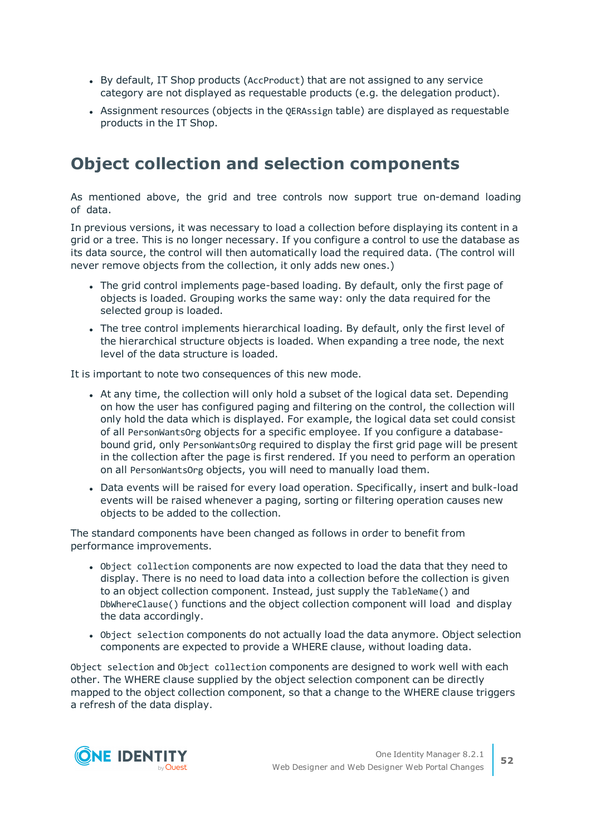- By default, IT Shop products (AccProduct) that are not assigned to any service category are not displayed as requestable products (e.g. the delegation product).
- Assignment resources (objects in the QERAssign table) are displayed as requestable products in the IT Shop.

### **Object collection and selection components**

As mentioned above, the grid and tree controls now support true on-demand loading of data.

In previous versions, it was necessary to load a collection before displaying its content in a grid or a tree. This is no longer necessary. If you configure a control to use the database as its data source, the control will then automatically load the required data. (The control will never remove objects from the collection, it only adds new ones.)

- The grid control implements page-based loading. By default, only the first page of objects is loaded. Grouping works the same way: only the data required for the selected group is loaded.
- The tree control implements hierarchical loading. By default, only the first level of the hierarchical structure objects is loaded. When expanding a tree node, the next level of the data structure is loaded.

It is important to note two consequences of this new mode.

- At any time, the collection will only hold a subset of the logical data set. Depending on how the user has configured paging and filtering on the control, the collection will only hold the data which is displayed. For example, the logical data set could consist of all PersonWantsOrg objects for a specific employee. If you configure a databasebound grid, only PersonWantsOrg required to display the first grid page will be present in the collection after the page is first rendered. If you need to perform an operation on all PersonWantsOrg objects, you will need to manually load them.
- Data events will be raised for every load operation. Specifically, insert and bulk-load events will be raised whenever a paging, sorting or filtering operation causes new objects to be added to the collection.

The standard components have been changed as follows in order to benefit from performance improvements.

- <sup>l</sup> Object collection components are now expected to load the data that they need to display. There is no need to load data into a collection before the collection is given to an object collection component. Instead, just supply the TableName() and DbWhereClause() functions and the object collection component will load and display the data accordingly.
- Object selection components do not actually load the data anymore. Object selection components are expected to provide a WHERE clause, without loading data.

Object selection and Object collection components are designed to work well with each other. The WHERE clause supplied by the object selection component can be directly mapped to the object collection component, so that a change to the WHERE clause triggers a refresh of the data display.

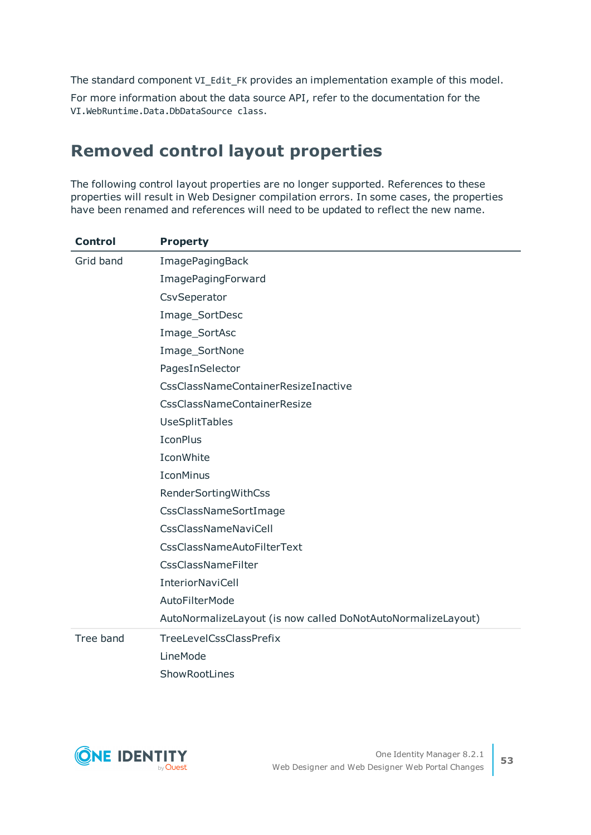The standard component VI\_Edit\_FK provides an implementation example of this model.

For more information about the data source API, refer to the documentation for the VI.WebRuntime.Data.DbDataSource class.

# **Removed control layout properties**

The following control layout properties are no longer supported. References to these properties will result in Web Designer compilation errors. In some cases, the properties have been renamed and references will need to be updated to reflect the new name.

| <b>Control</b> | <b>Property</b>                                              |
|----------------|--------------------------------------------------------------|
| Grid band      | ImagePagingBack                                              |
|                | ImagePagingForward                                           |
|                | CsvSeperator                                                 |
|                | Image_SortDesc                                               |
|                | Image_SortAsc                                                |
|                | Image_SortNone                                               |
|                | PagesInSelector                                              |
|                | CssClassNameContainerResizeInactive                          |
|                | <b>CssClassNameContainerResize</b>                           |
|                | UseSplitTables                                               |
|                | <b>IconPlus</b>                                              |
|                | IconWhite                                                    |
|                | <b>IconMinus</b>                                             |
|                | RenderSortingWithCss                                         |
|                | CssClassNameSortImage                                        |
|                | <b>CssClassNameNaviCell</b>                                  |
|                | <b>CssClassNameAutoFilterText</b>                            |
|                | <b>CssClassNameFilter</b>                                    |
|                | <b>InteriorNaviCell</b>                                      |
|                | <b>AutoFilterMode</b>                                        |
|                | AutoNormalizeLayout (is now called DoNotAutoNormalizeLayout) |
| Tree band      | <b>TreeLevelCssClassPrefix</b>                               |
|                | LineMode                                                     |
|                | ShowRootLines                                                |

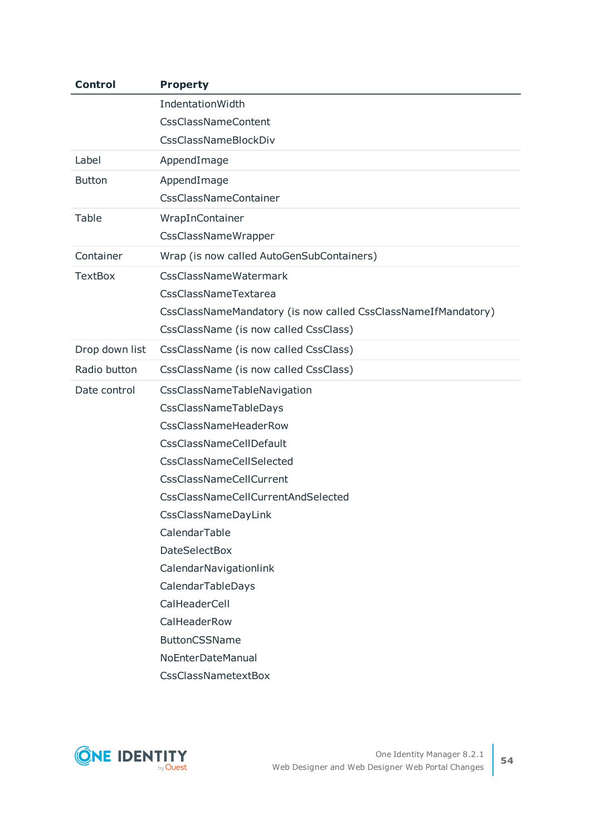| <b>Control</b> | <b>Property</b>                                               |
|----------------|---------------------------------------------------------------|
|                | IndentationWidth                                              |
|                | <b>CssClassNameContent</b>                                    |
|                | CssClassNameBlockDiv                                          |
| Label          | AppendImage                                                   |
| <b>Button</b>  | AppendImage                                                   |
|                | <b>CssClassNameContainer</b>                                  |
| Table          | WrapInContainer                                               |
|                | CssClassNameWrapper                                           |
| Container      | Wrap (is now called AutoGenSubContainers)                     |
| <b>TextBox</b> | CssClassNameWatermark                                         |
|                | CssClassNameTextarea                                          |
|                | CssClassNameMandatory (is now called CssClassNameIfMandatory) |
|                | CssClassName (is now called CssClass)                         |
| Drop down list | CssClassName (is now called CssClass)                         |
| Radio button   | CssClassName (is now called CssClass)                         |
| Date control   | CssClassNameTableNavigation                                   |
|                | CssClassNameTableDays                                         |
|                | CssClassNameHeaderRow                                         |
|                | <b>CssClassNameCellDefault</b>                                |
|                | CssClassNameCellSelected                                      |
|                | <b>CssClassNameCellCurrent</b>                                |
|                | CssClassNameCellCurrentAndSelected                            |
|                | CssClassNameDayLink                                           |
|                | CalendarTable                                                 |
|                | <b>DateSelectBox</b>                                          |
|                | CalendarNavigationlink                                        |
|                | CalendarTableDays                                             |
|                | CalHeaderCell                                                 |
|                | CalHeaderRow                                                  |
|                | <b>ButtonCSSName</b>                                          |
|                | NoEnterDateManual                                             |
|                | CssClassNametextBox                                           |

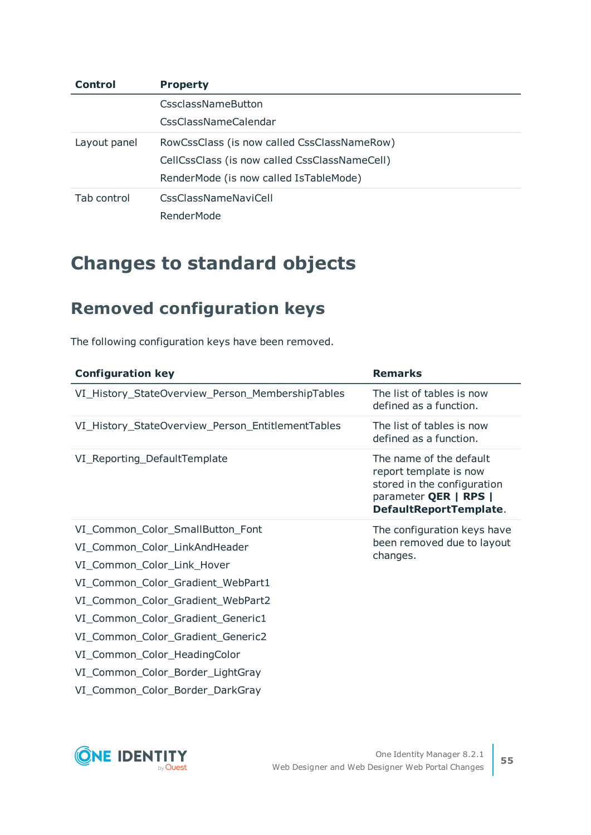| Control      | <b>Property</b>                               |
|--------------|-----------------------------------------------|
|              | CssclassNameButton                            |
|              | CssClassNameCalendar                          |
| Layout panel | RowCssClass (is now called CssClassNameRow)   |
|              | CellCssClass (is now called CssClassNameCell) |
|              | RenderMode (is now called IsTableMode)        |
| Tab control  | CssClassNameNaviCell                          |
|              | RenderMode                                    |

# **Changes to standard objects**

# **Removed configuration keys**

The following configuration keys have been removed.

| <b>Configuration key</b>                                                                                                                                                                                                                                                                                                | <b>Remarks</b>                                                                                                                      |
|-------------------------------------------------------------------------------------------------------------------------------------------------------------------------------------------------------------------------------------------------------------------------------------------------------------------------|-------------------------------------------------------------------------------------------------------------------------------------|
| VI_History_StateOverview_Person_MembershipTables                                                                                                                                                                                                                                                                        | The list of tables is now<br>defined as a function.                                                                                 |
| VI_History_StateOverview_Person_EntitlementTables                                                                                                                                                                                                                                                                       | The list of tables is now<br>defined as a function.                                                                                 |
| VI_Reporting_DefaultTemplate                                                                                                                                                                                                                                                                                            | The name of the default<br>report template is now<br>stored in the configuration<br>parameter QER   RPS  <br>DefaultReportTemplate. |
| VI_Common_Color_SmallButton_Font<br>VI_Common_Color_LinkAndHeader<br>VI_Common_Color_Link_Hover<br>VI_Common_Color_Gradient_WebPart1<br>VI_Common_Color_Gradient_WebPart2<br>VI_Common_Color_Gradient_Generic1<br>VI_Common_Color_Gradient_Generic2<br>VI_Common_Color_HeadingColor<br>VI_Common_Color_Border_LightGray | The configuration keys have<br>been removed due to layout<br>changes.                                                               |

VI\_Common\_Color\_Border\_DarkGray

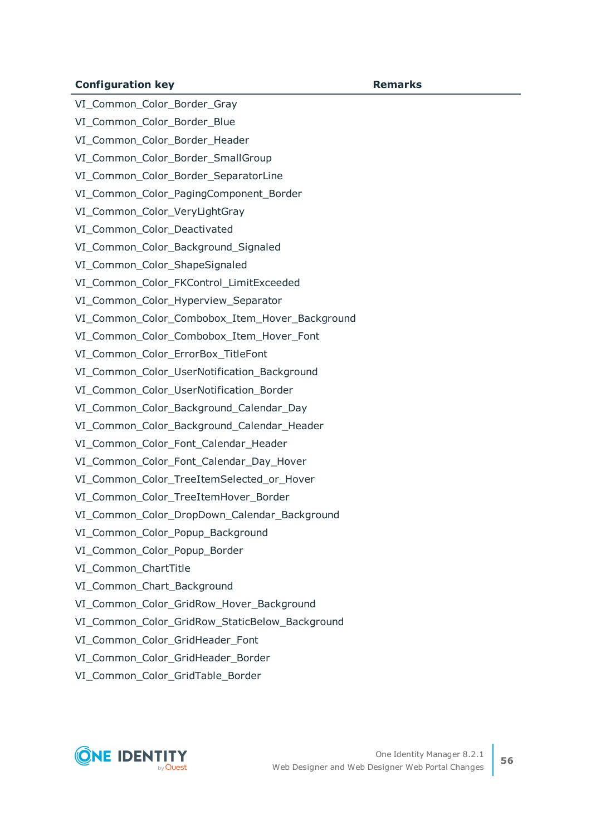#### **Configuration key Remarks**

VI Common Color Border Gray

VI\_Common\_Color\_Border\_Blue

VI\_Common\_Color\_Border\_Header

VI Common Color Border SmallGroup

VI\_Common\_Color\_Border\_SeparatorLine

VI\_Common\_Color\_PagingComponent\_Border

VI\_Common\_Color\_VeryLightGray

VI Common Color Deactivated

VI\_Common\_Color\_Background\_Signaled

VI\_Common\_Color\_ShapeSignaled

VI\_Common\_Color\_FKControl\_LimitExceeded

VI Common Color Hyperview Separator

VI Common Color Combobox Item Hover Background

VI Common Color Combobox Item Hover Font

VI\_Common\_Color\_ErrorBox\_TitleFont

VI Common Color UserNotification Background

VI\_Common\_Color\_UserNotification\_Border

VI Common Color Background Calendar Day

VI Common Color Background Calendar Header

VI\_Common\_Color\_Font\_Calendar\_Header

VI Common Color Font Calendar Day Hover

VI\_Common\_Color\_TreeItemSelected\_or\_Hover

VI Common Color TreeItemHover Border

VI Common Color DropDown Calendar Background

VI Common Color Popup Background

VI\_Common\_Color\_Popup\_Border

VI\_Common\_ChartTitle

VI Common Chart Background

VI\_Common\_Color\_GridRow\_Hover\_Background

VI Common Color GridRow StaticBelow Background

VI Common Color GridHeader Font

VI Common Color GridHeader Border

VI\_Common\_Color\_GridTable\_Border

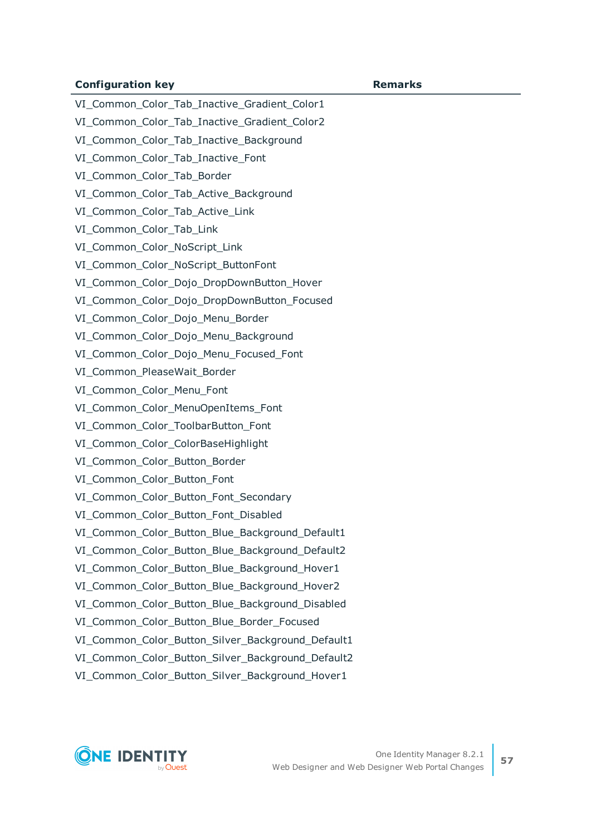#### **Configuration key Remarks**

VI Common Color Tab Inactive Gradient Color1 VI\_Common\_Color\_Tab\_Inactive\_Gradient\_Color2 VI\_Common\_Color\_Tab\_Inactive\_Background VI Common Color Tab Inactive Font VI\_Common\_Color\_Tab\_Border VI\_Common\_Color\_Tab\_Active\_Background VI\_Common\_Color\_Tab\_Active\_Link VI Common Color Tab Link VI\_Common\_Color\_NoScript\_Link VI\_Common\_Color\_NoScript\_ButtonFont VI\_Common\_Color\_Dojo\_DropDownButton\_Hover VI\_Common\_Color\_Dojo\_DropDownButton\_Focused VI\_Common\_Color\_Dojo\_Menu\_Border VI Common Color Dojo Menu Background VI\_Common\_Color\_Dojo\_Menu\_Focused\_Font VI\_Common\_PleaseWait\_Border VI Common Color Menu Font VI Common Color MenuOpenItems Font VI Common Color ToolbarButton Font VI\_Common\_Color\_ColorBaseHighlight VI\_Common\_Color\_Button\_Border VI\_Common\_Color\_Button\_Font VI Common Color Button Font Secondary VI\_Common\_Color\_Button\_Font\_Disabled VI Common Color Button Blue Background Default1 VI Common Color Button Blue Background Default2 VI Common Color Button Blue Background Hover1 VI Common Color Button Blue Background Hover2 VI Common Color Button Blue Background Disabled VI Common Color Button Blue Border Focused VI Common Color Button Silver Background Default1 VI Common Color Button Silver Background Default2 VI\_Common\_Color\_Button\_Silver\_Background\_Hover1

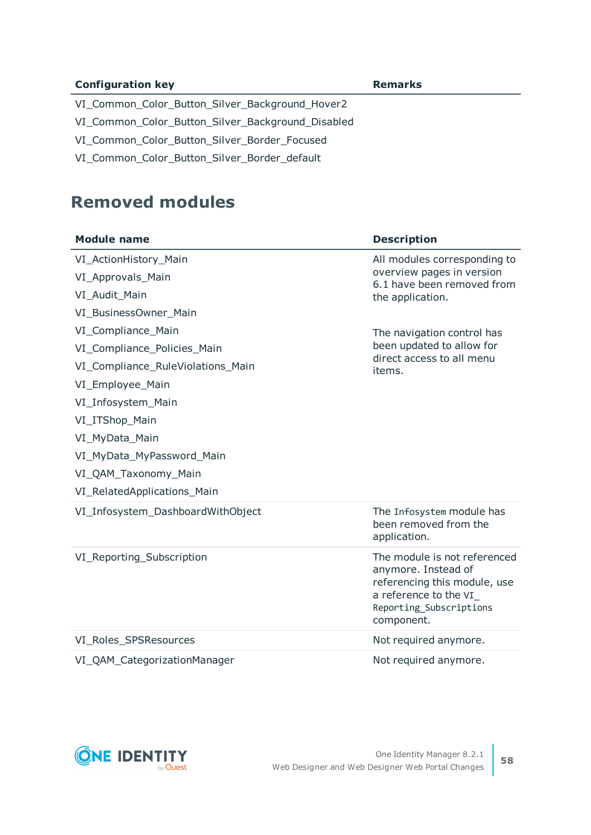| <b>Configuration key</b>                          | <b>Remarks</b> |
|---------------------------------------------------|----------------|
| VI_Common_Color_Button_Silver_Background_Hover2   |                |
| VI_Common_Color_Button_Silver_Background_Disabled |                |
| VI Common Color Button Silver Border Focused      |                |
| VI_Common_Color_Button_Silver_Border_default      |                |

### **Removed modules**

| <b>Module name</b>                | <b>Description</b>                                                                                                                                    |
|-----------------------------------|-------------------------------------------------------------------------------------------------------------------------------------------------------|
| VI_ActionHistory_Main             | All modules corresponding to                                                                                                                          |
| VI_Approvals_Main                 | overview pages in version<br>6.1 have been removed from                                                                                               |
| VI_Audit_Main                     | the application.                                                                                                                                      |
| VI_BusinessOwner_Main             |                                                                                                                                                       |
| VI_Compliance_Main                | The navigation control has                                                                                                                            |
| VI_Compliance_Policies_Main       | been updated to allow for<br>direct access to all menu                                                                                                |
| VI_Compliance_RuleViolations_Main | items.                                                                                                                                                |
| VI_Employee_Main                  |                                                                                                                                                       |
| VI_Infosystem_Main                |                                                                                                                                                       |
| VI_ITShop_Main                    |                                                                                                                                                       |
| VI_MyData_Main                    |                                                                                                                                                       |
| VI_MyData_MyPassword_Main         |                                                                                                                                                       |
| VI_QAM_Taxonomy_Main              |                                                                                                                                                       |
| VI_RelatedApplications_Main       |                                                                                                                                                       |
| VI_Infosystem_DashboardWithObject | The Infosystem module has<br>been removed from the<br>application.                                                                                    |
| VI_Reporting_Subscription         | The module is not referenced<br>anymore. Instead of<br>referencing this module, use<br>a reference to the VI<br>Reporting_Subscriptions<br>component. |
| VI_Roles_SPSResources             | Not required anymore.                                                                                                                                 |
| VI_QAM_CategorizationManager      | Not required anymore.                                                                                                                                 |

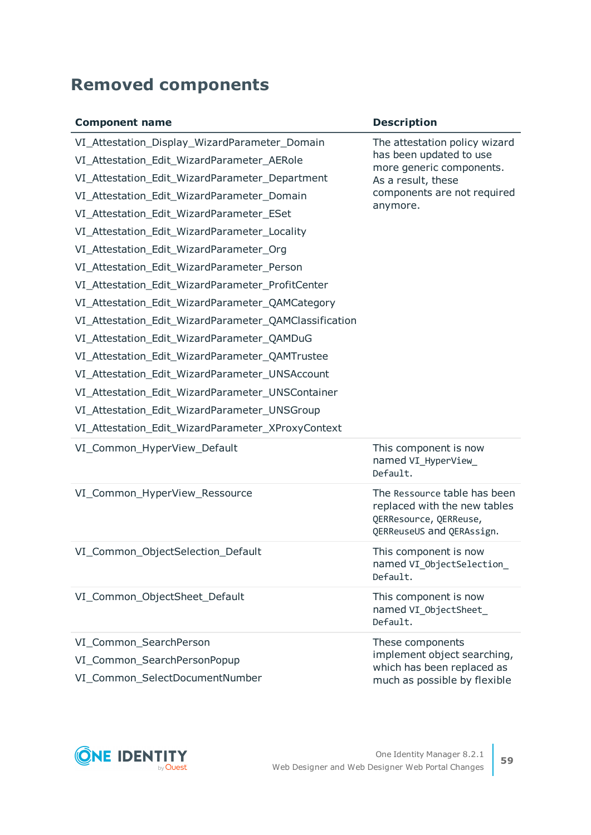# **Removed components**

| <b>Component name</b>                                 | <b>Description</b>                                                                                                  |
|-------------------------------------------------------|---------------------------------------------------------------------------------------------------------------------|
| VI_Attestation_Display_WizardParameter_Domain         | The attestation policy wizard                                                                                       |
| VI_Attestation_Edit_WizardParameter_AERole            | has been updated to use<br>more generic components.                                                                 |
| VI_Attestation_Edit_WizardParameter_Department        | As a result, these                                                                                                  |
| VI_Attestation_Edit_WizardParameter_Domain            | components are not required                                                                                         |
| VI_Attestation_Edit_WizardParameter_ESet              | anymore.                                                                                                            |
| VI_Attestation_Edit_WizardParameter_Locality          |                                                                                                                     |
| VI_Attestation_Edit_WizardParameter_Org               |                                                                                                                     |
| VI_Attestation_Edit_WizardParameter_Person            |                                                                                                                     |
| VI_Attestation_Edit_WizardParameter_ProfitCenter      |                                                                                                                     |
| VI_Attestation_Edit_WizardParameter_QAMCategory       |                                                                                                                     |
| VI_Attestation_Edit_WizardParameter_QAMClassification |                                                                                                                     |
| VI_Attestation_Edit_WizardParameter_QAMDuG            |                                                                                                                     |
| VI_Attestation_Edit_WizardParameter_QAMTrustee        |                                                                                                                     |
| VI_Attestation_Edit_WizardParameter_UNSAccount        |                                                                                                                     |
| VI_Attestation_Edit_WizardParameter_UNSContainer      |                                                                                                                     |
| VI_Attestation_Edit_WizardParameter_UNSGroup          |                                                                                                                     |
| VI_Attestation_Edit_WizardParameter_XProxyContext     |                                                                                                                     |
| VI_Common_HyperView_Default                           | This component is now<br>named VI_HyperView_<br>Default.                                                            |
| VI_Common_HyperView_Ressource                         | The Ressource table has been<br>replaced with the new tables<br>QERResource, QERReuse,<br>QERReuseUS and QERAssign. |
| VI_Common_ObjectSelection_Default                     | This component is now<br>named VI_ObjectSelection_<br>Default.                                                      |
| VI_Common_ObjectSheet_Default                         | This component is now<br>named VI_0bjectSheet_<br>Default.                                                          |
| VI_Common_SearchPerson                                | These components                                                                                                    |
| VI_Common_SearchPersonPopup                           | implement object searching,<br>which has been replaced as                                                           |
| VI_Common_SelectDocumentNumber                        | much as possible by flexible                                                                                        |

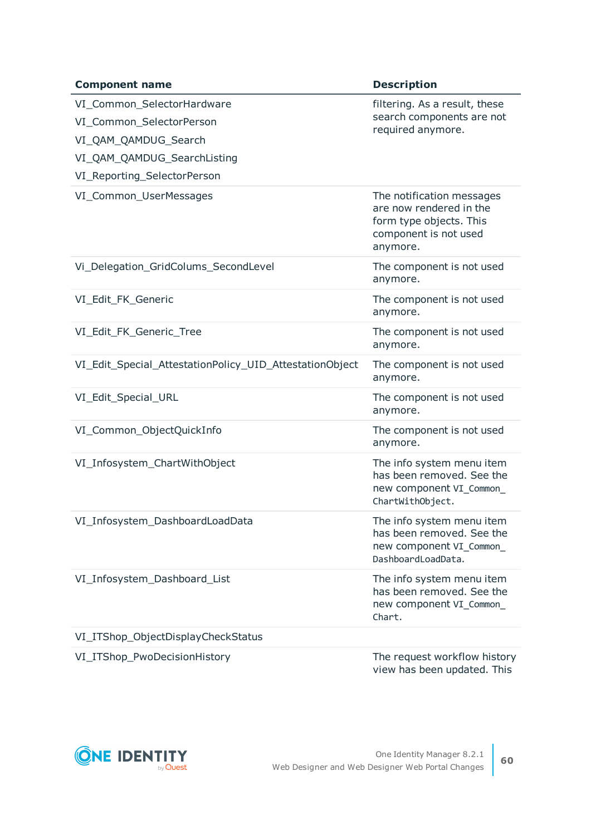| <b>Component name</b>                                                                                                                        | <b>Description</b>                                                                                                   |
|----------------------------------------------------------------------------------------------------------------------------------------------|----------------------------------------------------------------------------------------------------------------------|
| VI_Common_SelectorHardware<br>VI_Common_SelectorPerson<br>VI_QAM_QAMDUG_Search<br>VI_QAM_QAMDUG_SearchListing<br>VI_Reporting_SelectorPerson | filtering. As a result, these<br>search components are not<br>required anymore.                                      |
| VI_Common_UserMessages                                                                                                                       | The notification messages<br>are now rendered in the<br>form type objects. This<br>component is not used<br>anymore. |
| Vi_Delegation_GridColums_SecondLevel                                                                                                         | The component is not used<br>anymore.                                                                                |
| VI_Edit_FK_Generic                                                                                                                           | The component is not used<br>anymore.                                                                                |
| VI_Edit_FK_Generic_Tree                                                                                                                      | The component is not used<br>anymore.                                                                                |
| VI_Edit_Special_AttestationPolicy_UID_AttestationObject                                                                                      | The component is not used<br>anymore.                                                                                |
| VI_Edit_Special_URL                                                                                                                          | The component is not used<br>anymore.                                                                                |
| VI_Common_ObjectQuickInfo                                                                                                                    | The component is not used<br>anymore.                                                                                |
| VI_Infosystem_ChartWithObject                                                                                                                | The info system menu item<br>has been removed. See the<br>new component VI_Common_<br>ChartWithObject.               |
| VI_Infosystem_DashboardLoadData                                                                                                              | The info system menu item<br>has been removed. See the<br>new component VI_Common_<br>DashboardLoadData.             |
| VI_Infosystem_Dashboard_List                                                                                                                 | The info system menu item<br>has been removed. See the<br>new component VI_Common_<br>Chart.                         |
| VI_ITShop_ObjectDisplayCheckStatus                                                                                                           |                                                                                                                      |
| VI_ITShop_PwoDecisionHistory                                                                                                                 | The request workflow history                                                                                         |

view has been updated. This

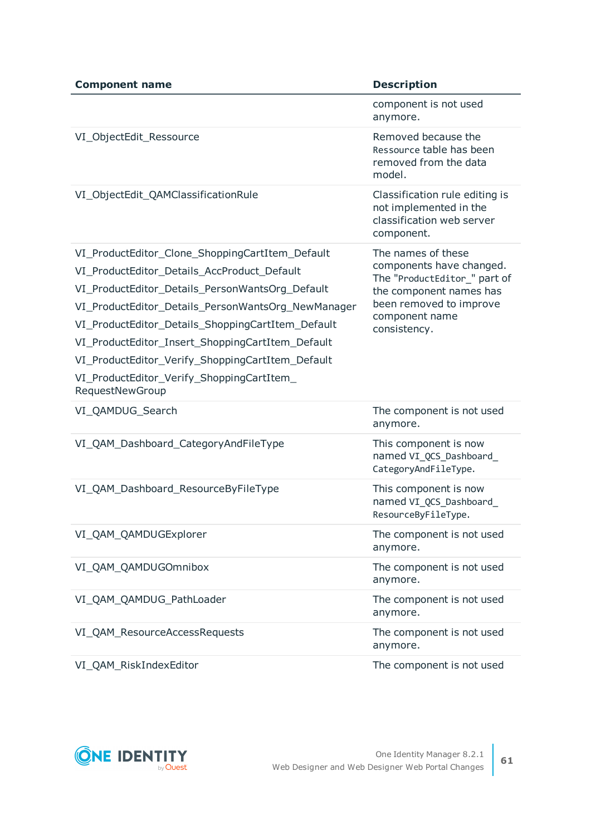| <b>Component name</b>                                                                                                                                                                                                                                                                                                                                                                                                                | <b>Description</b>                                                                                                                                                     |
|--------------------------------------------------------------------------------------------------------------------------------------------------------------------------------------------------------------------------------------------------------------------------------------------------------------------------------------------------------------------------------------------------------------------------------------|------------------------------------------------------------------------------------------------------------------------------------------------------------------------|
|                                                                                                                                                                                                                                                                                                                                                                                                                                      | component is not used<br>anymore.                                                                                                                                      |
| VI_ObjectEdit_Ressource                                                                                                                                                                                                                                                                                                                                                                                                              | Removed because the<br>Ressource table has been<br>removed from the data<br>model.                                                                                     |
| VI_ObjectEdit_QAMClassificationRule                                                                                                                                                                                                                                                                                                                                                                                                  | Classification rule editing is<br>not implemented in the<br>classification web server<br>component.                                                                    |
| VI_ProductEditor_Clone_ShoppingCartItem_Default<br>VI_ProductEditor_Details_AccProduct_Default<br>VI_ProductEditor_Details_PersonWantsOrg_Default<br>VI_ProductEditor_Details_PersonWantsOrg_NewManager<br>VI_ProductEditor_Details_ShoppingCartItem_Default<br>VI_ProductEditor_Insert_ShoppingCartItem_Default<br>VI_ProductEditor_Verify_ShoppingCartItem_Default<br>VI_ProductEditor_Verify_ShoppingCartItem_<br>RequestNewGroup | The names of these<br>components have changed.<br>The "ProductEditor_" part of<br>the component names has<br>been removed to improve<br>component name<br>consistency. |
| VI_QAMDUG_Search                                                                                                                                                                                                                                                                                                                                                                                                                     | The component is not used<br>anymore.                                                                                                                                  |
| VI_QAM_Dashboard_CategoryAndFileType                                                                                                                                                                                                                                                                                                                                                                                                 | This component is now<br>named VI_QCS_Dashboard_<br>CategoryAndFileType.                                                                                               |
| VI_QAM_Dashboard_ResourceByFileType                                                                                                                                                                                                                                                                                                                                                                                                  | This component is now<br>named VI_QCS_Dashboard_<br>ResourceByFileType.                                                                                                |
| VI_QAM_QAMDUGExplorer                                                                                                                                                                                                                                                                                                                                                                                                                | The component is not used<br>anymore.                                                                                                                                  |
| VI_QAM_QAMDUGOmnibox                                                                                                                                                                                                                                                                                                                                                                                                                 | The component is not used<br>anymore.                                                                                                                                  |
| VI_QAM_QAMDUG_PathLoader                                                                                                                                                                                                                                                                                                                                                                                                             | The component is not used<br>anymore.                                                                                                                                  |
| VI_QAM_ResourceAccessRequests                                                                                                                                                                                                                                                                                                                                                                                                        | The component is not used<br>anymore.                                                                                                                                  |
| VI_QAM_RiskIndexEditor                                                                                                                                                                                                                                                                                                                                                                                                               | The component is not used                                                                                                                                              |

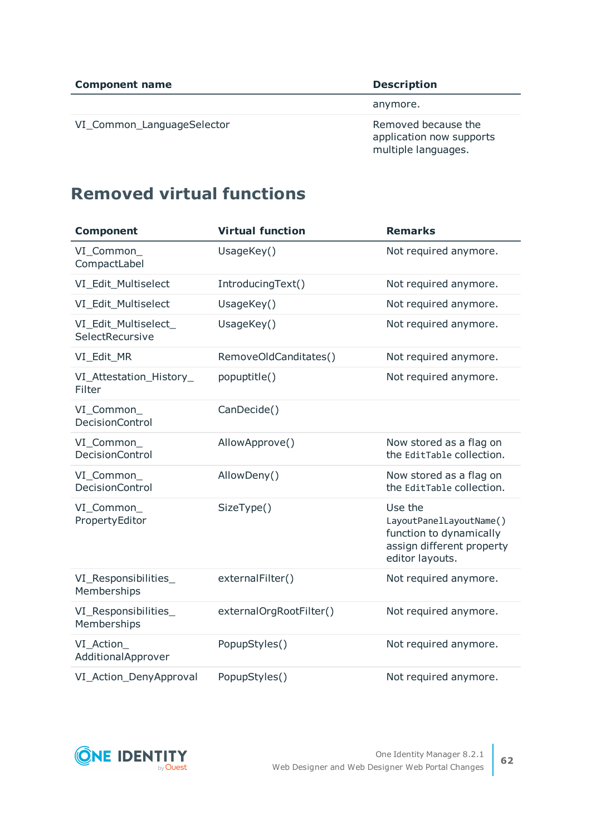VI\_Common\_LanguageSelector Removed because the

anymore.

application now supports multiple languages.

# **Removed virtual functions**

| <b>Component</b>                        | <b>Virtual function</b> | <b>Remarks</b>                                                                                                |
|-----------------------------------------|-------------------------|---------------------------------------------------------------------------------------------------------------|
| VI_Common_<br>CompactLabel              | UsageKey()              | Not required anymore.                                                                                         |
| VI_Edit_Multiselect                     | IntroducingText()       | Not required anymore.                                                                                         |
| VI_Edit_Multiselect                     | UsageKey()              | Not required anymore.                                                                                         |
| VI_Edit_Multiselect_<br>SelectRecursive | UsageKey()              | Not required anymore.                                                                                         |
| VI_Edit_MR                              | RemoveOldCanditates()   | Not required anymore.                                                                                         |
| VI_Attestation_History_<br>Filter       | popuptitle()            | Not required anymore.                                                                                         |
| VI_Common_<br><b>DecisionControl</b>    | CanDecide()             |                                                                                                               |
| VI_Common_<br><b>DecisionControl</b>    | AllowApprove()          | Now stored as a flag on<br>the EditTable collection.                                                          |
| VI_Common_<br><b>DecisionControl</b>    | AllowDeny()             | Now stored as a flag on<br>the EditTable collection.                                                          |
| VI_Common_<br>PropertyEditor            | SizeType()              | Use the<br>LayoutPanelLayoutName()<br>function to dynamically<br>assign different property<br>editor layouts. |
| VI_Responsibilities_<br>Memberships     | externalFilter()        | Not required anymore.                                                                                         |
| VI_Responsibilities_<br>Memberships     | externalOrgRootFilter() | Not required anymore.                                                                                         |
| VI_Action_<br>AdditionalApprover        | PopupStyles()           | Not required anymore.                                                                                         |
| VI_Action_DenyApproval                  | PopupStyles()           | Not required anymore.                                                                                         |

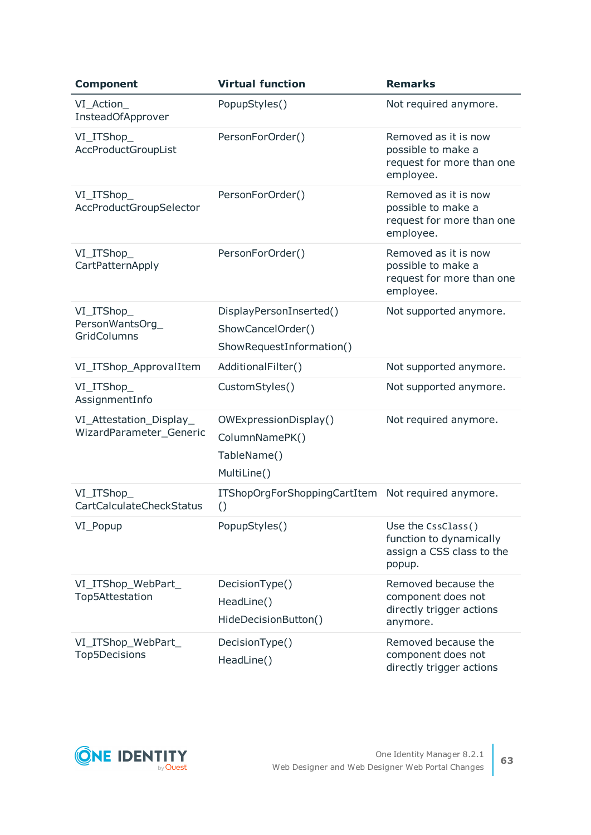| <b>Component</b>                                   | <b>Virtual function</b>                                                  | <b>Remarks</b>                                                                       |
|----------------------------------------------------|--------------------------------------------------------------------------|--------------------------------------------------------------------------------------|
| VI_Action_<br>InsteadOfApprover                    | PopupStyles()                                                            | Not required anymore.                                                                |
| VI_ITShop_<br>AccProductGroupList                  | PersonForOrder()                                                         | Removed as it is now<br>possible to make a<br>request for more than one<br>employee. |
| VI_ITShop_<br>AccProductGroupSelector              | PersonForOrder()                                                         | Removed as it is now<br>possible to make a<br>request for more than one<br>employee. |
| VI_ITShop_<br>CartPatternApply                     | PersonForOrder()                                                         | Removed as it is now<br>possible to make a<br>request for more than one<br>employee. |
| VI_ITShop_<br>PersonWantsOrg_<br>GridColumns       | DisplayPersonInserted()<br>ShowCancelOrder()<br>ShowRequestInformation() | Not supported anymore.                                                               |
| VI_ITShop_ApprovalItem                             | AdditionalFilter()                                                       | Not supported anymore.                                                               |
| VI_ITShop_<br>AssignmentInfo                       | CustomStyles()                                                           | Not supported anymore.                                                               |
| VI_Attestation_Display_<br>WizardParameter_Generic | OWExpressionDisplay()<br>ColumnNamePK()<br>TableName()<br>MultiLine()    | Not required anymore.                                                                |
| VI_ITShop_<br><b>CartCalculateCheckStatus</b>      | ITShopOrgForShoppingCartItem Not required anymore.<br>$\left( \right)$   |                                                                                      |
| VI_Popup                                           | PopupStyles()                                                            | Use the CssClass()<br>function to dynamically<br>assign a CSS class to the<br>popup. |
| VI_ITShop_WebPart_<br>Top5Attestation              | DecisionType()<br>HeadLine()<br>HideDecisionButton()                     | Removed because the<br>component does not<br>directly trigger actions<br>anymore.    |
| VI_ITShop_WebPart_<br>Top5Decisions                | DecisionType()<br>HeadLine()                                             | Removed because the<br>component does not<br>directly trigger actions                |

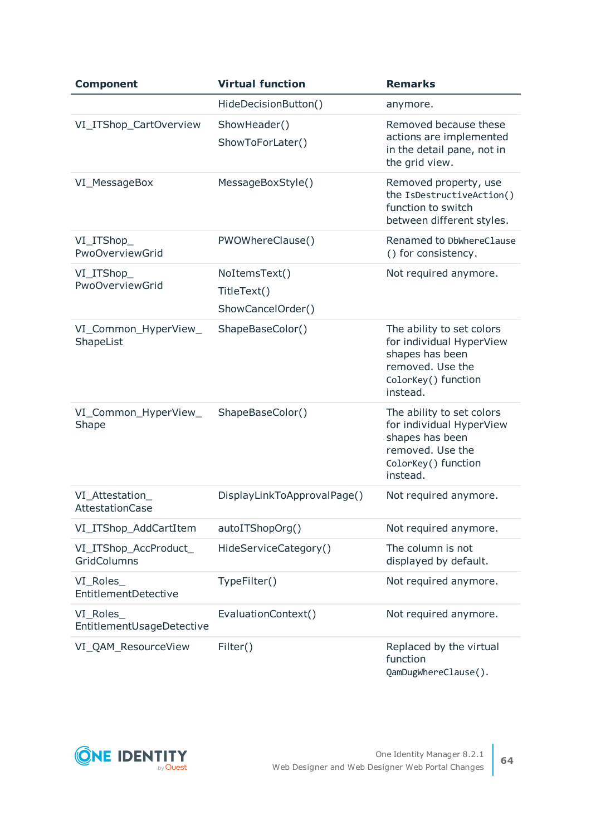| <b>Component</b>                       | <b>Virtual function</b>                           | <b>Remarks</b>                                                                                                                  |
|----------------------------------------|---------------------------------------------------|---------------------------------------------------------------------------------------------------------------------------------|
|                                        | HideDecisionButton()                              | anymore.                                                                                                                        |
| VI_ITShop_CartOverview                 | ShowHeader()<br>ShowToForLater()                  | Removed because these<br>actions are implemented<br>in the detail pane, not in<br>the grid view.                                |
| VI_MessageBox                          | MessageBoxStyle()                                 | Removed property, use<br>the IsDestructiveAction()<br>function to switch<br>between different styles.                           |
| VI_ITShop_<br>PwoOverviewGrid          | PWOWhereClause()                                  | Renamed to DbWhereClause<br>() for consistency.                                                                                 |
| VI_ITShop_<br>PwoOverviewGrid          | NoItemsText()<br>TitleText()<br>ShowCancelOrder() | Not required anymore.                                                                                                           |
| VI_Common_HyperView_<br>ShapeList      | ShapeBaseColor()                                  | The ability to set colors<br>for individual HyperView<br>shapes has been<br>removed. Use the<br>ColorKey() function<br>instead. |
| VI_Common_HyperView_<br>Shape          | ShapeBaseColor()                                  | The ability to set colors<br>for individual HyperView<br>shapes has been<br>removed. Use the<br>ColorKey() function<br>instead. |
| VI_Attestation_<br>AttestationCase     | DisplayLinkToApprovalPage()                       | Not required anymore.                                                                                                           |
| VI_ITShop_AddCartItem                  | autoITShopOrg()                                   | Not required anymore.                                                                                                           |
| VI_ITShop_AccProduct_<br>GridColumns   | HideServiceCategory()                             | The column is not<br>displayed by default.                                                                                      |
| VI_Roles_<br>EntitlementDetective      | TypeFilter()                                      | Not required anymore.                                                                                                           |
| VI_Roles_<br>EntitlementUsageDetective | EvaluationContext()                               | Not required anymore.                                                                                                           |
| VI_QAM_ResourceView                    | Filter()                                          | Replaced by the virtual<br>function<br>QamDugWhereClause().                                                                     |

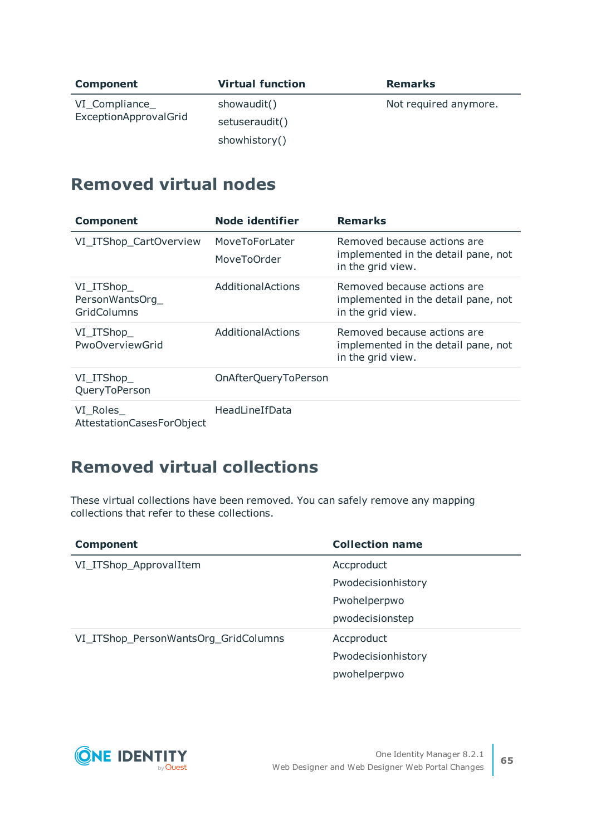| <b>Component</b>                        | <b>Virtual function</b> | <b>Remarks</b>        |
|-----------------------------------------|-------------------------|-----------------------|
| VI_Compliance_<br>ExceptionApprovalGrid | showaudit()             | Not required anymore. |
|                                         | setuseraudit()          |                       |
|                                         | showhistory()           |                       |

# **Removed virtual nodes**

| <b>Component</b>                           | Node identifier               | <b>Remarks</b>                                                                          |
|--------------------------------------------|-------------------------------|-----------------------------------------------------------------------------------------|
| VI_ITShop_CartOverview                     | MoveToForLater<br>MoveToOrder | Removed because actions are<br>implemented in the detail pane, not<br>in the grid view. |
| VI ITShop<br>PersonWantsOrg<br>GridColumns | Additional Actions            | Removed because actions are<br>implemented in the detail pane, not<br>in the grid view. |
| VI_ITShop_<br>PwoOverviewGrid              | <b>Additional Actions</b>     | Removed because actions are<br>implemented in the detail pane, not<br>in the grid view. |
| VI_ITShop_<br>QueryToPerson                | OnAfterQueryToPerson          |                                                                                         |
| VI Roles<br>AttestationCasesForObject      | HeadLineIfData                |                                                                                         |

# **Removed virtual collections**

These virtual collections have been removed. You can safely remove any mapping collections that refer to these collections.

| <b>Component</b>                     | <b>Collection name</b> |
|--------------------------------------|------------------------|
| VI_ITShop_ApprovalItem               | Accproduct             |
|                                      | Pwodecisionhistory     |
|                                      | Pwohelperpwo           |
|                                      | pwodecisionstep        |
| VI_ITShop_PersonWantsOrg_GridColumns | Accproduct             |
|                                      | Pwodecisionhistory     |
|                                      | pwohelperpwo           |

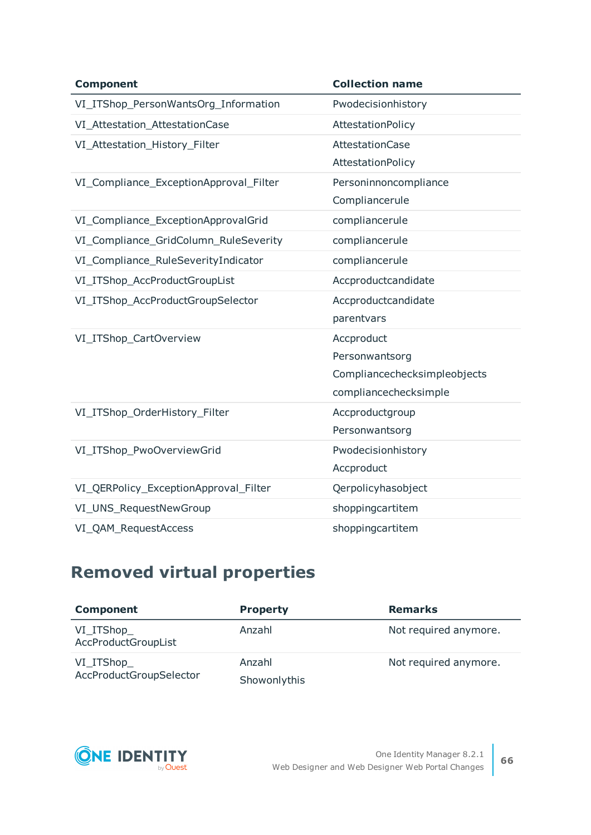| <b>Component</b>                       | <b>Collection name</b>       |
|----------------------------------------|------------------------------|
| VI_ITShop_PersonWantsOrg_Information   | Pwodecisionhistory           |
| VI_Attestation_AttestationCase         | AttestationPolicy            |
| VI_Attestation_History_Filter          | <b>AttestationCase</b>       |
|                                        | AttestationPolicy            |
| VI_Compliance_ExceptionApproval_Filter | Personinnoncompliance        |
|                                        | Compliancerule               |
| VI_Compliance_ExceptionApprovalGrid    | compliancerule               |
| VI_Compliance_GridColumn_RuleSeverity  | compliancerule               |
| VI_Compliance_RuleSeverityIndicator    | compliancerule               |
| VI_ITShop_AccProductGroupList          | Accproductcandidate          |
| VI_ITShop_AccProductGroupSelector      | Accproductcandidate          |
|                                        | parentvars                   |
| VI_ITShop_CartOverview                 | Accproduct                   |
|                                        | Personwantsorg               |
|                                        | Compliancechecksimpleobjects |
|                                        | compliancechecksimple        |
| VI_ITShop_OrderHistory_Filter          | Accproductgroup              |
|                                        | Personwantsorg               |
| VI_ITShop_PwoOverviewGrid              | Pwodecisionhistory           |
|                                        | Accproduct                   |
| VI_QERPolicy_ExceptionApproval_Filter  | Qerpolicyhasobject           |
| VI_UNS_RequestNewGroup                 | shoppingcartitem             |
| VI_QAM_RequestAccess                   | shoppingcartitem             |

# **Removed virtual properties**

| <b>Component</b>                      | <b>Property</b> | <b>Remarks</b>        |
|---------------------------------------|-----------------|-----------------------|
| VI_ITShop_<br>AccProductGroupList     | Anzahl          | Not required anymore. |
| VI_ITShop_<br>AccProductGroupSelector | Anzahl          | Not required anymore. |
|                                       | Showonlythis    |                       |

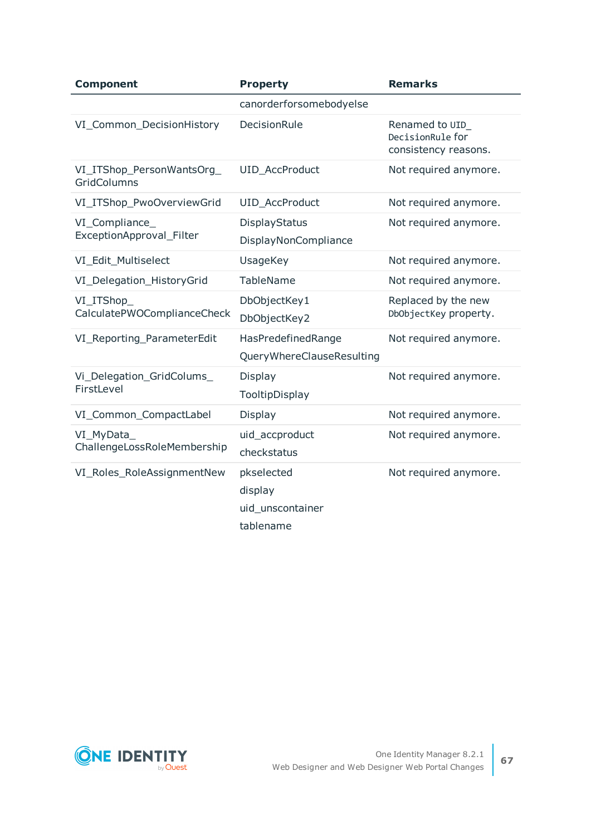| <b>Component</b>                           | <b>Property</b>                                        | <b>Remarks</b>                                              |
|--------------------------------------------|--------------------------------------------------------|-------------------------------------------------------------|
|                                            | canorderforsomebodyelse                                |                                                             |
| VI_Common_DecisionHistory                  | DecisionRule                                           | Renamed to UID_<br>DecisionRule for<br>consistency reasons. |
| VI_ITShop_PersonWantsOrg_<br>GridColumns   | <b>UID AccProduct</b>                                  | Not required anymore.                                       |
| VI_ITShop_PwoOverviewGrid                  | UID_AccProduct                                         | Not required anymore.                                       |
| VI_Compliance_<br>ExceptionApproval_Filter | DisplayStatus<br>DisplayNonCompliance                  | Not required anymore.                                       |
| VI Edit Multiselect                        | <b>UsageKey</b>                                        | Not required anymore.                                       |
| VI_Delegation_HistoryGrid                  | <b>TableName</b>                                       | Not required anymore.                                       |
| VI_ITShop_<br>CalculatePWOComplianceCheck  | DbObjectKey1<br>DbObjectKey2                           | Replaced by the new<br>DbObjectKey property.                |
| VI_Reporting_ParameterEdit                 | HasPredefinedRange<br>QueryWhereClauseResulting        | Not required anymore.                                       |
| Vi_Delegation_GridColums_<br>FirstLevel    | Display<br>TooltipDisplay                              | Not required anymore.                                       |
| VI_Common_CompactLabel                     | Display                                                | Not required anymore.                                       |
| VI_MyData_<br>ChallengeLossRoleMembership  | uid_accproduct<br>checkstatus                          | Not required anymore.                                       |
| VI_Roles_RoleAssignmentNew                 | pkselected<br>display<br>uid unscontainer<br>tablename | Not required anymore.                                       |

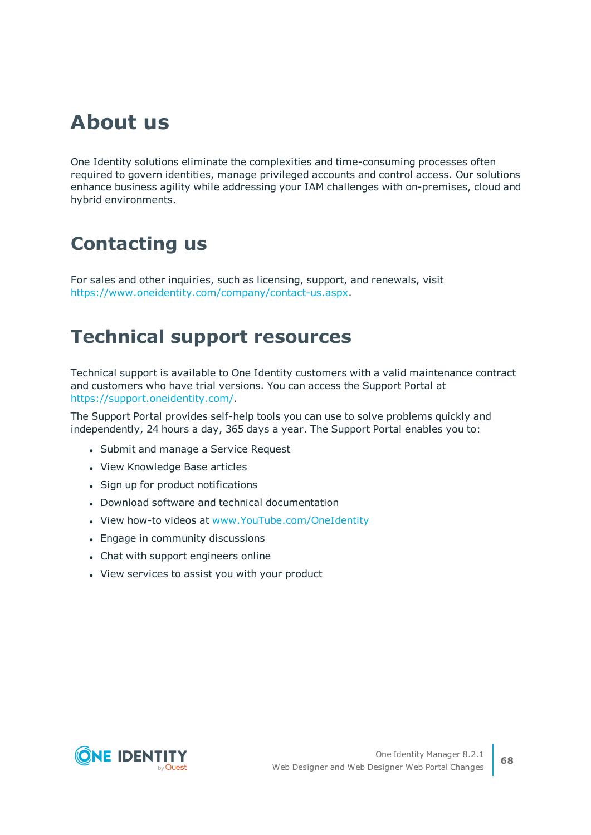# **About us**

One Identity solutions eliminate the complexities and time-consuming processes often required to govern identities, manage privileged accounts and control access. Our solutions enhance business agility while addressing your IAM challenges with on-premises, cloud and hybrid environments.

# **Contacting us**

For sales and other inquiries, such as licensing, support, and renewals, visit <https://www.oneidentity.com/company/contact-us.aspx>.

# **Technical support resources**

Technical support is available to One Identity customers with a valid maintenance contract and customers who have trial versions. You can access the Support Portal at [https://support.oneidentity.com/.](https://support.oneidentity.com/)

The Support Portal provides self-help tools you can use to solve problems quickly and independently, 24 hours a day, 365 days a year. The Support Portal enables you to:

- Submit and manage a Service Request
- View Knowledge Base articles
- Sign up for product notifications
- Download software and technical documentation
- View how-to videos at [www.YouTube.com/OneIdentity](http://www.youtube.com/OneIdentity)
- Engage in community discussions
- Chat with support engineers online
- View services to assist you with your product